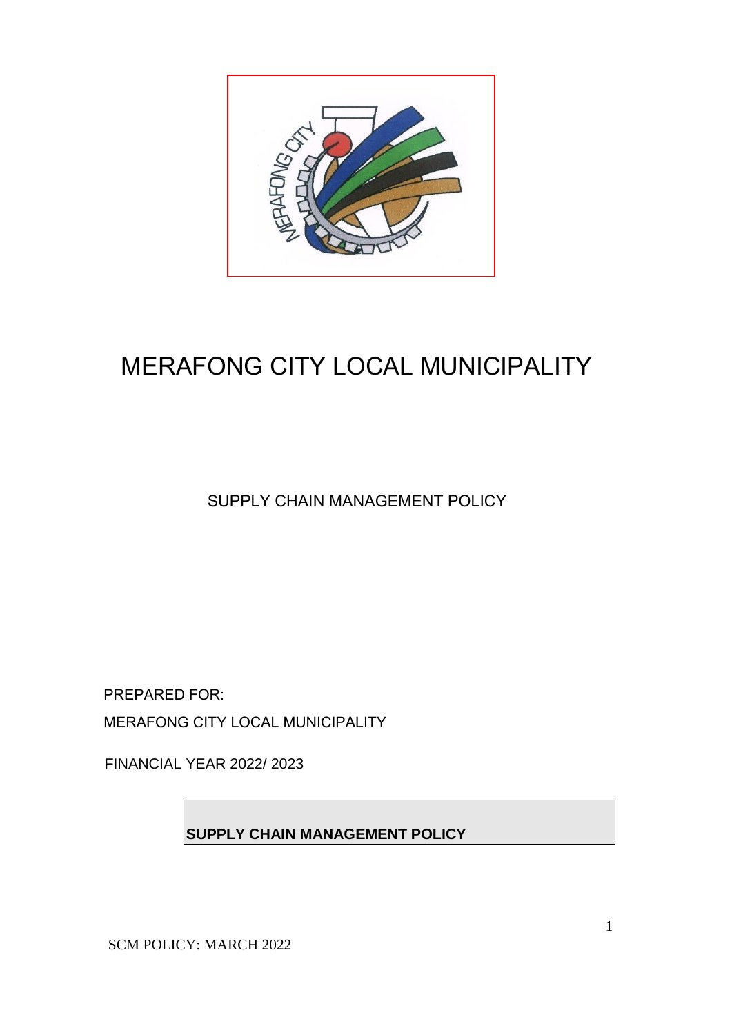

# MERAFONG CITY LOCAL MUNICIPALITY

SUPPLY CHAIN MANAGEMENT POLICY

PREPARED FOR: MERAFONG CITY LOCAL MUNICIPALITY

FINANCIAL YEAR 2022/ 2023

**SUPPLY CHAIN MANAGEMENT POLICY**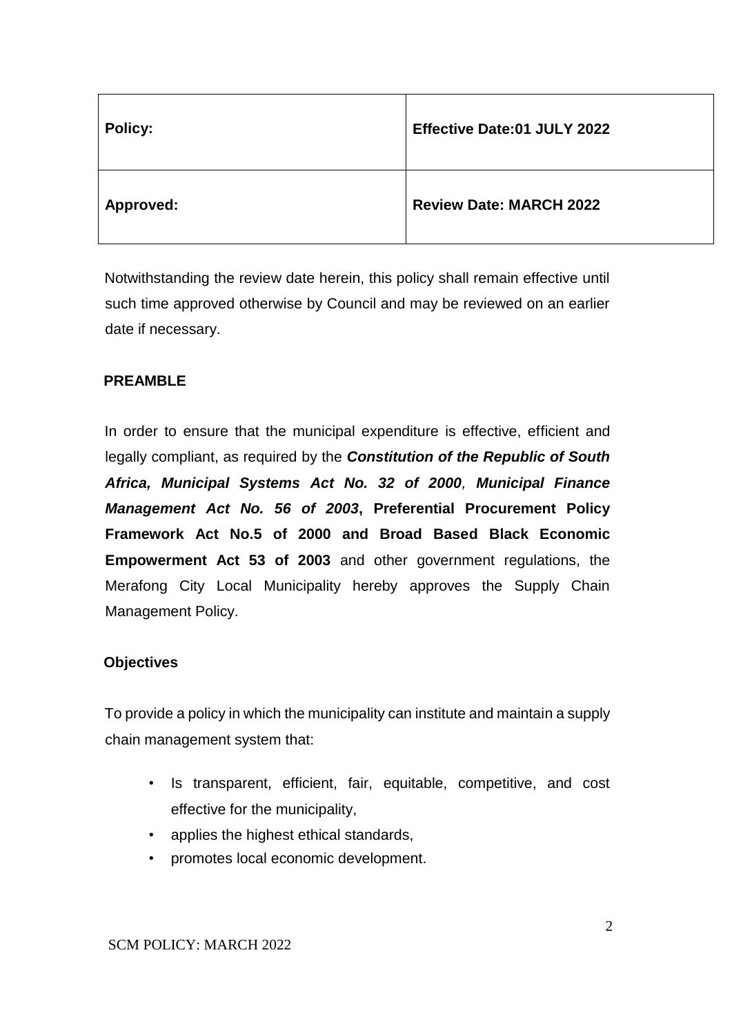| <b>Policy:</b>   | <b>Effective Date:01 JULY 2022</b> |
|------------------|------------------------------------|
| <b>Approved:</b> | <b>Review Date: MARCH 2022</b>     |

Notwithstanding the review date herein, this policy shall remain effective until such time approved otherwise by Council and may be reviewed on an earlier date if necessary.

## **PREAMBLE**

In order to ensure that the municipal expenditure is effective, efficient and legally compliant, as required by the *Constitution of the Republic of South Africa, Municipal Systems Act No. 32 of 2000, Municipal Finance Management Act No. 56 of 2003***, Preferential Procurement Policy Framework Act No.5 of 2000 and Broad Based Black Economic Empowerment Act 53 of 2003** and other government regulations, the Merafong City Local Municipality hereby approves the Supply Chain Management Policy.

### **Objectives**

To provide a policy in which the municipality can institute and maintain a supply chain management system that:

- Is transparent, efficient, fair, equitable, competitive, and cost effective for the municipality,
- applies the highest ethical standards,
- promotes local economic development.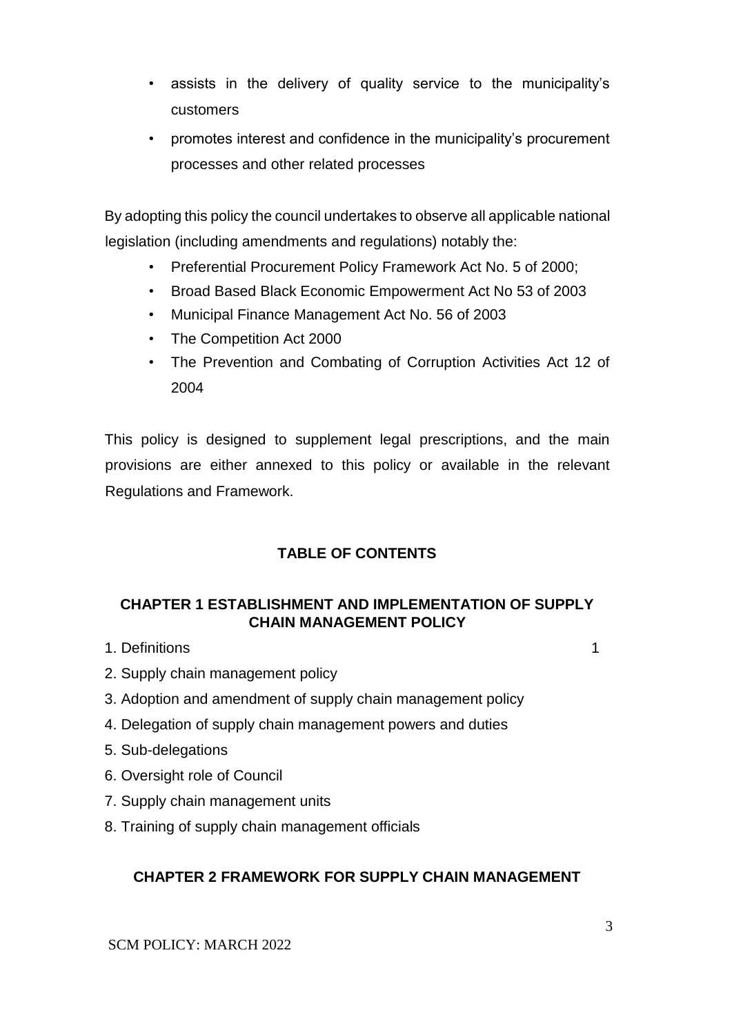- assists in the delivery of quality service to the municipality's customers
- promotes interest and confidence in the municipality's procurement processes and other related processes

By adopting this policy the council undertakes to observe all applicable national legislation (including amendments and regulations) notably the:

- Preferential Procurement Policy Framework Act No. 5 of 2000;
- Broad Based Black Economic Empowerment Act No 53 of 2003
- Municipal Finance Management Act No. 56 of 2003
- The Competition Act 2000
- The Prevention and Combating of Corruption Activities Act 12 of 2004

This policy is designed to supplement legal prescriptions, and the main provisions are either annexed to this policy or available in the relevant Regulations and Framework.

# **TABLE OF CONTENTS**

### **CHAPTER 1 ESTABLISHMENT AND IMPLEMENTATION OF SUPPLY CHAIN MANAGEMENT POLICY**

1. Definitions 1

- 2. Supply chain management policy
- 3. Adoption and amendment of supply chain management policy
- 4. Delegation of supply chain management powers and duties
- 5. Sub-delegations
- 6. Oversight role of Council
- 7. Supply chain management units
- 8. Training of supply chain management officials

### **CHAPTER 2 FRAMEWORK FOR SUPPLY CHAIN MANAGEMENT**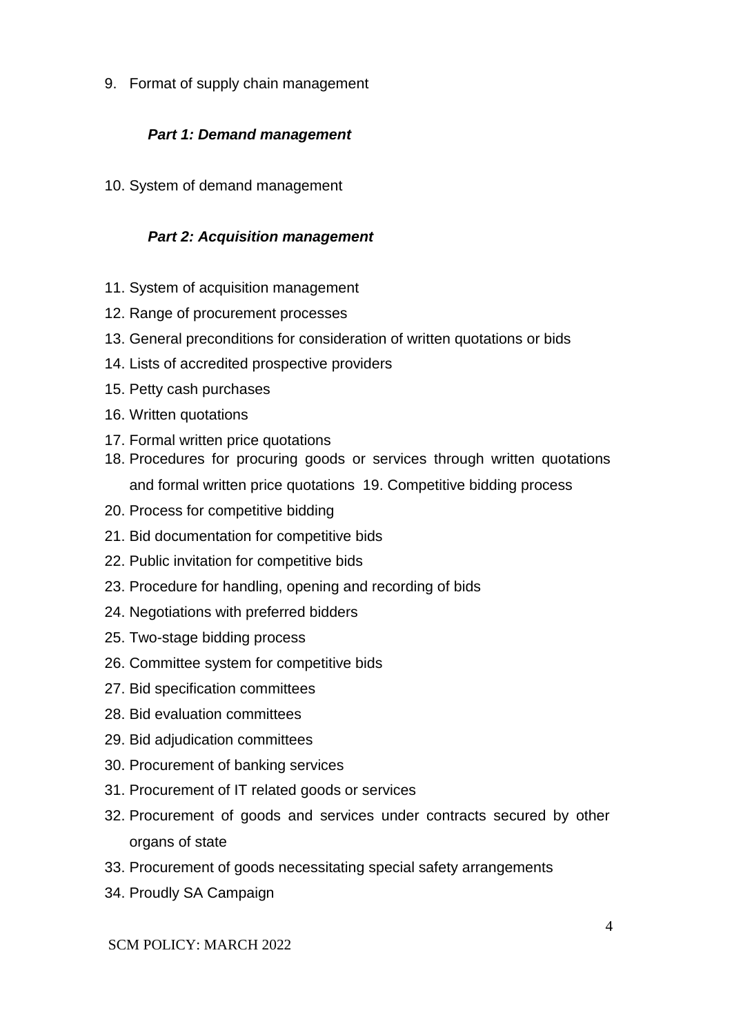9. Format of supply chain management

### *Part 1: Demand management*

10. System of demand management

#### *Part 2: Acquisition management*

- 11. System of acquisition management
- 12. Range of procurement processes
- 13. General preconditions for consideration of written quotations or bids
- 14. Lists of accredited prospective providers
- 15. Petty cash purchases
- 16. Written quotations
- 17. Formal written price quotations
- 18. Procedures for procuring goods or services through written quotations and formal written price quotations 19. Competitive bidding process
- 20. Process for competitive bidding
- 21. Bid documentation for competitive bids
- 22. Public invitation for competitive bids
- 23. Procedure for handling, opening and recording of bids
- 24. Negotiations with preferred bidders
- 25. Two-stage bidding process
- 26. Committee system for competitive bids
- 27. Bid specification committees
- 28. Bid evaluation committees
- 29. Bid adjudication committees
- 30. Procurement of banking services
- 31. Procurement of IT related goods or services
- 32. Procurement of goods and services under contracts secured by other organs of state
- 33. Procurement of goods necessitating special safety arrangements
- 34. Proudly SA Campaign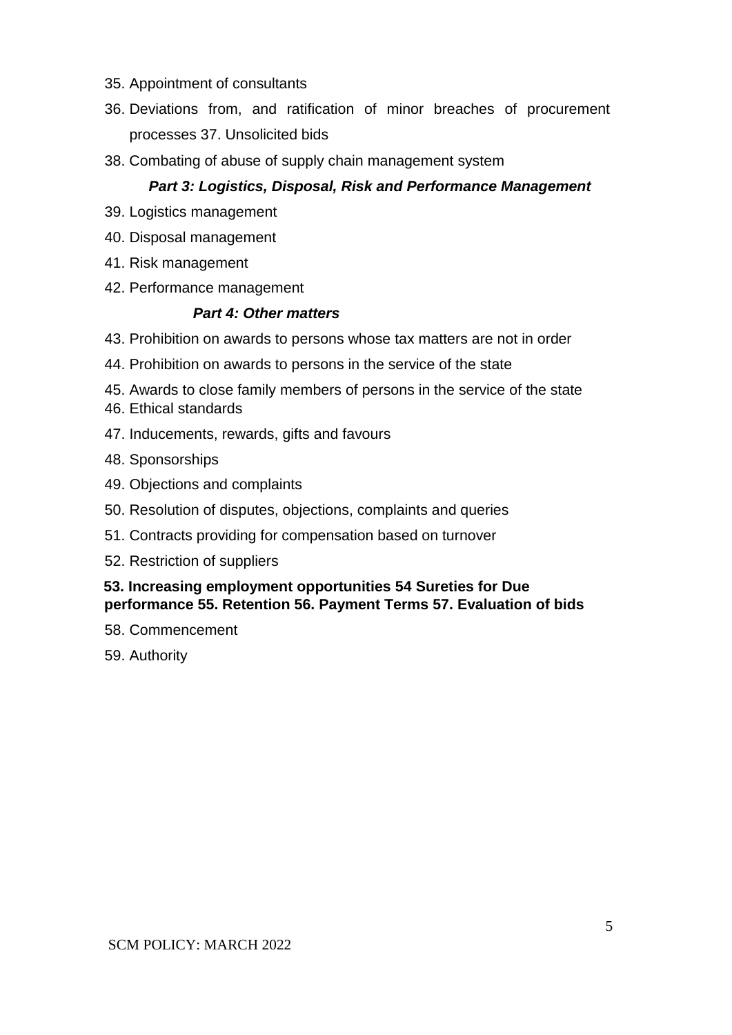- 35. Appointment of consultants
- 36. Deviations from, and ratification of minor breaches of procurement processes 37. Unsolicited bids
- 38. Combating of abuse of supply chain management system

#### *Part 3: Logistics, Disposal, Risk and Performance Management*

- 39. Logistics management
- 40. Disposal management
- 41. Risk management
- 42. Performance management

#### *Part 4: Other matters*

- 43. Prohibition on awards to persons whose tax matters are not in order
- 44. Prohibition on awards to persons in the service of the state
- 45. Awards to close family members of persons in the service of the state
- 46. Ethical standards
- 47. Inducements, rewards, gifts and favours
- 48. Sponsorships
- 49. Objections and complaints
- 50. Resolution of disputes, objections, complaints and queries
- 51. Contracts providing for compensation based on turnover
- 52. Restriction of suppliers

#### **53. Increasing employment opportunities 54 Sureties for Due performance 55. Retention 56. Payment Terms 57. Evaluation of bids**

- 58. Commencement
- 59. Authority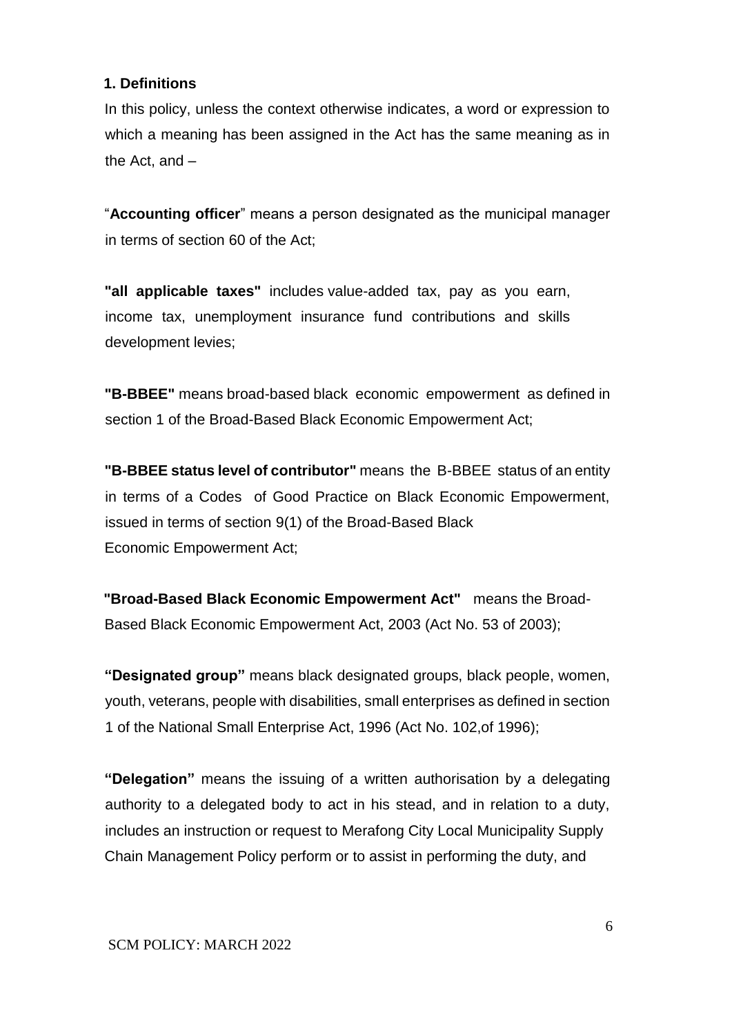#### **1. Definitions**

In this policy, unless the context otherwise indicates, a word or expression to which a meaning has been assigned in the Act has the same meaning as in the Act, and –

"**Accounting officer**" means a person designated as the municipal manager in terms of section 60 of the Act;

**"all applicable taxes"** includes value-added tax, pay as you earn, income tax, unemployment insurance fund contributions and skills development levies;

**"B-BBEE"** means broad-based black economic empowerment as defined in section 1 of the Broad-Based Black Economic Empowerment Act;

**"B-BBEE status level of contributor"** means the B-BBEE status of an entity in terms of a Codes of Good Practice on Black Economic Empowerment, issued in terms of section 9(1) of the Broad-Based Black Economic Empowerment Act;

**"Broad-Based Black Economic Empowerment Act"** means the Broad-Based Black Economic Empowerment Act, 2003 (Act No. 53 of 2003);

**"Designated group"** means black designated groups, black people, women, youth, veterans, people with disabilities, small enterprises as defined in section 1 of the National Small Enterprise Act, 1996 (Act No. 102,of 1996);

**"Delegation"** means the issuing of a written authorisation by a delegating authority to a delegated body to act in his stead, and in relation to a duty, includes an instruction or request to Merafong City Local Municipality Supply Chain Management Policy perform or to assist in performing the duty, and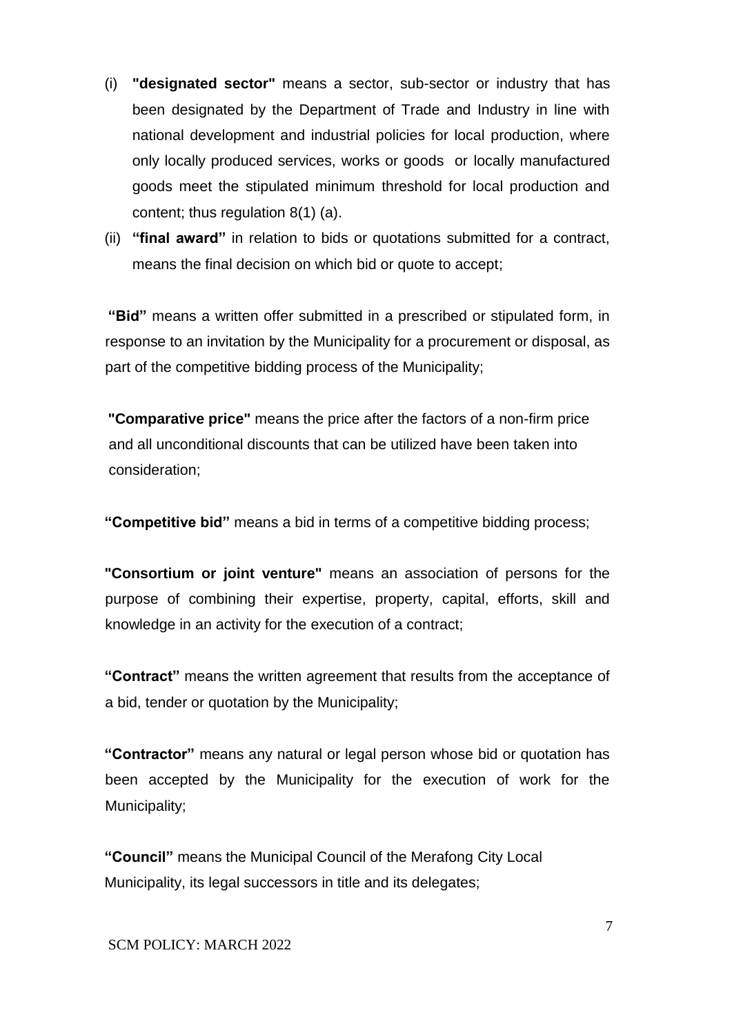- (i) **"designated sector"** means a sector, sub-sector or industry that has been designated by the Department of Trade and Industry in line with national development and industrial policies for local production, where only locally produced services, works or goods or locally manufactured goods meet the stipulated minimum threshold for local production and content; thus regulation 8(1) (a).
- (ii) **"final award"** in relation to bids or quotations submitted for a contract, means the final decision on which bid or quote to accept;

**"Bid"** means a written offer submitted in a prescribed or stipulated form, in response to an invitation by the Municipality for a procurement or disposal, as part of the competitive bidding process of the Municipality;

**"Comparative price"** means the price after the factors of a non-firm price and all unconditional discounts that can be utilized have been taken into consideration;

**"Competitive bid"** means a bid in terms of a competitive bidding process;

**"Consortium or joint venture"** means an association of persons for the purpose of combining their expertise, property, capital, efforts, skill and knowledge in an activity for the execution of a contract;

**"Contract"** means the written agreement that results from the acceptance of a bid, tender or quotation by the Municipality;

**"Contractor"** means any natural or legal person whose bid or quotation has been accepted by the Municipality for the execution of work for the Municipality;

**"Council"** means the Municipal Council of the Merafong City Local Municipality, its legal successors in title and its delegates;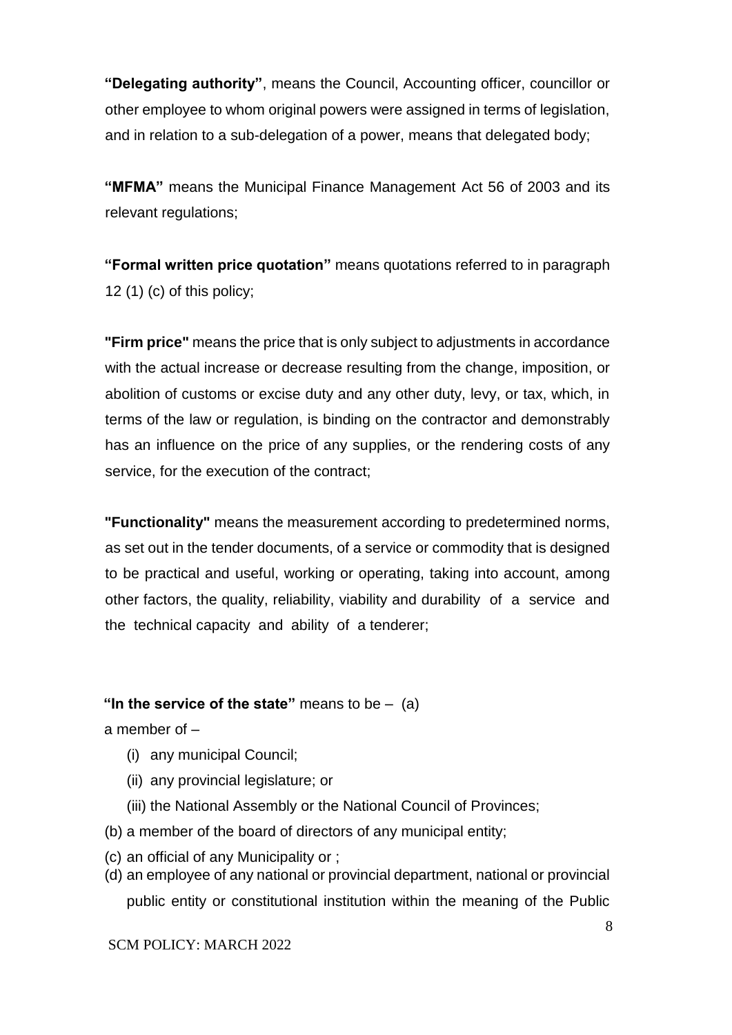**"Delegating authority"**, means the Council, Accounting officer, councillor or other employee to whom original powers were assigned in terms of legislation, and in relation to a sub-delegation of a power, means that delegated body;

**"MFMA"** means the Municipal Finance Management Act 56 of 2003 and its relevant regulations;

**"Formal written price quotation"** means quotations referred to in paragraph 12 (1) (c) of this policy;

**"Firm price"** means the price that is only subject to adjustments in accordance with the actual increase or decrease resulting from the change, imposition, or abolition of customs or excise duty and any other duty, levy, or tax, which, in terms of the law or regulation, is binding on the contractor and demonstrably has an influence on the price of any supplies, or the rendering costs of any service, for the execution of the contract;

**"Functionality"** means the measurement according to predetermined norms, as set out in the tender documents, of a service or commodity that is designed to be practical and useful, working or operating, taking into account, among other factors, the quality, reliability, viability and durability of a service and the technical capacity and ability of a tenderer;

#### **"In the service of the state"** means to be – (a)

a member of –

- (i) any municipal Council;
- (ii) any provincial legislature; or
- (iii) the National Assembly or the National Council of Provinces;
- (b) a member of the board of directors of any municipal entity;
- (c) an official of any Municipality or ;
- (d) an employee of any national or provincial department, national or provincial public entity or constitutional institution within the meaning of the Public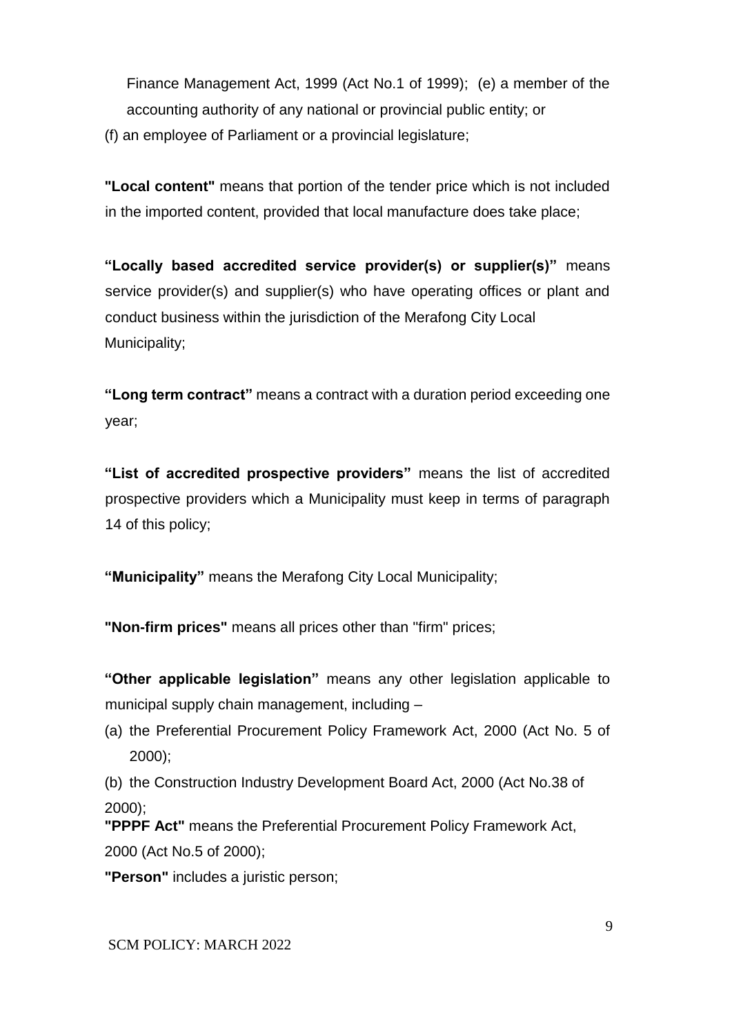Finance Management Act, 1999 (Act No.1 of 1999); (e) a member of the accounting authority of any national or provincial public entity; or

(f) an employee of Parliament or a provincial legislature;

**"Local content"** means that portion of the tender price which is not included in the imported content, provided that local manufacture does take place;

**"Locally based accredited service provider(s) or supplier(s)"** means service provider(s) and supplier(s) who have operating offices or plant and conduct business within the jurisdiction of the Merafong City Local Municipality;

**"Long term contract"** means a contract with a duration period exceeding one year;

**"List of accredited prospective providers"** means the list of accredited prospective providers which a Municipality must keep in terms of paragraph 14 of this policy;

**"Municipality"** means the Merafong City Local Municipality;

**"Non-firm prices"** means all prices other than ''firm" prices;

**"Other applicable legislation"** means any other legislation applicable to municipal supply chain management, including –

(a) the Preferential Procurement Policy Framework Act, 2000 (Act No. 5 of 2000);

(b) the Construction Industry Development Board Act, 2000 (Act No.38 of 2000);

**"PPPF Act"** means the Preferential Procurement Policy Framework Act, 2000 (Act No.5 of 2000);

**"Person"** includes a juristic person;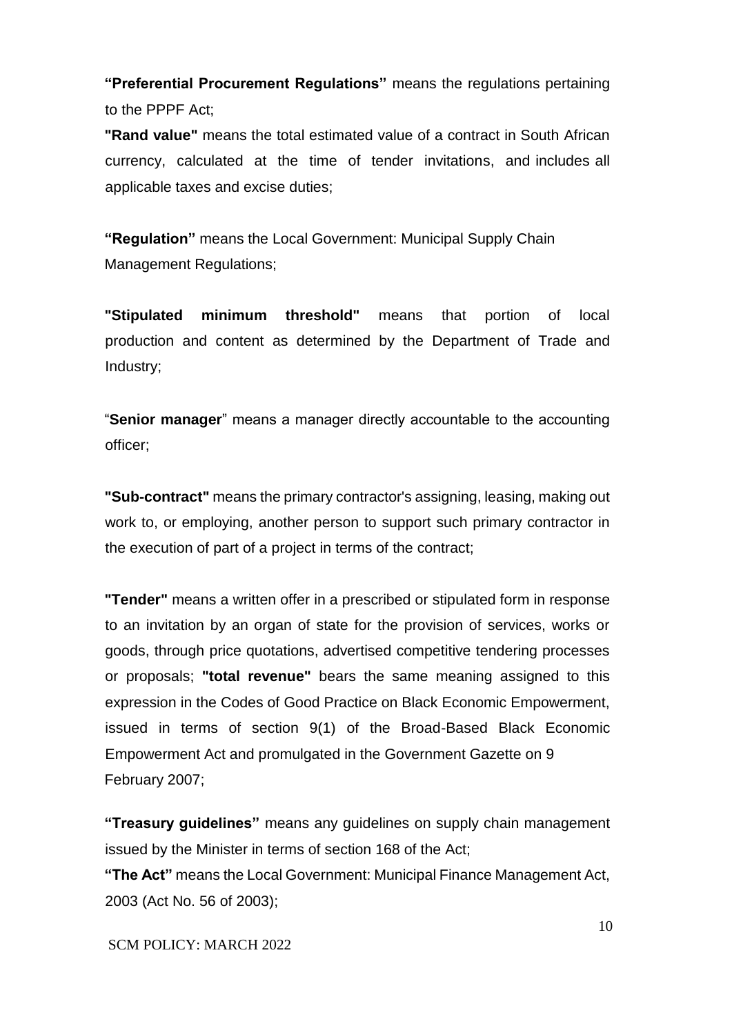**"Preferential Procurement Regulations"** means the regulations pertaining to the PPPF Act;

**"Rand value"** means the total estimated value of a contract in South African currency, calculated at the time of tender invitations, and includes all applicable taxes and excise duties;

**"Regulation"** means the Local Government: Municipal Supply Chain Management Regulations;

**"Stipulated minimum threshold"** means that portion of local production and content as determined by the Department of Trade and Industry;

"**Senior manager**" means a manager directly accountable to the accounting officer;

**"Sub-contract"** means the primary contractor's assigning, leasing, making out work to, or employing, another person to support such primary contractor in the execution of part of a project in terms of the contract;

**"Tender"** means a written offer in a prescribed or stipulated form in response to an invitation by an organ of state for the provision of services, works or goods, through price quotations, advertised competitive tendering processes or proposals; **"total revenue"** bears the same meaning assigned to this expression in the Codes of Good Practice on Black Economic Empowerment, issued in terms of section 9(1) of the Broad-Based Black Economic Empowerment Act and promulgated in the Government Gazette on 9 February 2007;

**"Treasury guidelines"** means any guidelines on supply chain management issued by the Minister in terms of section 168 of the Act; **"The Act"** means the Local Government: Municipal Finance Management Act, 2003 (Act No. 56 of 2003);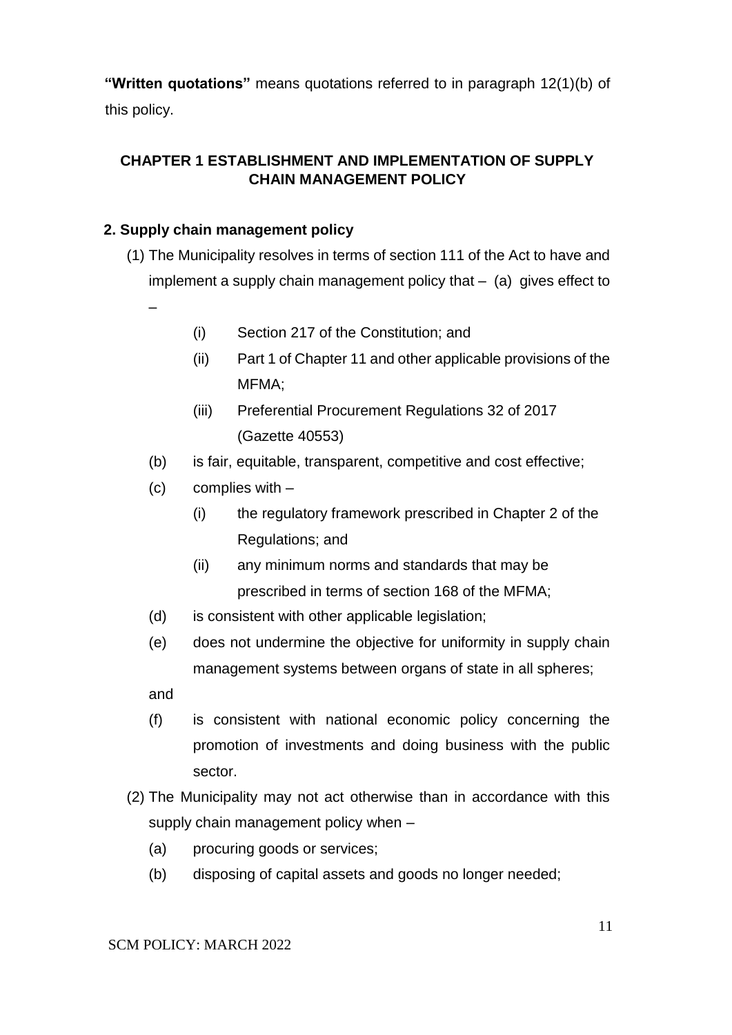**"Written quotations"** means quotations referred to in paragraph 12(1)(b) of this policy.

## **CHAPTER 1 ESTABLISHMENT AND IMPLEMENTATION OF SUPPLY CHAIN MANAGEMENT POLICY**

## **2. Supply chain management policy**

(1) The Municipality resolves in terms of section 111 of the Act to have and implement a supply chain management policy that  $-$  (a) gives effect to

–

- (i) Section 217 of the Constitution; and
- (ii) Part 1 of Chapter 11 and other applicable provisions of the MFMA;
- (iii) Preferential Procurement Regulations 32 of 2017 (Gazette 40553)
- (b) is fair, equitable, transparent, competitive and cost effective;
- (c) complies with
	- (i) the regulatory framework prescribed in Chapter 2 of the Regulations; and
	- (ii) any minimum norms and standards that may be prescribed in terms of section 168 of the MFMA;
- (d) is consistent with other applicable legislation;
- (e) does not undermine the objective for uniformity in supply chain management systems between organs of state in all spheres;

and

- (f) is consistent with national economic policy concerning the promotion of investments and doing business with the public sector.
- (2) The Municipality may not act otherwise than in accordance with this supply chain management policy when –
	- (a) procuring goods or services;
	- (b) disposing of capital assets and goods no longer needed;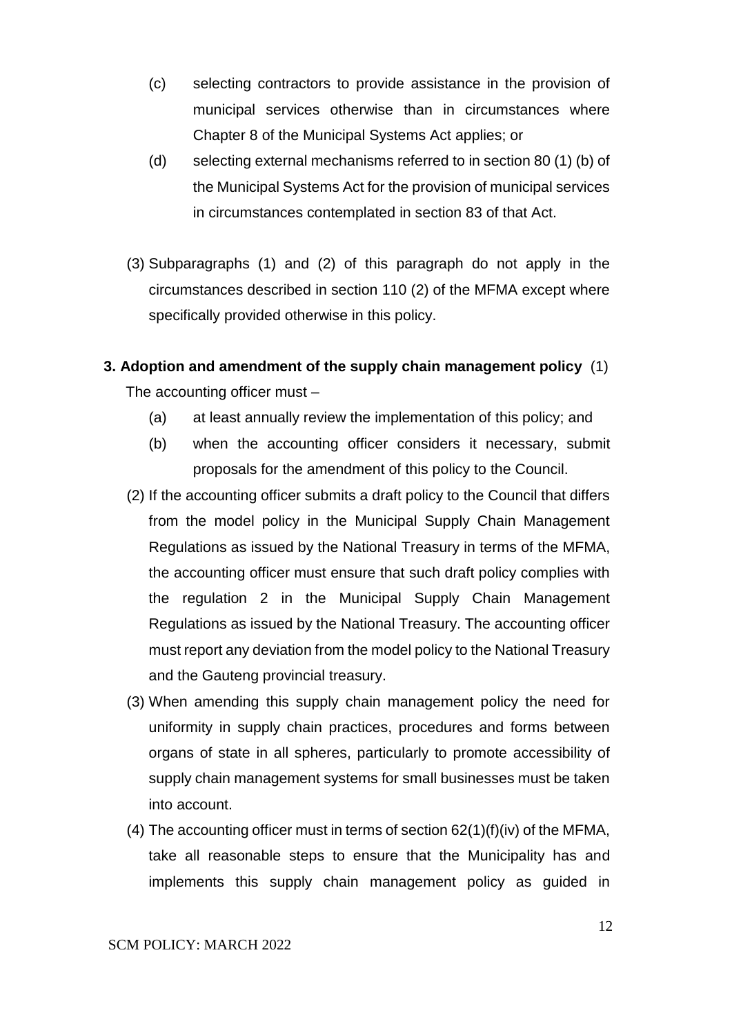- (c) selecting contractors to provide assistance in the provision of municipal services otherwise than in circumstances where Chapter 8 of the Municipal Systems Act applies; or
- (d) selecting external mechanisms referred to in section 80 (1) (b) of the Municipal Systems Act for the provision of municipal services in circumstances contemplated in section 83 of that Act.
- (3) Subparagraphs (1) and (2) of this paragraph do not apply in the circumstances described in section 110 (2) of the MFMA except where specifically provided otherwise in this policy.
- **3. Adoption and amendment of the supply chain management policy** (1) The accounting officer must –
	- (a) at least annually review the implementation of this policy; and
	- (b) when the accounting officer considers it necessary, submit proposals for the amendment of this policy to the Council.
	- (2) If the accounting officer submits a draft policy to the Council that differs from the model policy in the Municipal Supply Chain Management Regulations as issued by the National Treasury in terms of the MFMA, the accounting officer must ensure that such draft policy complies with the regulation 2 in the Municipal Supply Chain Management Regulations as issued by the National Treasury. The accounting officer must report any deviation from the model policy to the National Treasury and the Gauteng provincial treasury.
	- (3) When amending this supply chain management policy the need for uniformity in supply chain practices, procedures and forms between organs of state in all spheres, particularly to promote accessibility of supply chain management systems for small businesses must be taken into account.
	- (4) The accounting officer must in terms of section 62(1)(f)(iv) of the MFMA, take all reasonable steps to ensure that the Municipality has and implements this supply chain management policy as guided in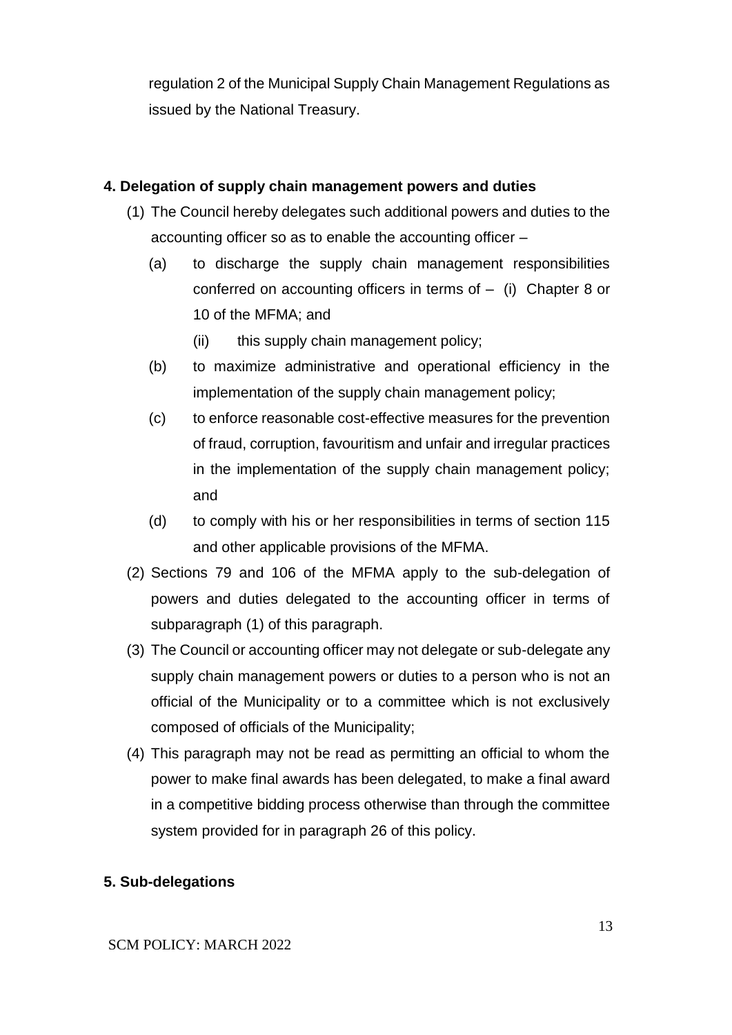regulation 2 of the Municipal Supply Chain Management Regulations as issued by the National Treasury.

### **4. Delegation of supply chain management powers and duties**

- (1) The Council hereby delegates such additional powers and duties to the accounting officer so as to enable the accounting officer –
	- (a) to discharge the supply chain management responsibilities conferred on accounting officers in terms of – (i) Chapter 8 or 10 of the MFMA; and
		- (ii) this supply chain management policy;
	- (b) to maximize administrative and operational efficiency in the implementation of the supply chain management policy;
	- (c) to enforce reasonable cost-effective measures for the prevention of fraud, corruption, favouritism and unfair and irregular practices in the implementation of the supply chain management policy; and
	- (d) to comply with his or her responsibilities in terms of section 115 and other applicable provisions of the MFMA.
- (2) Sections 79 and 106 of the MFMA apply to the sub-delegation of powers and duties delegated to the accounting officer in terms of subparagraph (1) of this paragraph.
- (3) The Council or accounting officer may not delegate or sub-delegate any supply chain management powers or duties to a person who is not an official of the Municipality or to a committee which is not exclusively composed of officials of the Municipality;
- (4) This paragraph may not be read as permitting an official to whom the power to make final awards has been delegated, to make a final award in a competitive bidding process otherwise than through the committee system provided for in paragraph 26 of this policy.

# **5. Sub-delegations**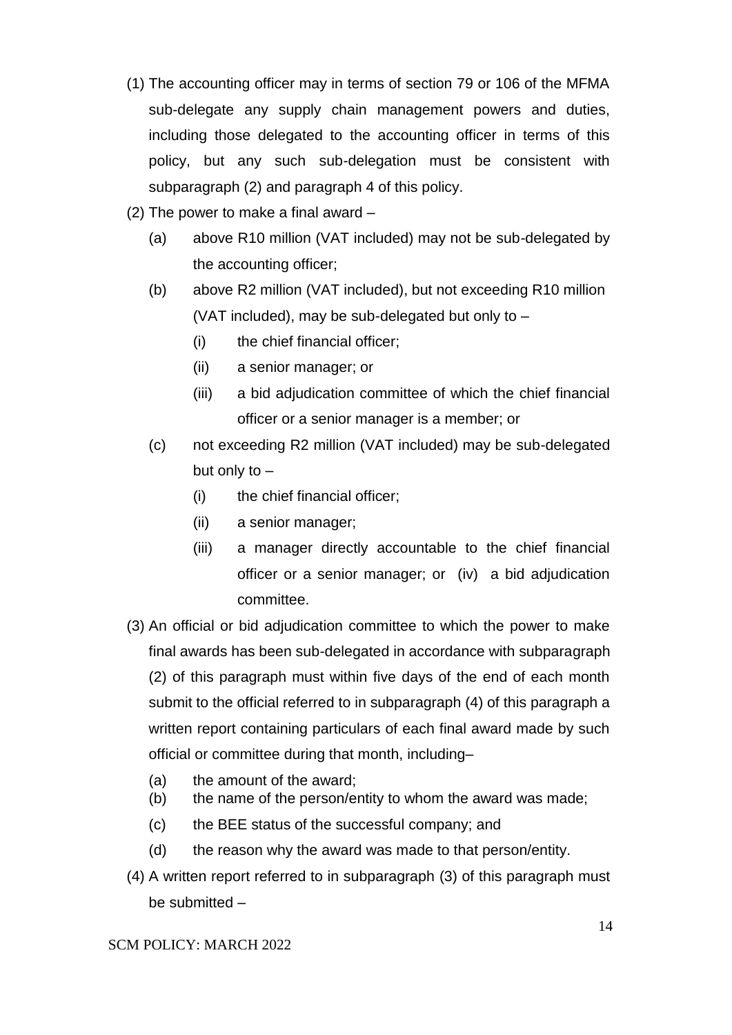- (1) The accounting officer may in terms of section 79 or 106 of the MFMA sub-delegate any supply chain management powers and duties, including those delegated to the accounting officer in terms of this policy, but any such sub-delegation must be consistent with subparagraph (2) and paragraph 4 of this policy.
- (2) The power to make a final award
	- (a) above R10 million (VAT included) may not be sub-delegated by the accounting officer;
	- (b) above R2 million (VAT included), but not exceeding R10 million (VAT included), may be sub-delegated but only to –
		- (i) the chief financial officer;
		- (ii) a senior manager; or
		- (iii) a bid adjudication committee of which the chief financial officer or a senior manager is a member; or
	- (c) not exceeding R2 million (VAT included) may be sub-delegated but only to –
		- (i) the chief financial officer;
		- (ii) a senior manager;
		- (iii) a manager directly accountable to the chief financial officer or a senior manager; or (iv) a bid adjudication committee.
- (3) An official or bid adjudication committee to which the power to make final awards has been sub-delegated in accordance with subparagraph (2) of this paragraph must within five days of the end of each month submit to the official referred to in subparagraph (4) of this paragraph a written report containing particulars of each final award made by such official or committee during that month, including–
	- (a) the amount of the award;
	- (b) the name of the person/entity to whom the award was made;
	- (c) the BEE status of the successful company; and
	- (d) the reason why the award was made to that person/entity.
- (4) A written report referred to in subparagraph (3) of this paragraph must be submitted –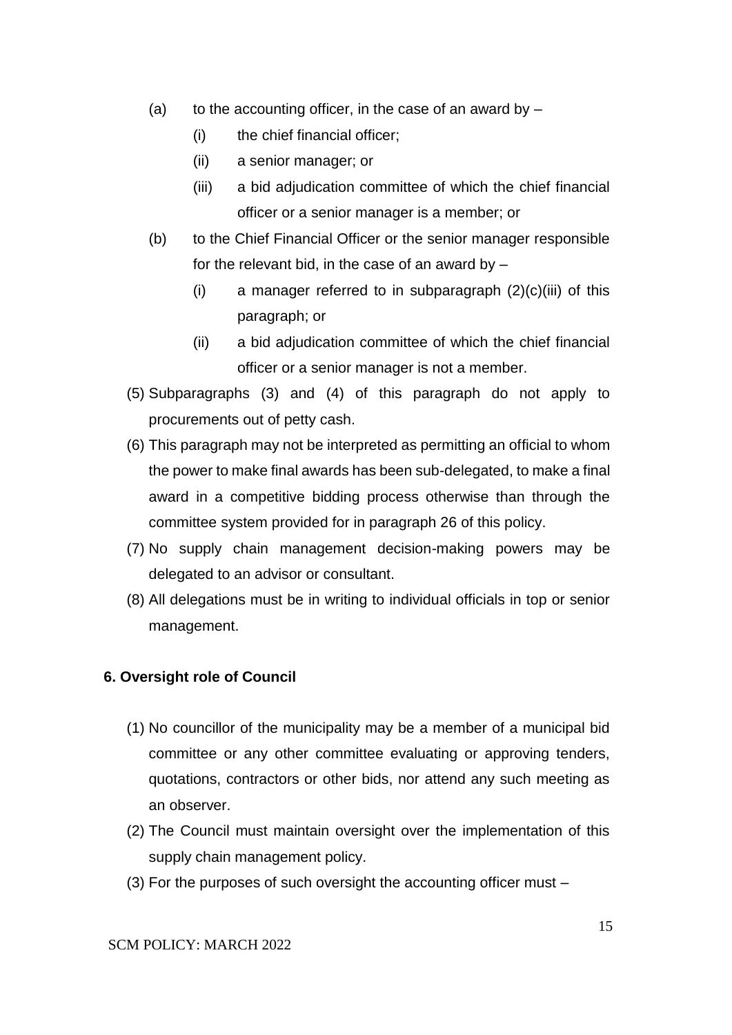- (a) to the accounting officer, in the case of an award by  $-$ 
	- (i) the chief financial officer;
	- (ii) a senior manager; or
	- (iii) a bid adjudication committee of which the chief financial officer or a senior manager is a member; or
- (b) to the Chief Financial Officer or the senior manager responsible for the relevant bid, in the case of an award by  $-$ 
	- (i) a manager referred to in subparagraph  $(2)(c)(iii)$  of this paragraph; or
	- (ii) a bid adjudication committee of which the chief financial officer or a senior manager is not a member.
- (5) Subparagraphs (3) and (4) of this paragraph do not apply to procurements out of petty cash.
- (6) This paragraph may not be interpreted as permitting an official to whom the power to make final awards has been sub-delegated, to make a final award in a competitive bidding process otherwise than through the committee system provided for in paragraph 26 of this policy.
- (7) No supply chain management decision-making powers may be delegated to an advisor or consultant.
- (8) All delegations must be in writing to individual officials in top or senior management.

#### **6. Oversight role of Council**

- (1) No councillor of the municipality may be a member of a municipal bid committee or any other committee evaluating or approving tenders, quotations, contractors or other bids, nor attend any such meeting as an observer.
- (2) The Council must maintain oversight over the implementation of this supply chain management policy.
- (3) For the purposes of such oversight the accounting officer must –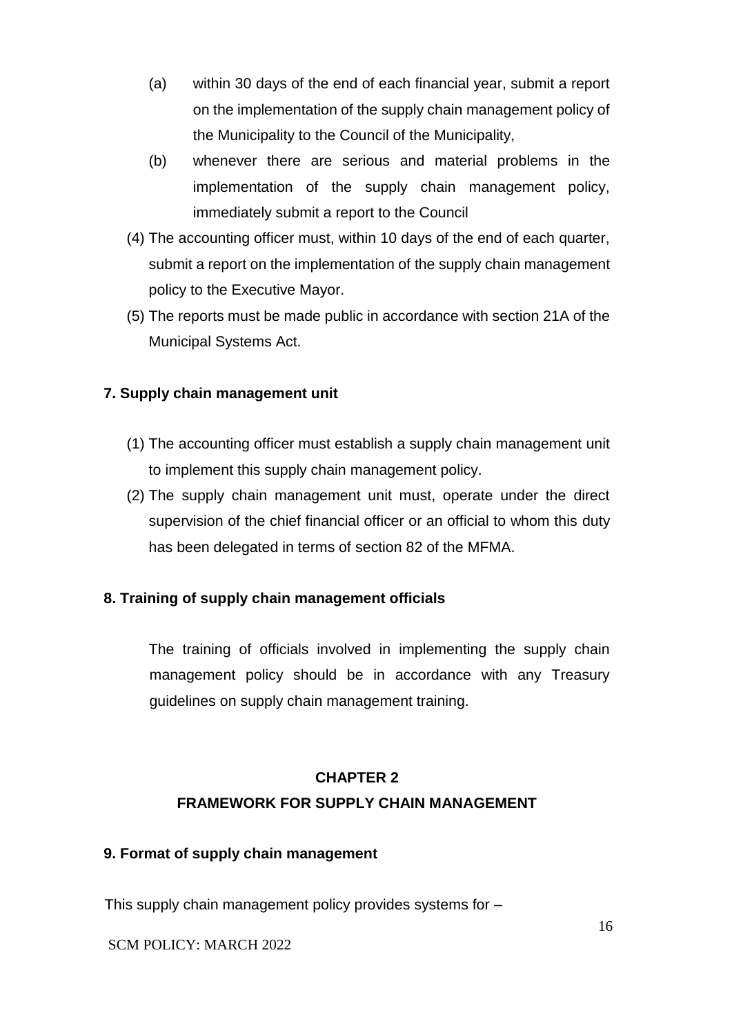- (a) within 30 days of the end of each financial year, submit a report on the implementation of the supply chain management policy of the Municipality to the Council of the Municipality,
- (b) whenever there are serious and material problems in the implementation of the supply chain management policy, immediately submit a report to the Council
- (4) The accounting officer must, within 10 days of the end of each quarter, submit a report on the implementation of the supply chain management policy to the Executive Mayor.
- (5) The reports must be made public in accordance with section 21A of the Municipal Systems Act.

### **7. Supply chain management unit**

- (1) The accounting officer must establish a supply chain management unit to implement this supply chain management policy.
- (2) The supply chain management unit must, operate under the direct supervision of the chief financial officer or an official to whom this duty has been delegated in terms of section 82 of the MFMA.

# **8. Training of supply chain management officials**

The training of officials involved in implementing the supply chain management policy should be in accordance with any Treasury guidelines on supply chain management training.

# **CHAPTER 2 FRAMEWORK FOR SUPPLY CHAIN MANAGEMENT**

### **9. Format of supply chain management**

This supply chain management policy provides systems for –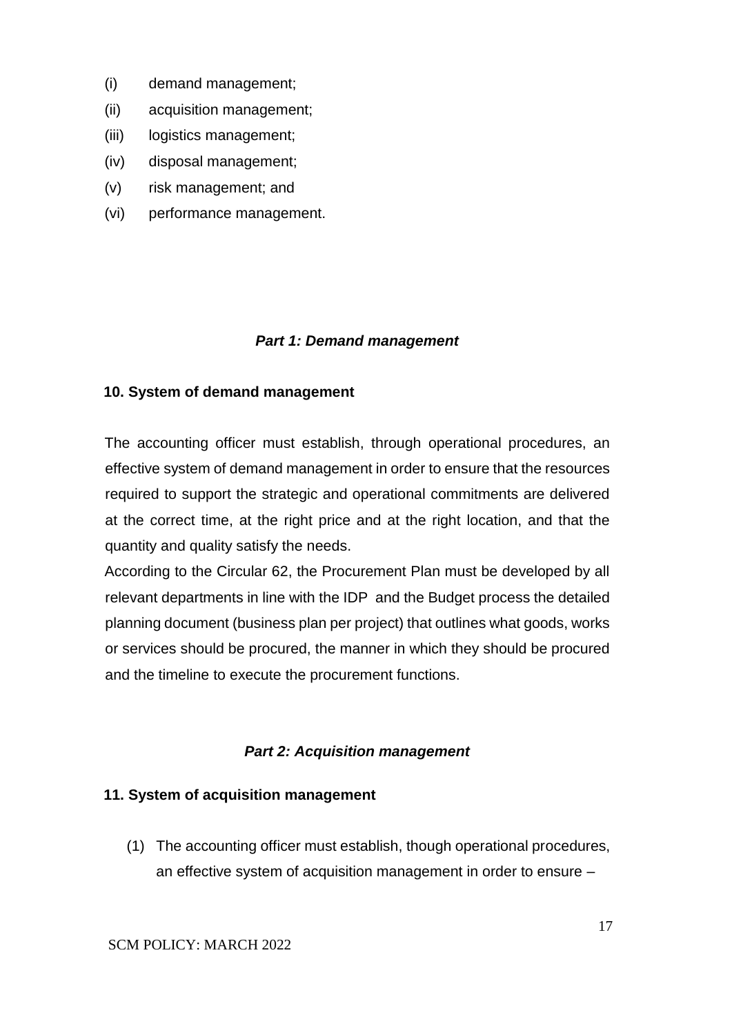- (i) demand management;
- (ii) acquisition management;
- (iii) logistics management;
- (iv) disposal management;
- (v) risk management; and
- (vi) performance management.

#### *Part 1: Demand management*

#### **10. System of demand management**

The accounting officer must establish, through operational procedures, an effective system of demand management in order to ensure that the resources required to support the strategic and operational commitments are delivered at the correct time, at the right price and at the right location, and that the quantity and quality satisfy the needs.

According to the Circular 62, the Procurement Plan must be developed by all relevant departments in line with the IDP and the Budget process the detailed planning document (business plan per project) that outlines what goods, works or services should be procured, the manner in which they should be procured and the timeline to execute the procurement functions.

### *Part 2: Acquisition management*

#### **11. System of acquisition management**

(1) The accounting officer must establish, though operational procedures, an effective system of acquisition management in order to ensure –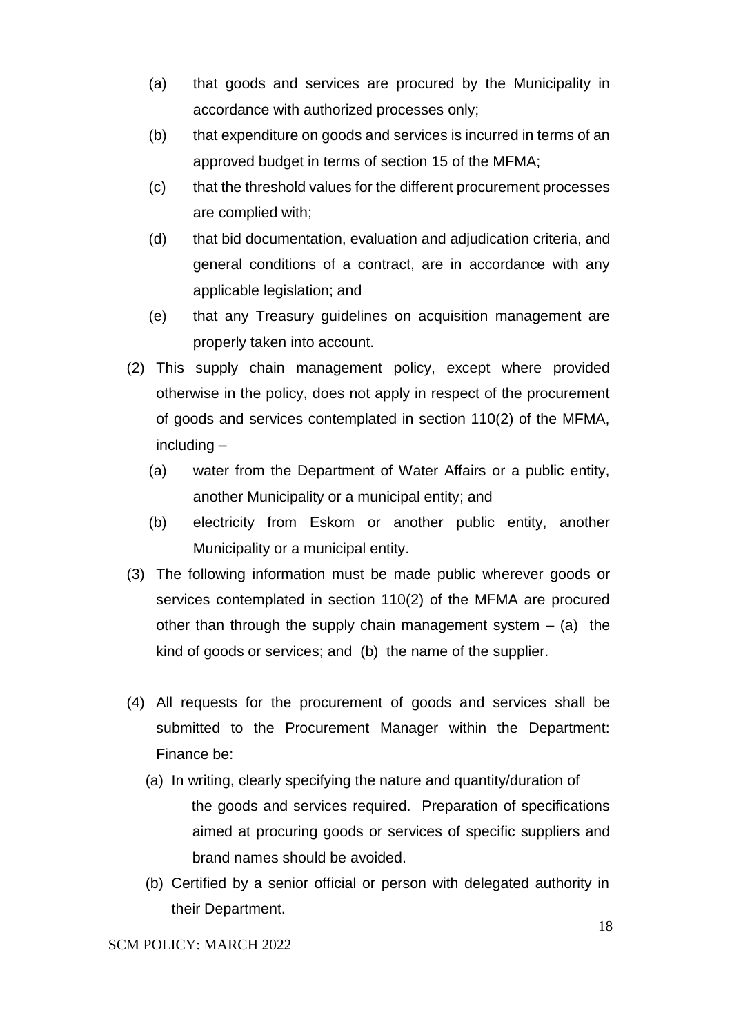- (a) that goods and services are procured by the Municipality in accordance with authorized processes only;
- (b) that expenditure on goods and services is incurred in terms of an approved budget in terms of section 15 of the MFMA;
- (c) that the threshold values for the different procurement processes are complied with;
- (d) that bid documentation, evaluation and adjudication criteria, and general conditions of a contract, are in accordance with any applicable legislation; and
- (e) that any Treasury guidelines on acquisition management are properly taken into account.
- (2) This supply chain management policy, except where provided otherwise in the policy, does not apply in respect of the procurement of goods and services contemplated in section 110(2) of the MFMA, including –
	- (a) water from the Department of Water Affairs or a public entity, another Municipality or a municipal entity; and
	- (b) electricity from Eskom or another public entity, another Municipality or a municipal entity.
- (3) The following information must be made public wherever goods or services contemplated in section 110(2) of the MFMA are procured other than through the supply chain management system  $-$  (a) the kind of goods or services; and (b) the name of the supplier.
- (4) All requests for the procurement of goods and services shall be submitted to the Procurement Manager within the Department: Finance be:
	- (a) In writing, clearly specifying the nature and quantity/duration of the goods and services required. Preparation of specifications aimed at procuring goods or services of specific suppliers and brand names should be avoided.
	- (b) Certified by a senior official or person with delegated authority in their Department.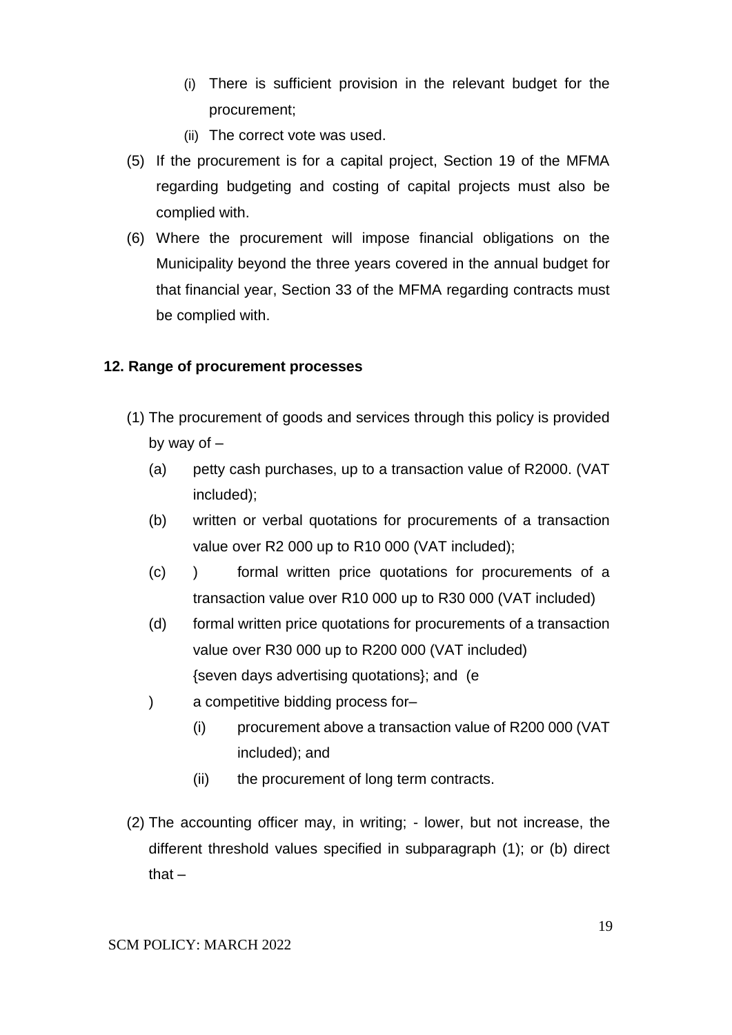- (i) There is sufficient provision in the relevant budget for the procurement;
- (ii) The correct vote was used.
- (5) If the procurement is for a capital project, Section 19 of the MFMA regarding budgeting and costing of capital projects must also be complied with.
- (6) Where the procurement will impose financial obligations on the Municipality beyond the three years covered in the annual budget for that financial year, Section 33 of the MFMA regarding contracts must be complied with.

#### **12. Range of procurement processes**

- (1) The procurement of goods and services through this policy is provided by way of –
	- (a) petty cash purchases, up to a transaction value of R2000. (VAT included);
	- (b) written or verbal quotations for procurements of a transaction value over R2 000 up to R10 000 (VAT included);
	- (c) ) formal written price quotations for procurements of a transaction value over R10 000 up to R30 000 (VAT included)
	- (d) formal written price quotations for procurements of a transaction value over R30 000 up to R200 000 (VAT included) {seven days advertising quotations}; and (e
	- ) a competitive bidding process for–
		- (i) procurement above a transaction value of R200 000 (VAT included); and
		- (ii) the procurement of long term contracts.
- (2) The accounting officer may, in writing; lower, but not increase, the different threshold values specified in subparagraph (1); or (b) direct that $-$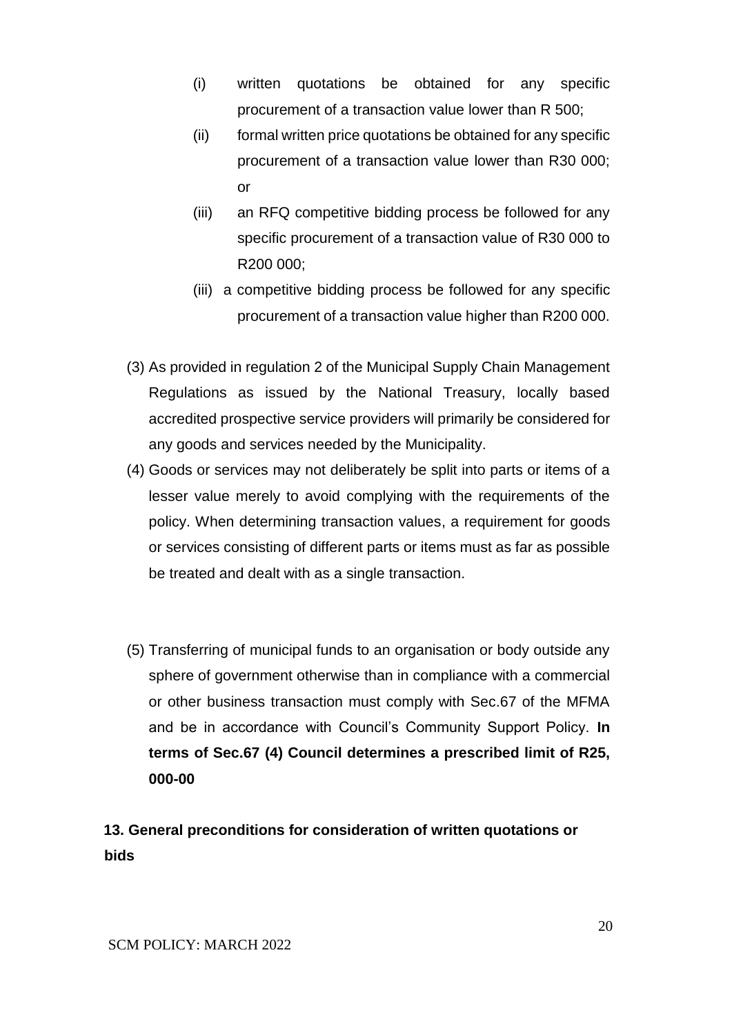- (i) written quotations be obtained for any specific procurement of a transaction value lower than R 500;
- (ii) formal written price quotations be obtained for any specific procurement of a transaction value lower than R30 000; or
- (iii) an RFQ competitive bidding process be followed for any specific procurement of a transaction value of R30 000 to R200 000;
- (iii) a competitive bidding process be followed for any specific procurement of a transaction value higher than R200 000.
- (3) As provided in regulation 2 of the Municipal Supply Chain Management Regulations as issued by the National Treasury, locally based accredited prospective service providers will primarily be considered for any goods and services needed by the Municipality.
- (4) Goods or services may not deliberately be split into parts or items of a lesser value merely to avoid complying with the requirements of the policy. When determining transaction values, a requirement for goods or services consisting of different parts or items must as far as possible be treated and dealt with as a single transaction.
- (5) Transferring of municipal funds to an organisation or body outside any sphere of government otherwise than in compliance with a commercial or other business transaction must comply with Sec.67 of the MFMA and be in accordance with Council's Community Support Policy. **In terms of Sec.67 (4) Council determines a prescribed limit of R25, 000-00**

**13. General preconditions for consideration of written quotations or bids**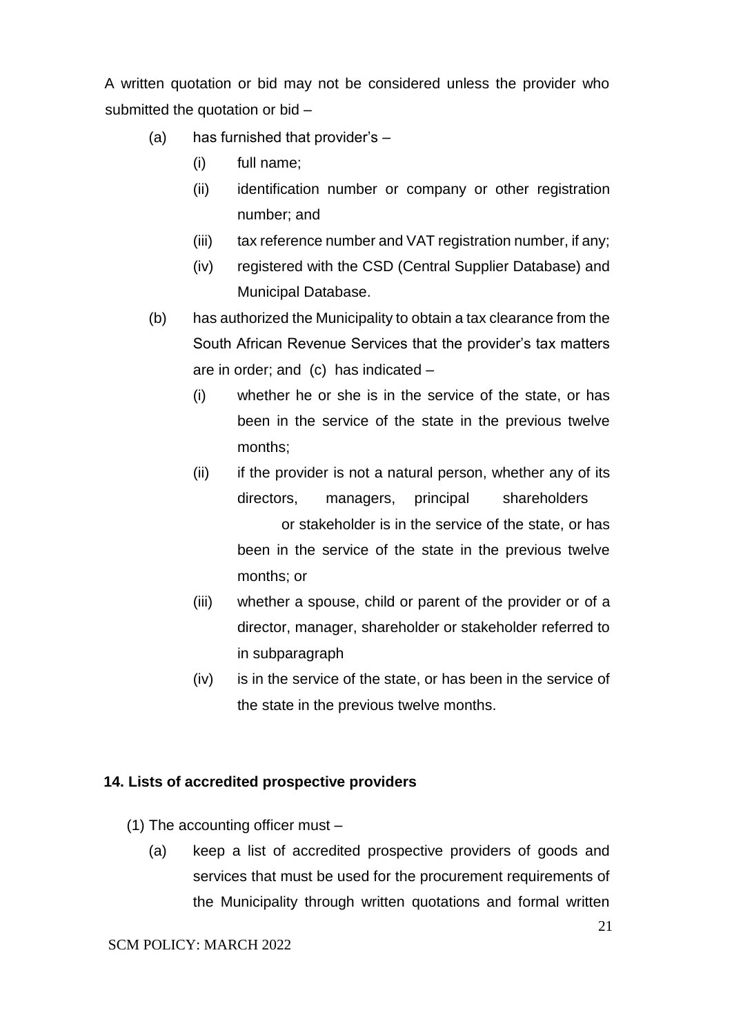A written quotation or bid may not be considered unless the provider who submitted the quotation or bid –

- (a) has furnished that provider's
	- (i) full name;
	- (ii) identification number or company or other registration number; and
	- (iii) tax reference number and VAT registration number, if any;
	- (iv) registered with the CSD (Central Supplier Database) and Municipal Database.
- (b) has authorized the Municipality to obtain a tax clearance from the South African Revenue Services that the provider's tax matters are in order; and (c) has indicated –
	- (i) whether he or she is in the service of the state, or has been in the service of the state in the previous twelve months;
	- (ii) if the provider is not a natural person, whether any of its directors, managers, principal shareholders or stakeholder is in the service of the state, or has been in the service of the state in the previous twelve months; or
	- (iii) whether a spouse, child or parent of the provider or of a director, manager, shareholder or stakeholder referred to in subparagraph
	- (iv) is in the service of the state, or has been in the service of the state in the previous twelve months.

#### **14. Lists of accredited prospective providers**

- (1) The accounting officer must
	- (a) keep a list of accredited prospective providers of goods and services that must be used for the procurement requirements of the Municipality through written quotations and formal written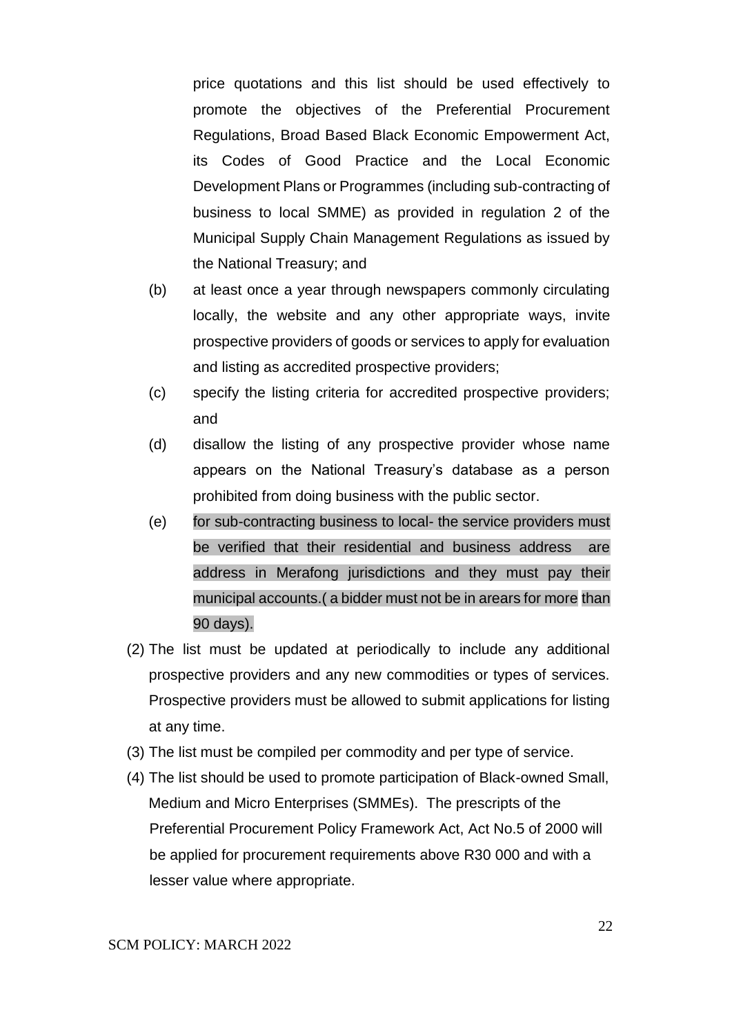price quotations and this list should be used effectively to promote the objectives of the Preferential Procurement Regulations, Broad Based Black Economic Empowerment Act, its Codes of Good Practice and the Local Economic Development Plans or Programmes (including sub-contracting of business to local SMME) as provided in regulation 2 of the Municipal Supply Chain Management Regulations as issued by the National Treasury; and

- (b) at least once a year through newspapers commonly circulating locally, the website and any other appropriate ways, invite prospective providers of goods or services to apply for evaluation and listing as accredited prospective providers;
- (c) specify the listing criteria for accredited prospective providers; and
- (d) disallow the listing of any prospective provider whose name appears on the National Treasury's database as a person prohibited from doing business with the public sector.
- (e) for sub-contracting business to local- the service providers must be verified that their residential and business address are address in Merafong jurisdictions and they must pay their municipal accounts.( a bidder must not be in arears for more than 90 days).
- (2) The list must be updated at periodically to include any additional prospective providers and any new commodities or types of services. Prospective providers must be allowed to submit applications for listing at any time.
- (3) The list must be compiled per commodity and per type of service.
- (4) The list should be used to promote participation of Black-owned Small, Medium and Micro Enterprises (SMMEs). The prescripts of the Preferential Procurement Policy Framework Act, Act No.5 of 2000 will be applied for procurement requirements above R30 000 and with a lesser value where appropriate.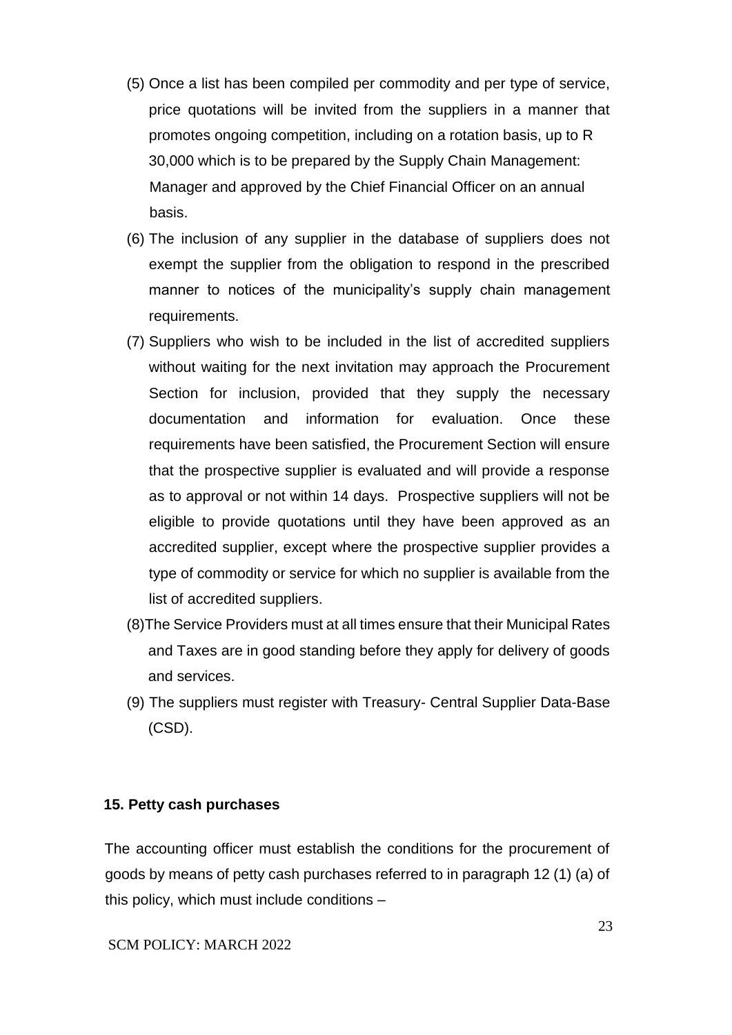- (5) Once a list has been compiled per commodity and per type of service, price quotations will be invited from the suppliers in a manner that promotes ongoing competition, including on a rotation basis, up to R 30,000 which is to be prepared by the Supply Chain Management: Manager and approved by the Chief Financial Officer on an annual basis.
- (6) The inclusion of any supplier in the database of suppliers does not exempt the supplier from the obligation to respond in the prescribed manner to notices of the municipality's supply chain management requirements.
- (7) Suppliers who wish to be included in the list of accredited suppliers without waiting for the next invitation may approach the Procurement Section for inclusion, provided that they supply the necessary documentation and information for evaluation. Once these requirements have been satisfied, the Procurement Section will ensure that the prospective supplier is evaluated and will provide a response as to approval or not within 14 days. Prospective suppliers will not be eligible to provide quotations until they have been approved as an accredited supplier, except where the prospective supplier provides a type of commodity or service for which no supplier is available from the list of accredited suppliers.
- (8)The Service Providers must at all times ensure that their Municipal Rates and Taxes are in good standing before they apply for delivery of goods and services.
- (9) The suppliers must register with Treasury- Central Supplier Data-Base (CSD).

#### **15. Petty cash purchases**

The accounting officer must establish the conditions for the procurement of goods by means of petty cash purchases referred to in paragraph 12 (1) (a) of this policy, which must include conditions –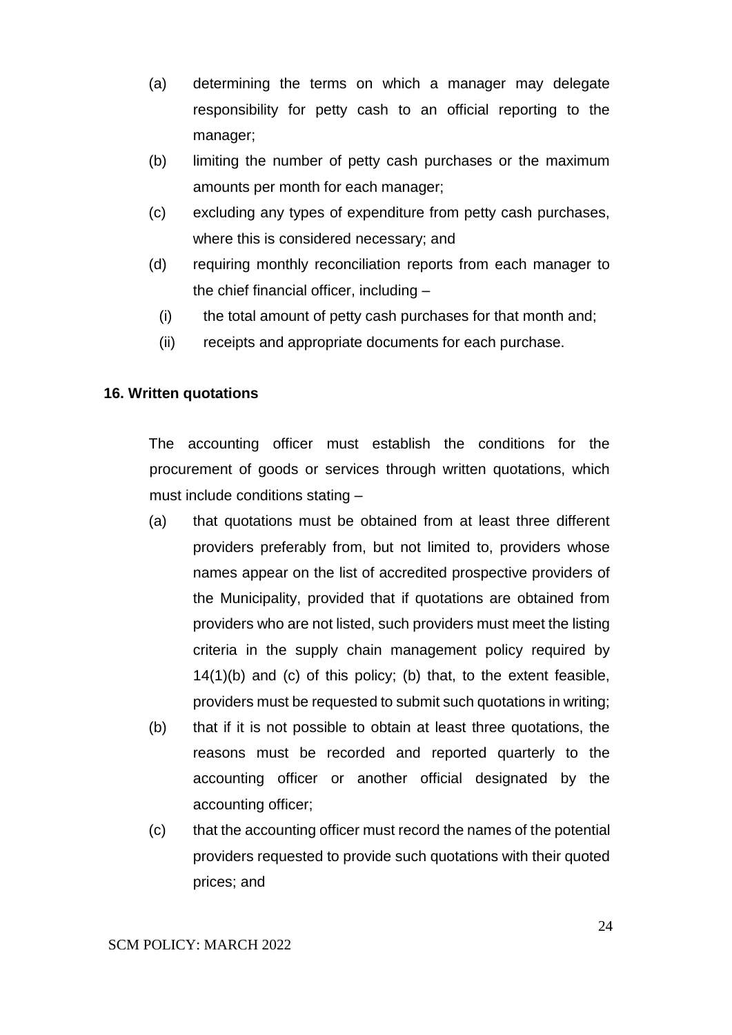- (a) determining the terms on which a manager may delegate responsibility for petty cash to an official reporting to the manager;
- (b) limiting the number of petty cash purchases or the maximum amounts per month for each manager;
- (c) excluding any types of expenditure from petty cash purchases, where this is considered necessary; and
- (d) requiring monthly reconciliation reports from each manager to the chief financial officer, including –
	- (i) the total amount of petty cash purchases for that month and;
	- (ii) receipts and appropriate documents for each purchase.

#### **16. Written quotations**

The accounting officer must establish the conditions for the procurement of goods or services through written quotations, which must include conditions stating –

- (a) that quotations must be obtained from at least three different providers preferably from, but not limited to, providers whose names appear on the list of accredited prospective providers of the Municipality, provided that if quotations are obtained from providers who are not listed, such providers must meet the listing criteria in the supply chain management policy required by 14(1)(b) and (c) of this policy; (b) that, to the extent feasible, providers must be requested to submit such quotations in writing;
- (b) that if it is not possible to obtain at least three quotations, the reasons must be recorded and reported quarterly to the accounting officer or another official designated by the accounting officer;
- (c) that the accounting officer must record the names of the potential providers requested to provide such quotations with their quoted prices; and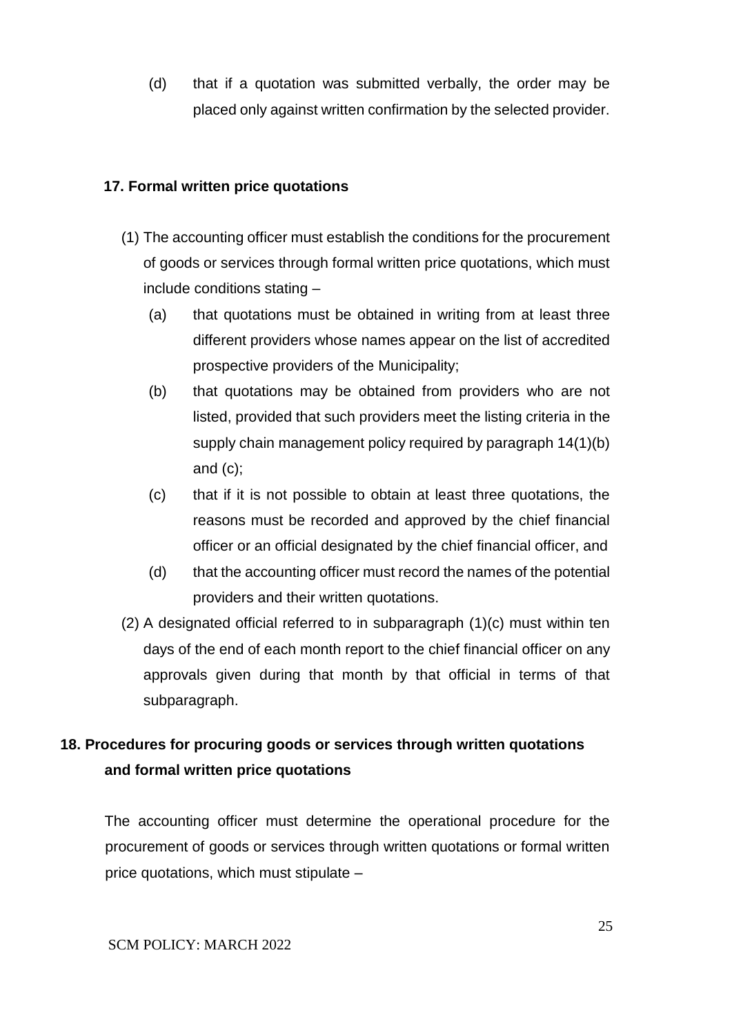(d) that if a quotation was submitted verbally, the order may be placed only against written confirmation by the selected provider.

#### **17. Formal written price quotations**

- (1) The accounting officer must establish the conditions for the procurement of goods or services through formal written price quotations, which must include conditions stating –
	- (a) that quotations must be obtained in writing from at least three different providers whose names appear on the list of accredited prospective providers of the Municipality;
	- (b) that quotations may be obtained from providers who are not listed, provided that such providers meet the listing criteria in the supply chain management policy required by paragraph 14(1)(b) and (c);
	- (c) that if it is not possible to obtain at least three quotations, the reasons must be recorded and approved by the chief financial officer or an official designated by the chief financial officer, and
	- (d) that the accounting officer must record the names of the potential providers and their written quotations.
- (2) A designated official referred to in subparagraph (1)(c) must within ten days of the end of each month report to the chief financial officer on any approvals given during that month by that official in terms of that subparagraph.

# **18. Procedures for procuring goods or services through written quotations and formal written price quotations**

The accounting officer must determine the operational procedure for the procurement of goods or services through written quotations or formal written price quotations, which must stipulate –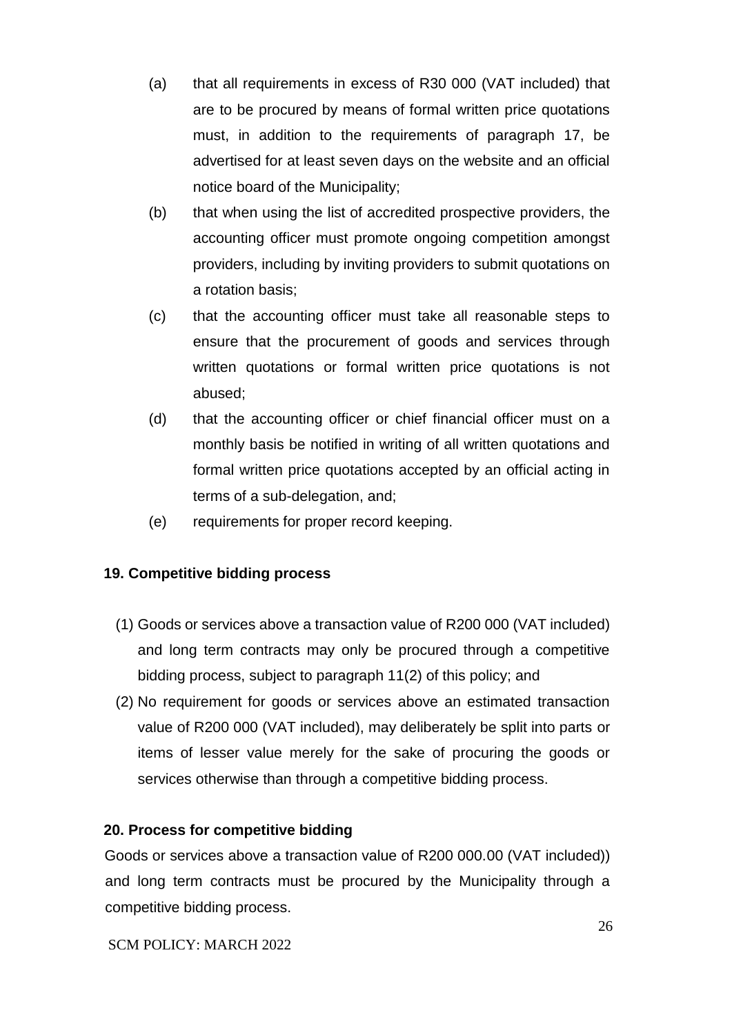- (a) that all requirements in excess of R30 000 (VAT included) that are to be procured by means of formal written price quotations must, in addition to the requirements of paragraph 17, be advertised for at least seven days on the website and an official notice board of the Municipality;
- (b) that when using the list of accredited prospective providers, the accounting officer must promote ongoing competition amongst providers, including by inviting providers to submit quotations on a rotation basis;
- (c) that the accounting officer must take all reasonable steps to ensure that the procurement of goods and services through written quotations or formal written price quotations is not abused;
- (d) that the accounting officer or chief financial officer must on a monthly basis be notified in writing of all written quotations and formal written price quotations accepted by an official acting in terms of a sub-delegation, and;
- (e) requirements for proper record keeping.

# **19. Competitive bidding process**

- (1) Goods or services above a transaction value of R200 000 (VAT included) and long term contracts may only be procured through a competitive bidding process, subject to paragraph 11(2) of this policy; and
- (2) No requirement for goods or services above an estimated transaction value of R200 000 (VAT included), may deliberately be split into parts or items of lesser value merely for the sake of procuring the goods or services otherwise than through a competitive bidding process.

### **20. Process for competitive bidding**

Goods or services above a transaction value of R200 000.00 (VAT included)) and long term contracts must be procured by the Municipality through a competitive bidding process.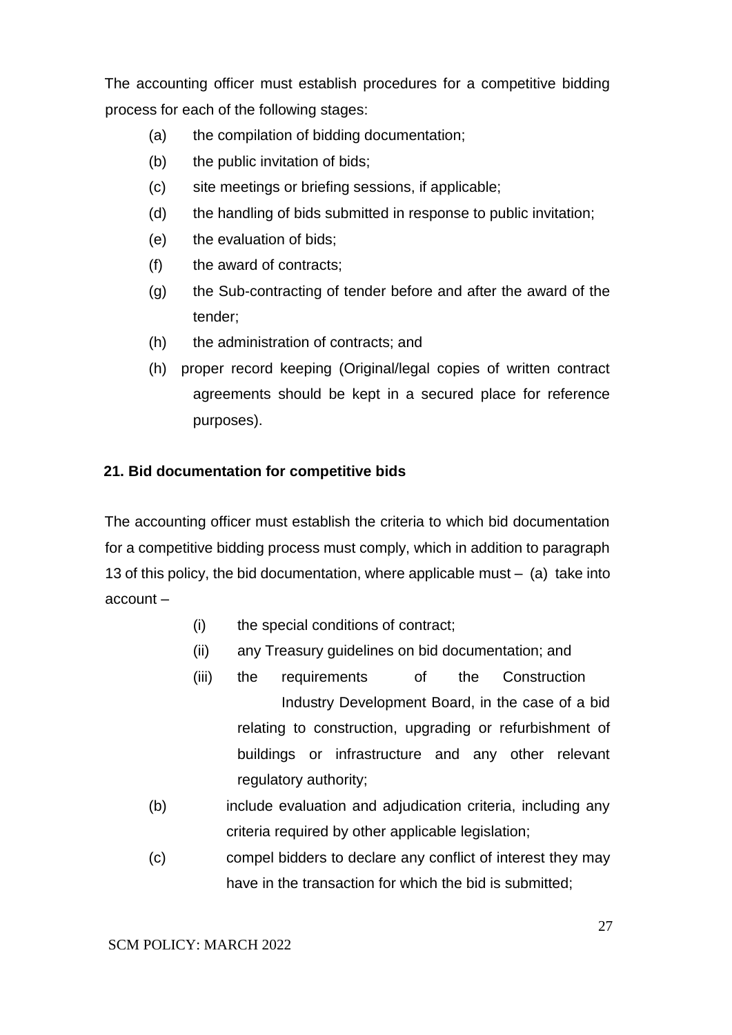The accounting officer must establish procedures for a competitive bidding process for each of the following stages:

- (a) the compilation of bidding documentation;
- (b) the public invitation of bids;
- (c) site meetings or briefing sessions, if applicable;
- (d) the handling of bids submitted in response to public invitation;
- (e) the evaluation of bids;
- (f) the award of contracts;
- (g) the Sub-contracting of tender before and after the award of the tender;
- (h) the administration of contracts; and
- (h) proper record keeping (Original/legal copies of written contract agreements should be kept in a secured place for reference purposes).

### **21. Bid documentation for competitive bids**

The accounting officer must establish the criteria to which bid documentation for a competitive bidding process must comply, which in addition to paragraph 13 of this policy, the bid documentation, where applicable must – (a) take into account –

- (i) the special conditions of contract;
- (ii) any Treasury guidelines on bid documentation; and
- (iii) the requirements of the Construction Industry Development Board, in the case of a bid relating to construction, upgrading or refurbishment of buildings or infrastructure and any other relevant regulatory authority;
- (b) include evaluation and adjudication criteria, including any criteria required by other applicable legislation;
- (c) compel bidders to declare any conflict of interest they may have in the transaction for which the bid is submitted;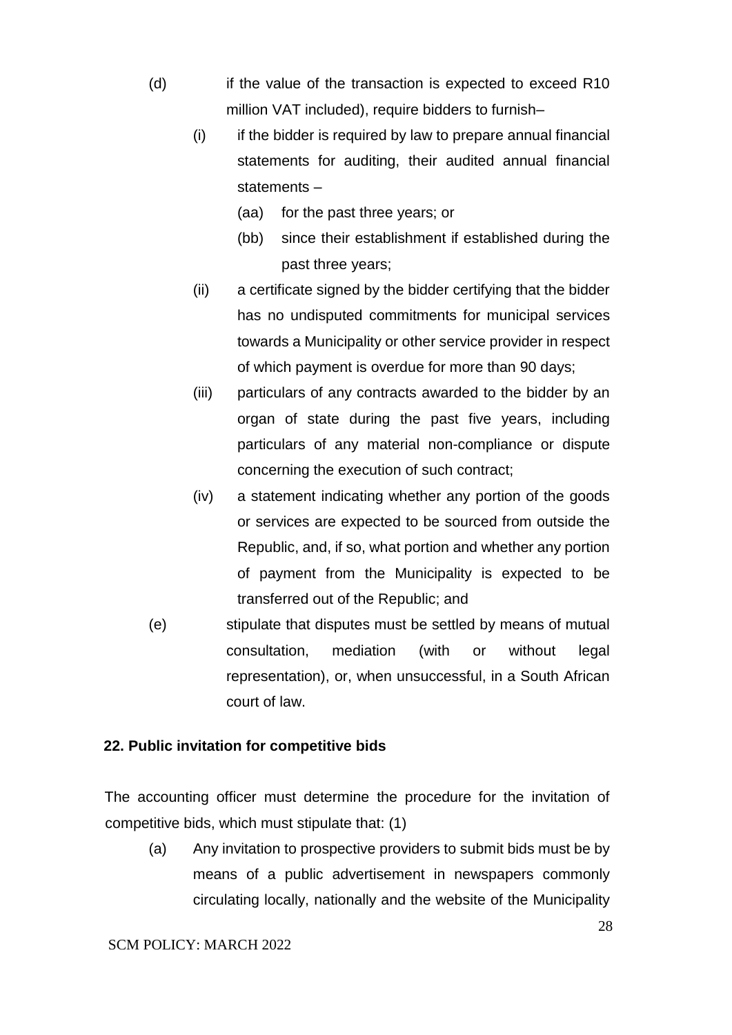- (d) if the value of the transaction is expected to exceed R10 million VAT included), require bidders to furnish–
	- (i) if the bidder is required by law to prepare annual financial statements for auditing, their audited annual financial statements –
		- (aa) for the past three years; or
		- (bb) since their establishment if established during the past three years;
	- (ii) a certificate signed by the bidder certifying that the bidder has no undisputed commitments for municipal services towards a Municipality or other service provider in respect of which payment is overdue for more than 90 days;
	- (iii) particulars of any contracts awarded to the bidder by an organ of state during the past five years, including particulars of any material non-compliance or dispute concerning the execution of such contract;
	- (iv) a statement indicating whether any portion of the goods or services are expected to be sourced from outside the Republic, and, if so, what portion and whether any portion of payment from the Municipality is expected to be transferred out of the Republic; and
- (e) stipulate that disputes must be settled by means of mutual consultation, mediation (with or without legal representation), or, when unsuccessful, in a South African court of law.

#### **22. Public invitation for competitive bids**

The accounting officer must determine the procedure for the invitation of competitive bids, which must stipulate that: (1)

(a) Any invitation to prospective providers to submit bids must be by means of a public advertisement in newspapers commonly circulating locally, nationally and the website of the Municipality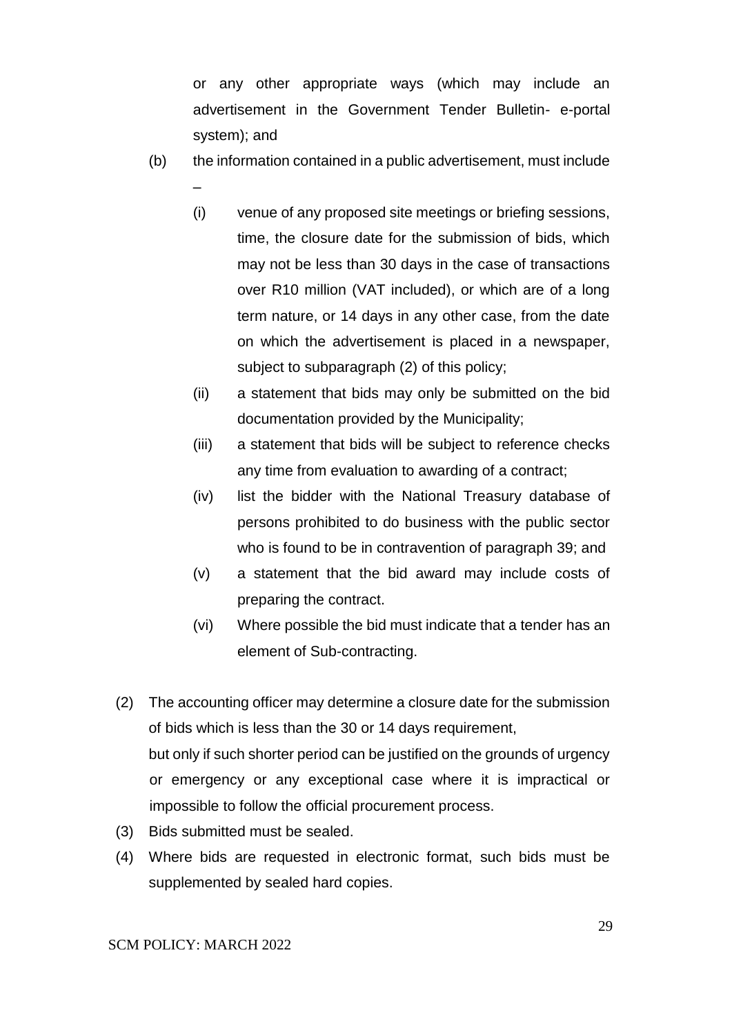or any other appropriate ways (which may include an advertisement in the Government Tender Bulletin- e-portal system); and

- (b) the information contained in a public advertisement, must include
	- (i) venue of any proposed site meetings or briefing sessions, time, the closure date for the submission of bids, which may not be less than 30 days in the case of transactions over R10 million (VAT included), or which are of a long term nature, or 14 days in any other case, from the date on which the advertisement is placed in a newspaper, subject to subparagraph (2) of this policy;
	- (ii) a statement that bids may only be submitted on the bid documentation provided by the Municipality;
	- (iii) a statement that bids will be subject to reference checks any time from evaluation to awarding of a contract;
	- (iv) list the bidder with the National Treasury database of persons prohibited to do business with the public sector who is found to be in contravention of paragraph 39; and
	- (v) a statement that the bid award may include costs of preparing the contract.
	- (vi) Where possible the bid must indicate that a tender has an element of Sub-contracting.
- (2) The accounting officer may determine a closure date for the submission of bids which is less than the 30 or 14 days requirement, but only if such shorter period can be justified on the grounds of urgency or emergency or any exceptional case where it is impractical or impossible to follow the official procurement process.
- (3) Bids submitted must be sealed.
- (4) Where bids are requested in electronic format, such bids must be supplemented by sealed hard copies.

–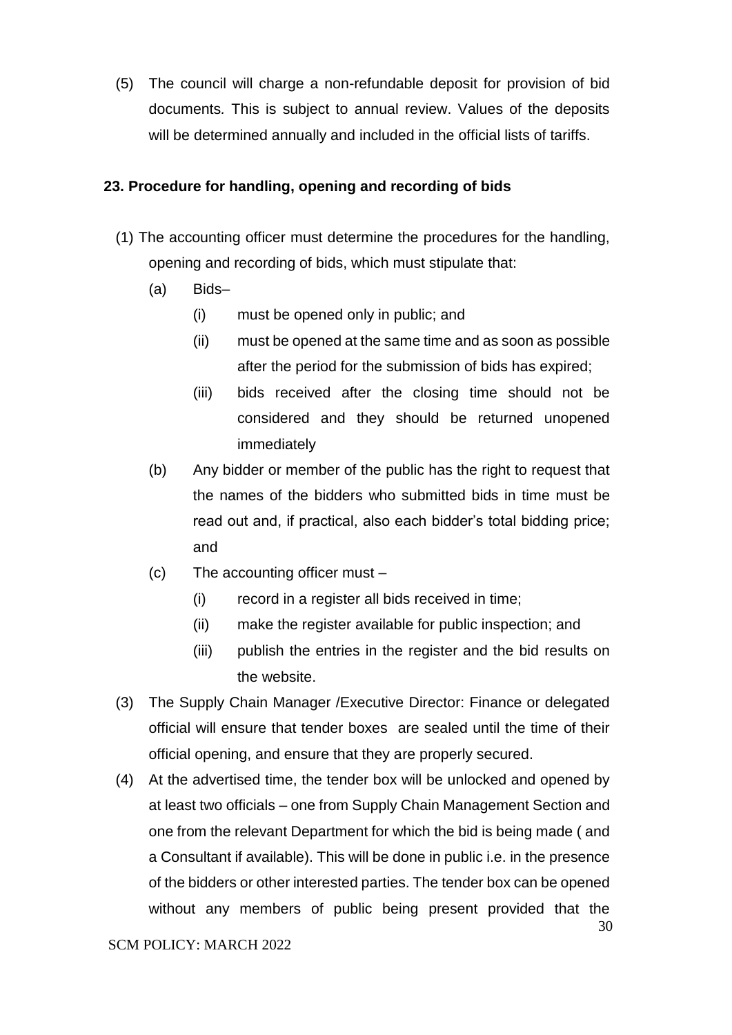(5) The council will charge a non-refundable deposit for provision of bid documents*.* This is subject to annual review. Values of the deposits will be determined annually and included in the official lists of tariffs.

#### **23. Procedure for handling, opening and recording of bids**

- (1) The accounting officer must determine the procedures for the handling, opening and recording of bids, which must stipulate that:
	- (a) Bids–
		- (i) must be opened only in public; and
		- (ii) must be opened at the same time and as soon as possible after the period for the submission of bids has expired;
		- (iii) bids received after the closing time should not be considered and they should be returned unopened immediately
	- (b) Any bidder or member of the public has the right to request that the names of the bidders who submitted bids in time must be read out and, if practical, also each bidder's total bidding price; and
	- (c) The accounting officer must
		- (i) record in a register all bids received in time;
		- (ii) make the register available for public inspection; and
		- (iii) publish the entries in the register and the bid results on the website.
- (3) The Supply Chain Manager /Executive Director: Finance or delegated official will ensure that tender boxes are sealed until the time of their official opening, and ensure that they are properly secured.
- (4) At the advertised time, the tender box will be unlocked and opened by at least two officials – one from Supply Chain Management Section and one from the relevant Department for which the bid is being made ( and a Consultant if available). This will be done in public i.e. in the presence of the bidders or other interested parties. The tender box can be opened without any members of public being present provided that the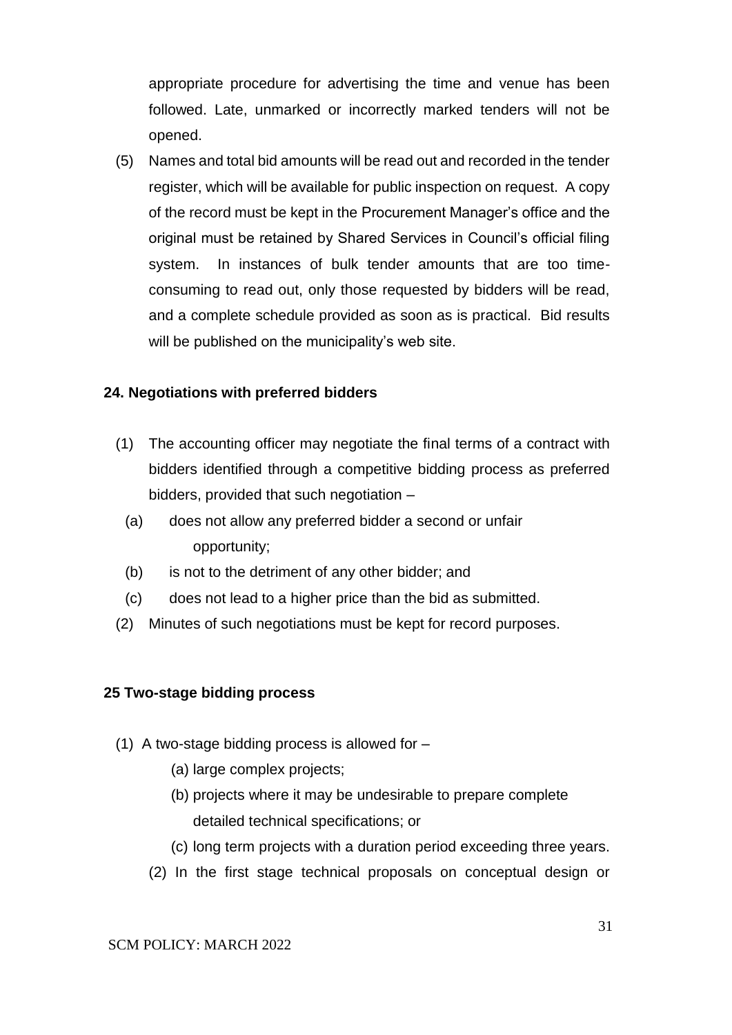appropriate procedure for advertising the time and venue has been followed. Late, unmarked or incorrectly marked tenders will not be opened.

(5) Names and total bid amounts will be read out and recorded in the tender register, which will be available for public inspection on request. A copy of the record must be kept in the Procurement Manager's office and the original must be retained by Shared Services in Council's official filing system. In instances of bulk tender amounts that are too timeconsuming to read out, only those requested by bidders will be read, and a complete schedule provided as soon as is practical. Bid results will be published on the municipality's web site.

#### **24. Negotiations with preferred bidders**

- (1) The accounting officer may negotiate the final terms of a contract with bidders identified through a competitive bidding process as preferred bidders, provided that such negotiation –
	- (a) does not allow any preferred bidder a second or unfair opportunity;
	- (b) is not to the detriment of any other bidder; and
	- (c) does not lead to a higher price than the bid as submitted.
- (2) Minutes of such negotiations must be kept for record purposes.

#### **25 Two-stage bidding process**

- (1) A two-stage bidding process is allowed for
	- (a) large complex projects;
	- (b) projects where it may be undesirable to prepare complete detailed technical specifications; or
	- (c) long term projects with a duration period exceeding three years.
	- (2) In the first stage technical proposals on conceptual design or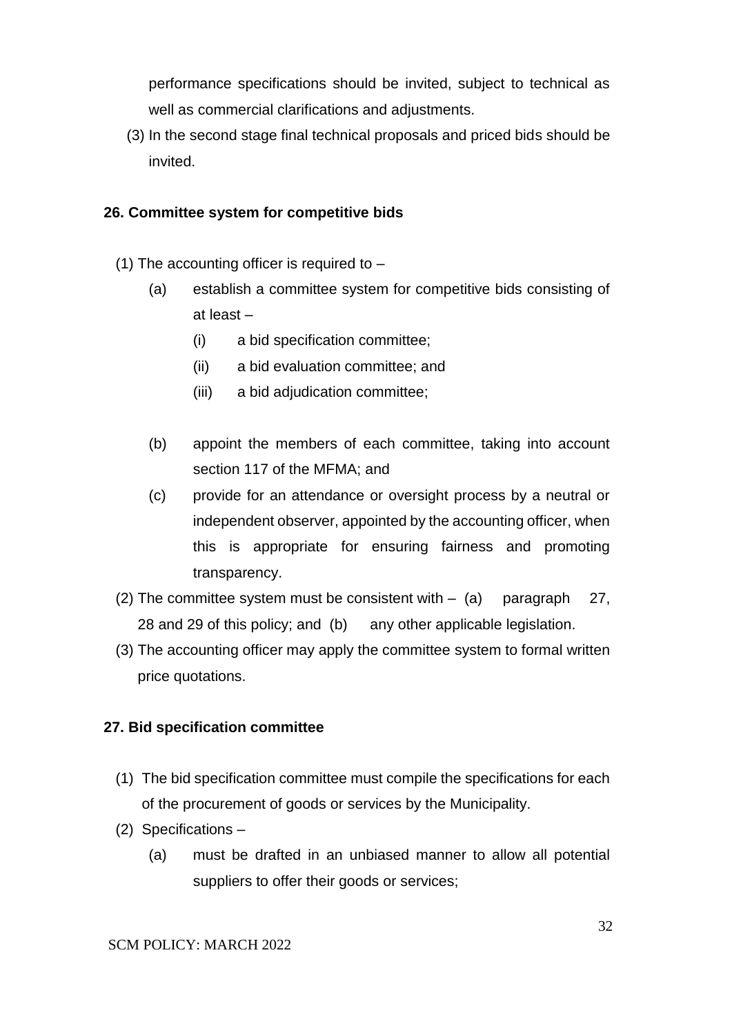performance specifications should be invited, subject to technical as well as commercial clarifications and adjustments.

(3) In the second stage final technical proposals and priced bids should be invited.

#### **26. Committee system for competitive bids**

- (1) The accounting officer is required to  $-$ 
	- (a) establish a committee system for competitive bids consisting of at least –
		- (i) a bid specification committee;
		- (ii) a bid evaluation committee; and
		- (iii) a bid adjudication committee;
	- (b) appoint the members of each committee, taking into account section 117 of the MFMA; and
	- (c) provide for an attendance or oversight process by a neutral or independent observer, appointed by the accounting officer, when this is appropriate for ensuring fairness and promoting transparency.
- (2) The committee system must be consistent with  $-$  (a) paragraph 27, 28 and 29 of this policy; and (b) any other applicable legislation.
- (3) The accounting officer may apply the committee system to formal written price quotations.

### **27. Bid specification committee**

- (1) The bid specification committee must compile the specifications for each of the procurement of goods or services by the Municipality.
- (2) Specifications
	- (a) must be drafted in an unbiased manner to allow all potential suppliers to offer their goods or services;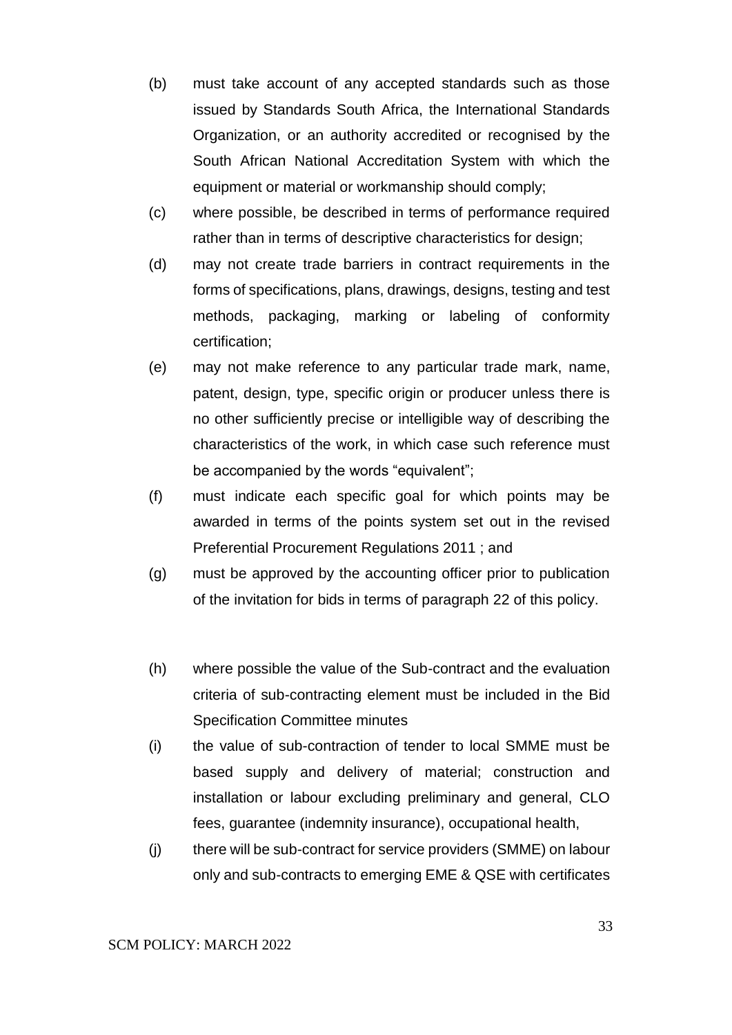- (b) must take account of any accepted standards such as those issued by Standards South Africa, the International Standards Organization, or an authority accredited or recognised by the South African National Accreditation System with which the equipment or material or workmanship should comply;
- (c) where possible, be described in terms of performance required rather than in terms of descriptive characteristics for design;
- (d) may not create trade barriers in contract requirements in the forms of specifications, plans, drawings, designs, testing and test methods, packaging, marking or labeling of conformity certification;
- (e) may not make reference to any particular trade mark, name, patent, design, type, specific origin or producer unless there is no other sufficiently precise or intelligible way of describing the characteristics of the work, in which case such reference must be accompanied by the words "equivalent";
- (f) must indicate each specific goal for which points may be awarded in terms of the points system set out in the revised Preferential Procurement Regulations 2011 ; and
- (g) must be approved by the accounting officer prior to publication of the invitation for bids in terms of paragraph 22 of this policy.
- (h) where possible the value of the Sub-contract and the evaluation criteria of sub-contracting element must be included in the Bid Specification Committee minutes
- (i) the value of sub-contraction of tender to local SMME must be based supply and delivery of material; construction and installation or labour excluding preliminary and general, CLO fees, guarantee (indemnity insurance), occupational health,
- (j) there will be sub-contract for service providers (SMME) on labour only and sub-contracts to emerging EME & QSE with certificates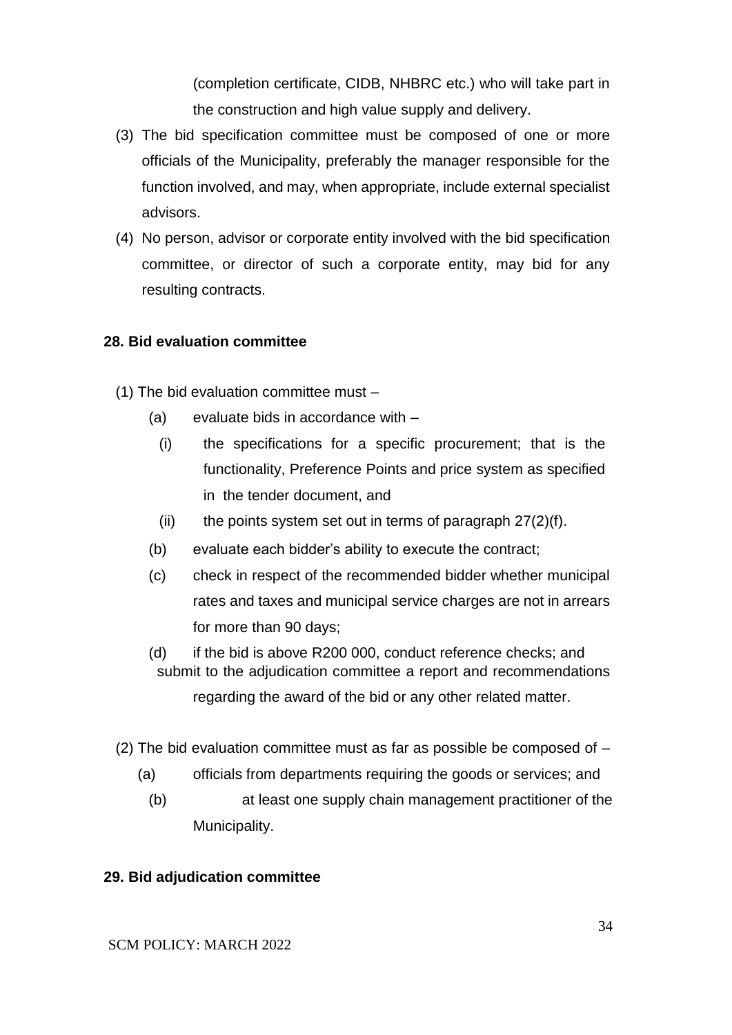(completion certificate, CIDB, NHBRC etc.) who will take part in the construction and high value supply and delivery.

- (3) The bid specification committee must be composed of one or more officials of the Municipality, preferably the manager responsible for the function involved, and may, when appropriate, include external specialist advisors.
- (4) No person, advisor or corporate entity involved with the bid specification committee, or director of such a corporate entity, may bid for any resulting contracts.

#### **28. Bid evaluation committee**

- (1) The bid evaluation committee must
	- (a) evaluate bids in accordance with
		- (i) the specifications for a specific procurement; that is the functionality, Preference Points and price system as specified in the tender document, and
		- (ii) the points system set out in terms of paragraph  $27(2)(f)$ .
	- (b) evaluate each bidder's ability to execute the contract;
	- (c) check in respect of the recommended bidder whether municipal rates and taxes and municipal service charges are not in arrears for more than 90 days;
	- (d) if the bid is above R200 000, conduct reference checks; and submit to the adjudication committee a report and recommendations regarding the award of the bid or any other related matter.
- (2) The bid evaluation committee must as far as possible be composed of  $-$ 
	- (a) officials from departments requiring the goods or services; and
	- (b) at least one supply chain management practitioner of the Municipality.

#### **29. Bid adjudication committee**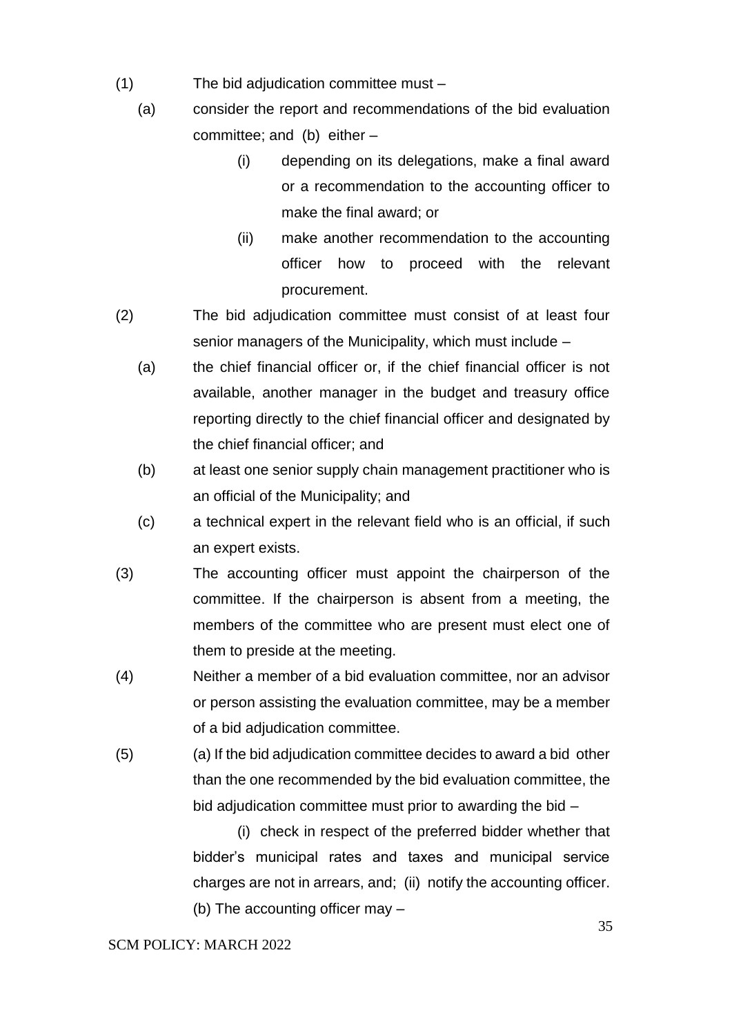- (1) The bid adjudication committee must
	- (a) consider the report and recommendations of the bid evaluation committee; and (b) either –
		- (i) depending on its delegations, make a final award or a recommendation to the accounting officer to make the final award; or
		- (ii) make another recommendation to the accounting officer how to proceed with the relevant procurement.
- (2) The bid adjudication committee must consist of at least four senior managers of the Municipality, which must include –
	- (a) the chief financial officer or, if the chief financial officer is not available, another manager in the budget and treasury office reporting directly to the chief financial officer and designated by the chief financial officer; and
	- (b) at least one senior supply chain management practitioner who is an official of the Municipality; and
	- (c) a technical expert in the relevant field who is an official, if such an expert exists.
- (3) The accounting officer must appoint the chairperson of the committee. If the chairperson is absent from a meeting, the members of the committee who are present must elect one of them to preside at the meeting.
- (4) Neither a member of a bid evaluation committee, nor an advisor or person assisting the evaluation committee, may be a member of a bid adjudication committee.
- (5) (a) If the bid adjudication committee decides to award a bid other than the one recommended by the bid evaluation committee, the bid adjudication committee must prior to awarding the bid –

(i) check in respect of the preferred bidder whether that bidder's municipal rates and taxes and municipal service charges are not in arrears, and; (ii) notify the accounting officer. (b) The accounting officer may –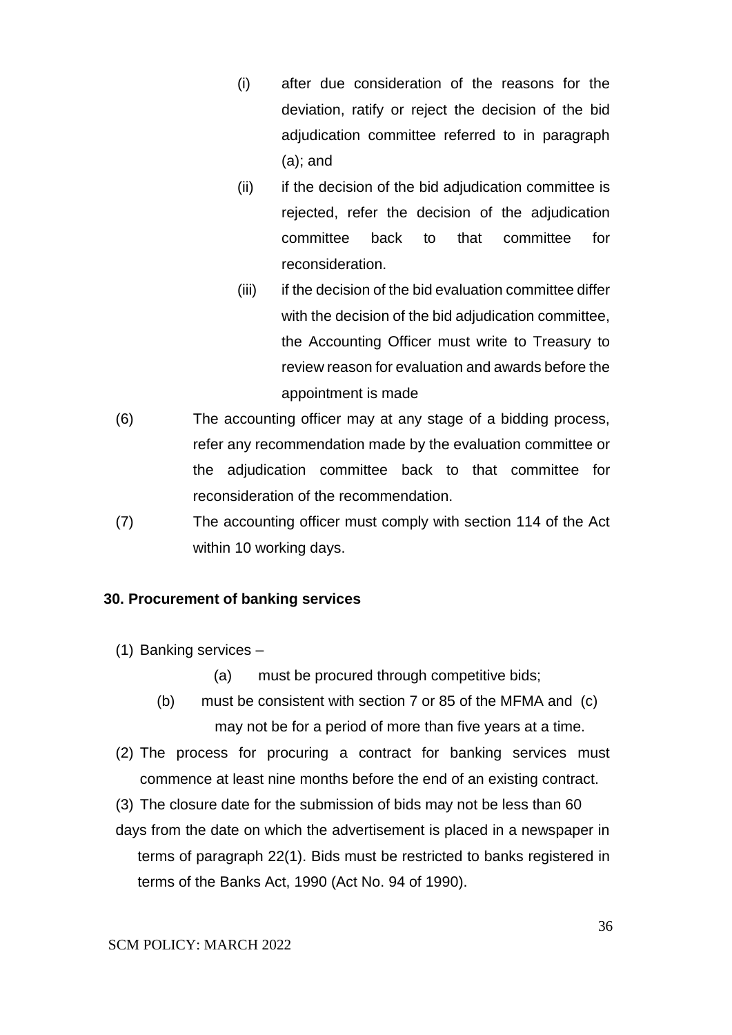- (i) after due consideration of the reasons for the deviation, ratify or reject the decision of the bid adjudication committee referred to in paragraph (a); and
- (ii) if the decision of the bid adjudication committee is rejected, refer the decision of the adjudication committee back to that committee for reconsideration.
- (iii) if the decision of the bid evaluation committee differ with the decision of the bid adjudication committee, the Accounting Officer must write to Treasury to review reason for evaluation and awards before the appointment is made
- (6) The accounting officer may at any stage of a bidding process, refer any recommendation made by the evaluation committee or the adjudication committee back to that committee for reconsideration of the recommendation.
- (7) The accounting officer must comply with section 114 of the Act within 10 working days.

### **30. Procurement of banking services**

- (1) Banking services
	- (a) must be procured through competitive bids;
	- (b) must be consistent with section 7 or 85 of the MFMA and (c) may not be for a period of more than five years at a time.
- (2) The process for procuring a contract for banking services must commence at least nine months before the end of an existing contract.
- (3) The closure date for the submission of bids may not be less than 60
- days from the date on which the advertisement is placed in a newspaper in terms of paragraph 22(1). Bids must be restricted to banks registered in terms of the Banks Act, 1990 (Act No. 94 of 1990).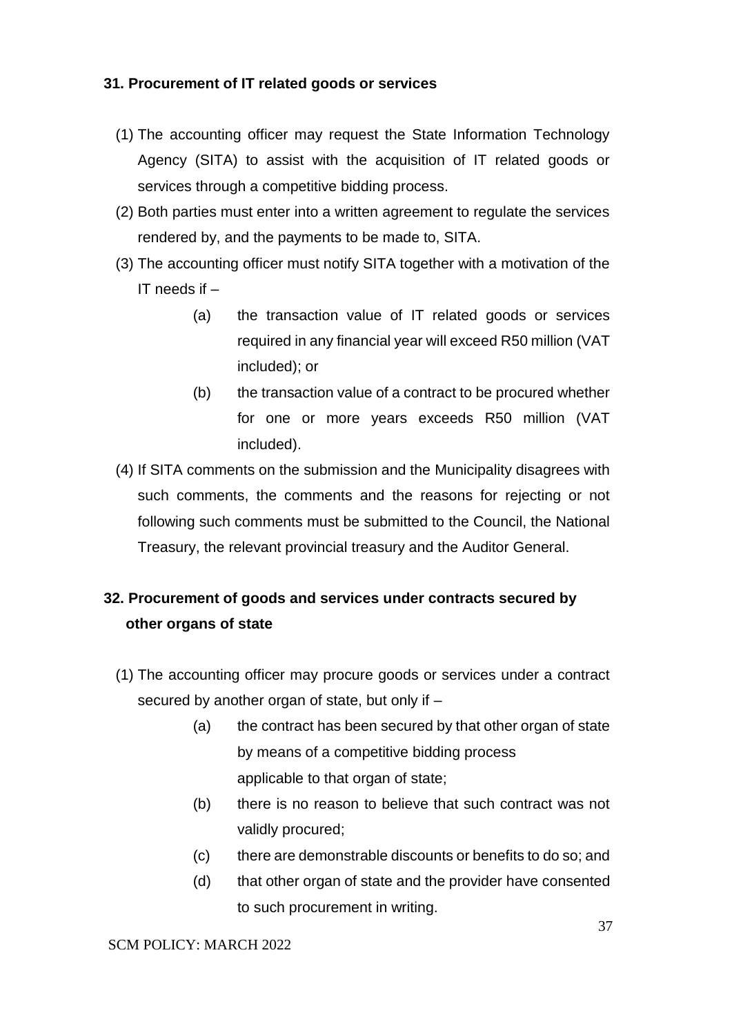## **31. Procurement of IT related goods or services**

- (1) The accounting officer may request the State Information Technology Agency (SITA) to assist with the acquisition of IT related goods or services through a competitive bidding process.
- (2) Both parties must enter into a written agreement to regulate the services rendered by, and the payments to be made to, SITA.
- (3) The accounting officer must notify SITA together with a motivation of the IT needs if  $-$ 
	- (a) the transaction value of IT related goods or services required in any financial year will exceed R50 million (VAT included); or
	- (b) the transaction value of a contract to be procured whether for one or more years exceeds R50 million (VAT included).
- (4) If SITA comments on the submission and the Municipality disagrees with such comments, the comments and the reasons for rejecting or not following such comments must be submitted to the Council, the National Treasury, the relevant provincial treasury and the Auditor General.

# **32. Procurement of goods and services under contracts secured by other organs of state**

- (1) The accounting officer may procure goods or services under a contract secured by another organ of state, but only if –
	- (a) the contract has been secured by that other organ of state by means of a competitive bidding process applicable to that organ of state;
	- (b) there is no reason to believe that such contract was not validly procured;
	- (c) there are demonstrable discounts or benefits to do so; and
	- (d) that other organ of state and the provider have consented to such procurement in writing.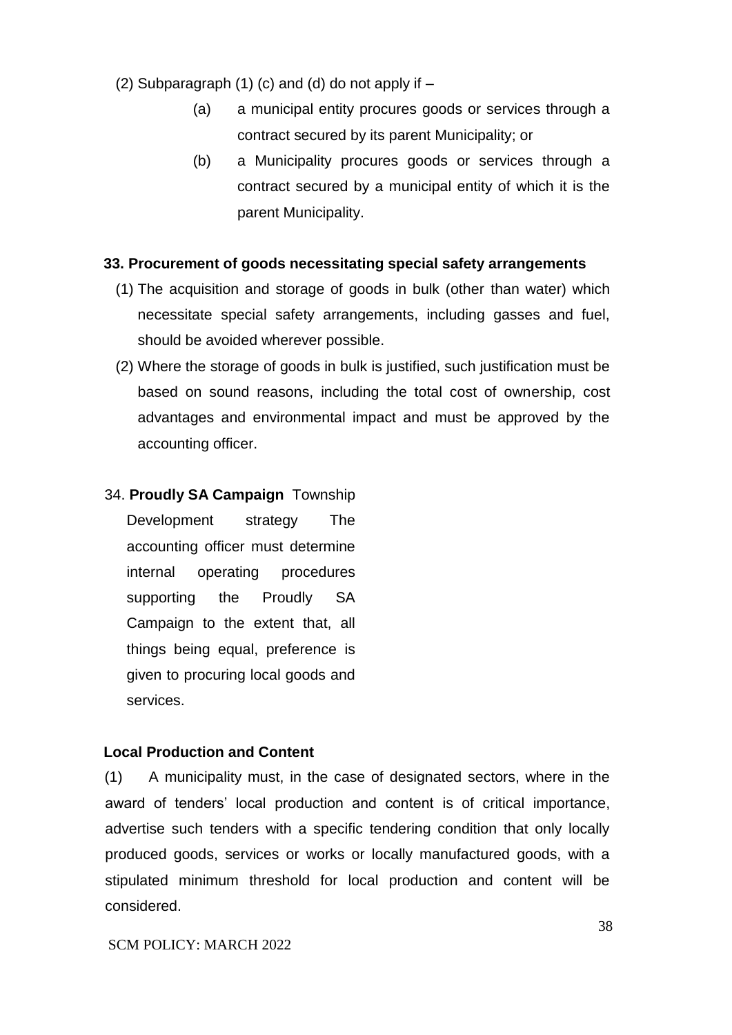- (2) Subparagraph  $(1)$  (c) and  $(d)$  do not apply if  $-$ 
	- (a) a municipal entity procures goods or services through a contract secured by its parent Municipality; or
	- (b) a Municipality procures goods or services through a contract secured by a municipal entity of which it is the parent Municipality.

### **33. Procurement of goods necessitating special safety arrangements**

- (1) The acquisition and storage of goods in bulk (other than water) which necessitate special safety arrangements, including gasses and fuel, should be avoided wherever possible.
- (2) Where the storage of goods in bulk is justified, such justification must be based on sound reasons, including the total cost of ownership, cost advantages and environmental impact and must be approved by the accounting officer.

### 34. **Proudly SA Campaign** Township

Development strategy The accounting officer must determine internal operating procedures supporting the Proudly SA Campaign to the extent that, all things being equal, preference is given to procuring local goods and services.

### **Local Production and Content**

(1) A municipality must, in the case of designated sectors, where in the award of tenders' local production and content is of critical importance, advertise such tenders with a specific tendering condition that only locally produced goods, services or works or locally manufactured goods, with a stipulated minimum threshold for local production and content will be considered.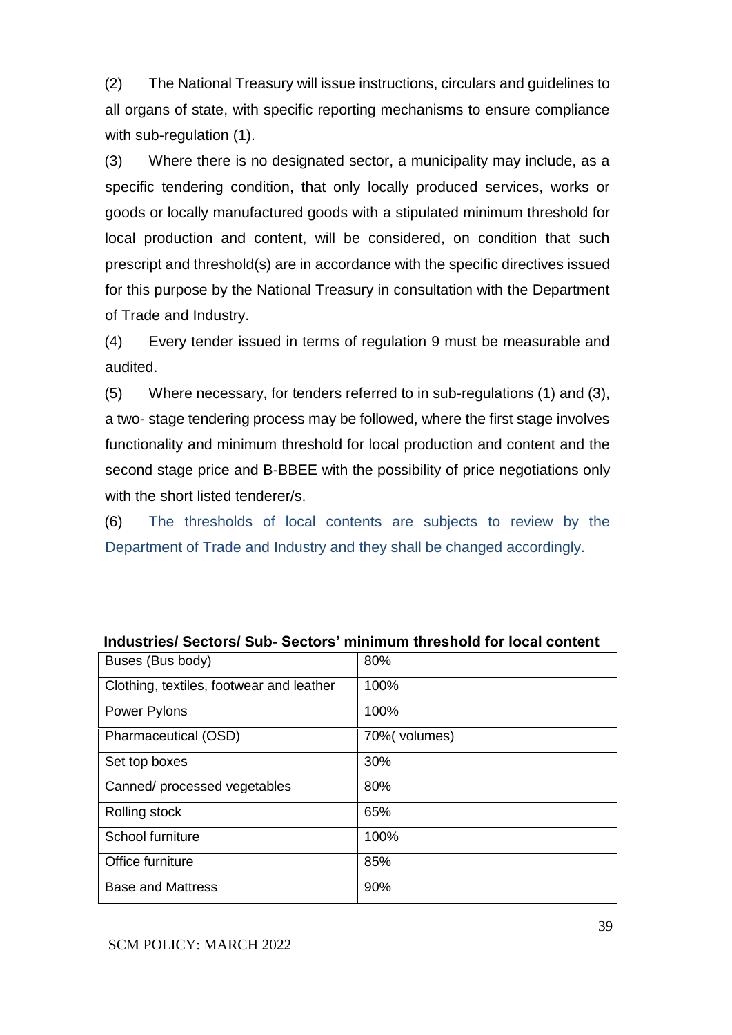(2) The National Treasury will issue instructions, circulars and guidelines to all organs of state, with specific reporting mechanisms to ensure compliance with sub-regulation (1).

(3) Where there is no designated sector, a municipality may include, as a specific tendering condition, that only locally produced services, works or goods or locally manufactured goods with a stipulated minimum threshold for local production and content, will be considered, on condition that such prescript and threshold(s) are in accordance with the specific directives issued for this purpose by the National Treasury in consultation with the Department of Trade and Industry.

(4) Every tender issued in terms of regulation 9 must be measurable and audited.

(5) Where necessary, for tenders referred to in sub-regulations (1) and (3), a two- stage tendering process may be followed, where the first stage involves functionality and minimum threshold for local production and content and the second stage price and B-BBEE with the possibility of price negotiations only with the short listed tenderer/s.

(6) The thresholds of local contents are subjects to review by the Department of Trade and Industry and they shall be changed accordingly.

| Buses (Bus body)                         | 80%           |
|------------------------------------------|---------------|
| Clothing, textiles, footwear and leather | 100%          |
| <b>Power Pylons</b>                      | 100%          |
| Pharmaceutical (OSD)                     | 70% (volumes) |
| Set top boxes                            | 30%           |
| Canned/ processed vegetables             | 80%           |
| Rolling stock                            | 65%           |
| School furniture                         | 100%          |
| Office furniture                         | 85%           |
| <b>Base and Mattress</b>                 | 90%           |

|  | Industries/Sectors/Sub-Sectors' minimum threshold for local content |
|--|---------------------------------------------------------------------|
|--|---------------------------------------------------------------------|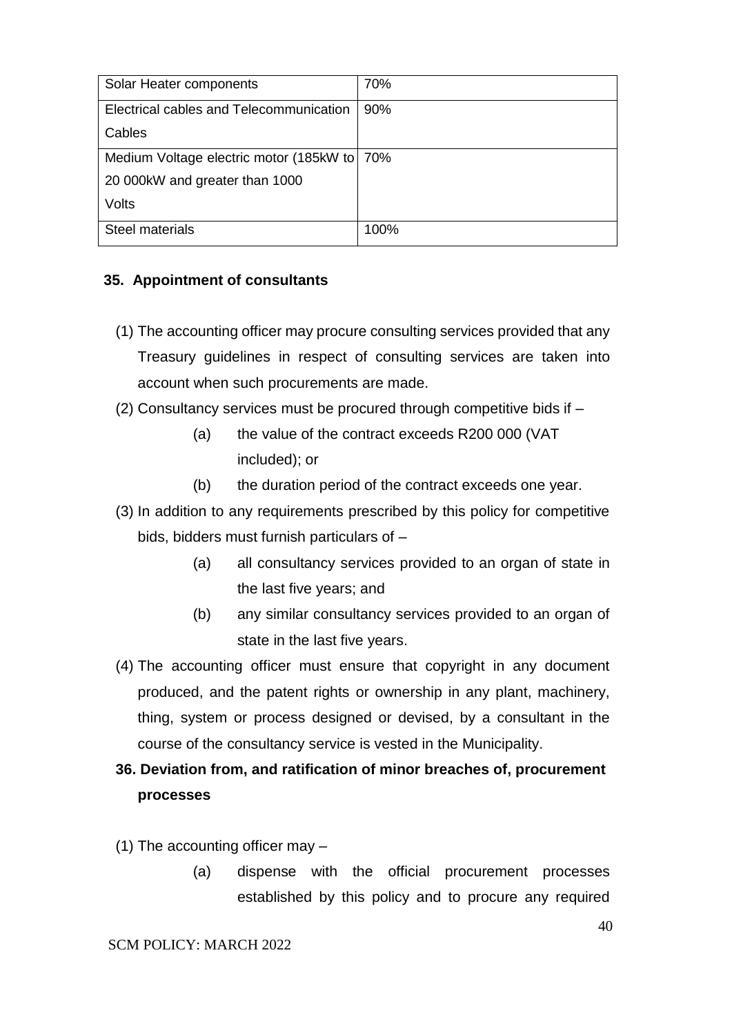| Solar Heater components                     | 70%  |
|---------------------------------------------|------|
| Electrical cables and Telecommunication     | 90%  |
| Cables                                      |      |
| Medium Voltage electric motor (185kW to 70% |      |
| 20 000kW and greater than 1000              |      |
| Volts                                       |      |
| <b>Steel materials</b>                      | 100% |

## **35. Appointment of consultants**

- (1) The accounting officer may procure consulting services provided that any Treasury guidelines in respect of consulting services are taken into account when such procurements are made.
- (2) Consultancy services must be procured through competitive bids if
	- (a) the value of the contract exceeds R200 000 (VAT included); or
	- (b) the duration period of the contract exceeds one year.
- (3) In addition to any requirements prescribed by this policy for competitive bids, bidders must furnish particulars of –
	- (a) all consultancy services provided to an organ of state in the last five years; and
	- (b) any similar consultancy services provided to an organ of state in the last five years.
- (4) The accounting officer must ensure that copyright in any document produced, and the patent rights or ownership in any plant, machinery, thing, system or process designed or devised, by a consultant in the course of the consultancy service is vested in the Municipality.

# **36. Deviation from, and ratification of minor breaches of, procurement processes**

- (1) The accounting officer may
	- (a) dispense with the official procurement processes established by this policy and to procure any required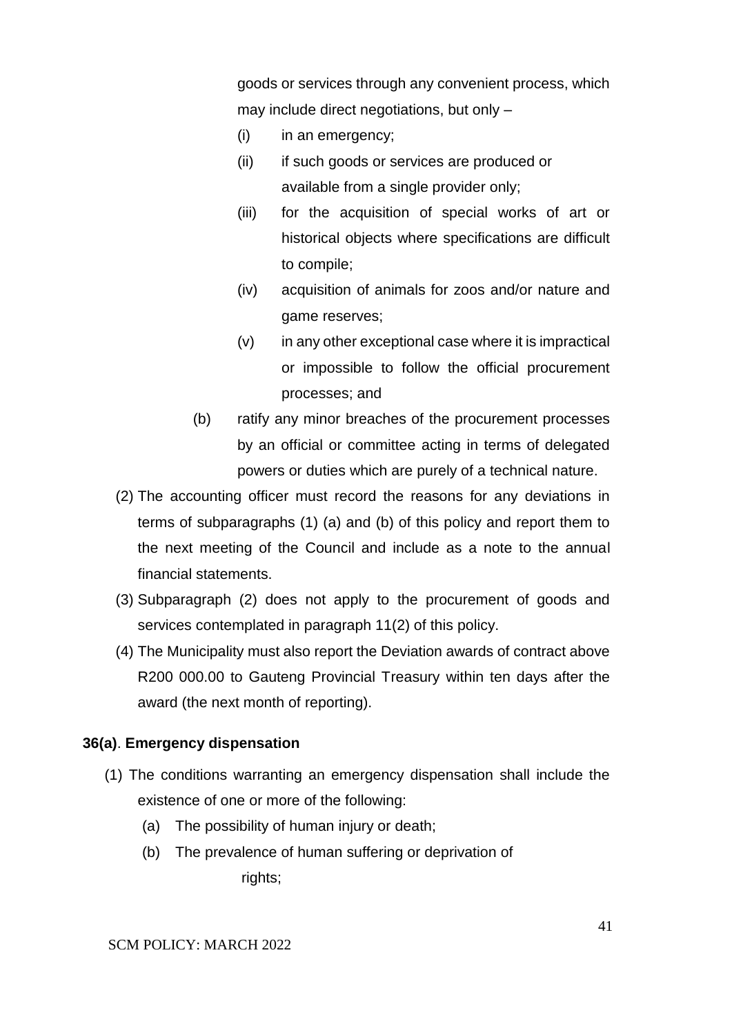goods or services through any convenient process, which may include direct negotiations, but only –

- (i) in an emergency;
- (ii) if such goods or services are produced or available from a single provider only;
- (iii) for the acquisition of special works of art or historical objects where specifications are difficult to compile;
- (iv) acquisition of animals for zoos and/or nature and game reserves;
- $(v)$  in any other exceptional case where it is impractical or impossible to follow the official procurement processes; and
- (b) ratify any minor breaches of the procurement processes by an official or committee acting in terms of delegated powers or duties which are purely of a technical nature.
- (2) The accounting officer must record the reasons for any deviations in terms of subparagraphs (1) (a) and (b) of this policy and report them to the next meeting of the Council and include as a note to the annual financial statements.
- (3) Subparagraph (2) does not apply to the procurement of goods and services contemplated in paragraph 11(2) of this policy.
- (4) The Municipality must also report the Deviation awards of contract above R200 000.00 to Gauteng Provincial Treasury within ten days after the award (the next month of reporting).

### **36(a)**. **Emergency dispensation**

- (1) The conditions warranting an emergency dispensation shall include the existence of one or more of the following:
	- (a) The possibility of human injury or death;
	- (b) The prevalence of human suffering or deprivation of rights;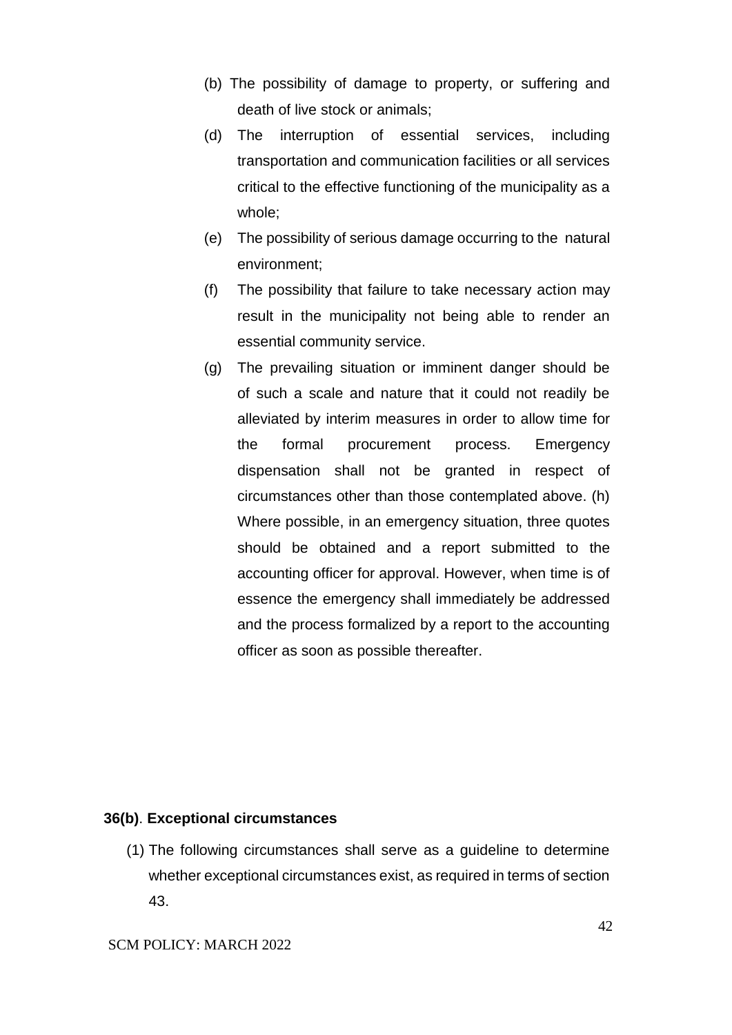- (b) The possibility of damage to property, or suffering and death of live stock or animals;
- (d) The interruption of essential services, including transportation and communication facilities or all services critical to the effective functioning of the municipality as a whole;
- (e) The possibility of serious damage occurring to the natural environment;
- (f) The possibility that failure to take necessary action may result in the municipality not being able to render an essential community service.
- (g) The prevailing situation or imminent danger should be of such a scale and nature that it could not readily be alleviated by interim measures in order to allow time for the formal procurement process. Emergency dispensation shall not be granted in respect of circumstances other than those contemplated above. (h) Where possible, in an emergency situation, three quotes should be obtained and a report submitted to the accounting officer for approval. However, when time is of essence the emergency shall immediately be addressed and the process formalized by a report to the accounting officer as soon as possible thereafter.

### **36(b)**. **Exceptional circumstances**

(1) The following circumstances shall serve as a guideline to determine whether exceptional circumstances exist, as required in terms of section 43.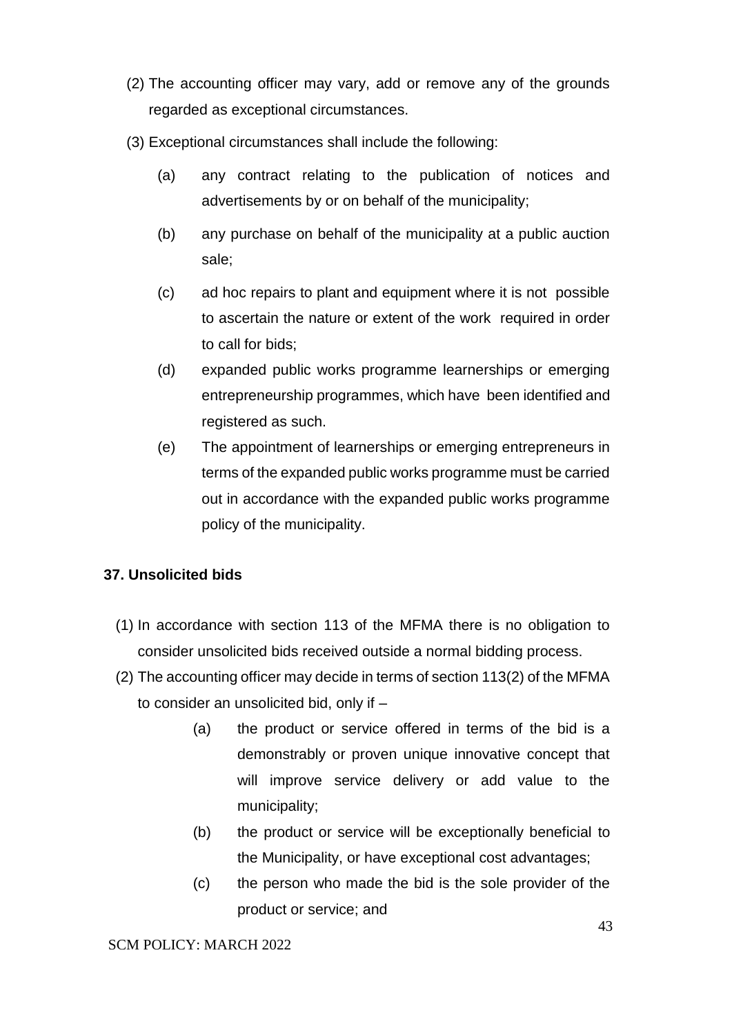- (2) The accounting officer may vary, add or remove any of the grounds regarded as exceptional circumstances.
- (3) Exceptional circumstances shall include the following:
	- (a) any contract relating to the publication of notices and advertisements by or on behalf of the municipality;
	- (b) any purchase on behalf of the municipality at a public auction sale;
	- (c) ad hoc repairs to plant and equipment where it is not possible to ascertain the nature or extent of the work required in order to call for bids;
	- (d) expanded public works programme learnerships or emerging entrepreneurship programmes, which have been identified and registered as such.
	- (e) The appointment of learnerships or emerging entrepreneurs in terms of the expanded public works programme must be carried out in accordance with the expanded public works programme policy of the municipality.

## **37. Unsolicited bids**

- (1) In accordance with section 113 of the MFMA there is no obligation to consider unsolicited bids received outside a normal bidding process.
- (2) The accounting officer may decide in terms of section 113(2) of the MFMA to consider an unsolicited bid, only if –
	- (a) the product or service offered in terms of the bid is a demonstrably or proven unique innovative concept that will improve service delivery or add value to the municipality;
	- (b) the product or service will be exceptionally beneficial to the Municipality, or have exceptional cost advantages;
	- (c) the person who made the bid is the sole provider of the product or service; and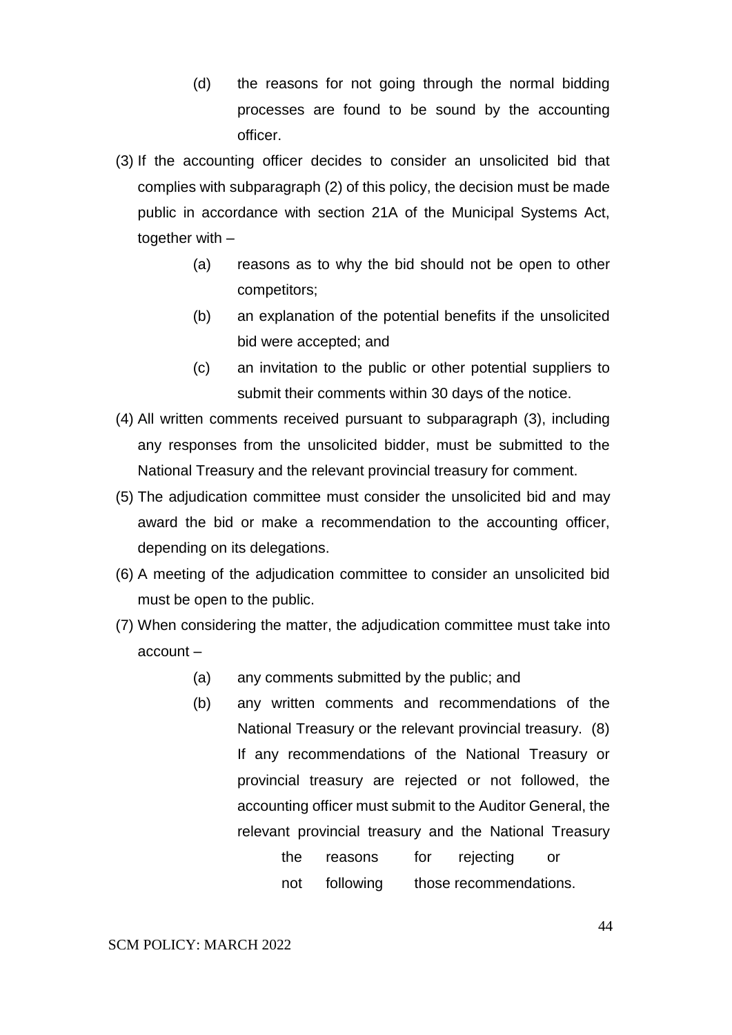- (d) the reasons for not going through the normal bidding processes are found to be sound by the accounting officer.
- (3) If the accounting officer decides to consider an unsolicited bid that complies with subparagraph (2) of this policy, the decision must be made public in accordance with section 21A of the Municipal Systems Act, together with –
	- (a) reasons as to why the bid should not be open to other competitors;
	- (b) an explanation of the potential benefits if the unsolicited bid were accepted; and
	- (c) an invitation to the public or other potential suppliers to submit their comments within 30 days of the notice.
- (4) All written comments received pursuant to subparagraph (3), including any responses from the unsolicited bidder, must be submitted to the National Treasury and the relevant provincial treasury for comment.
- (5) The adjudication committee must consider the unsolicited bid and may award the bid or make a recommendation to the accounting officer, depending on its delegations.
- (6) A meeting of the adjudication committee to consider an unsolicited bid must be open to the public.
- (7) When considering the matter, the adjudication committee must take into account –
	- (a) any comments submitted by the public; and
	- (b) any written comments and recommendations of the National Treasury or the relevant provincial treasury. (8) If any recommendations of the National Treasury or provincial treasury are rejected or not followed, the accounting officer must submit to the Auditor General, the relevant provincial treasury and the National Treasury

| the | reasons   | for | rejecting              |  |
|-----|-----------|-----|------------------------|--|
| not | following |     | those recommendations. |  |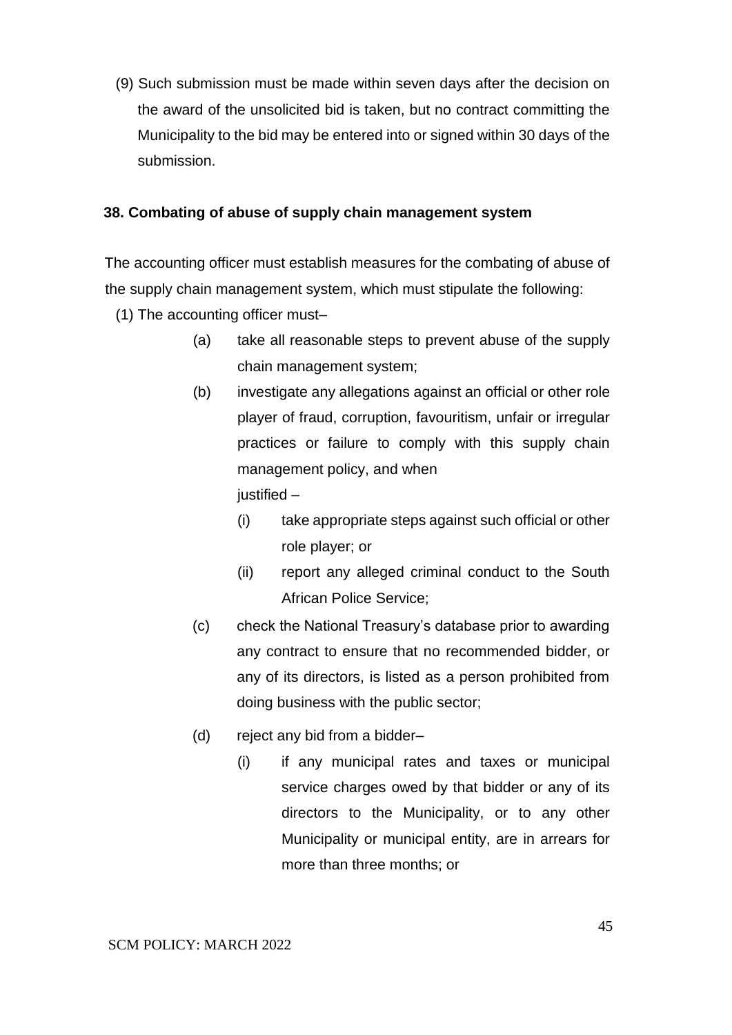(9) Such submission must be made within seven days after the decision on the award of the unsolicited bid is taken, but no contract committing the Municipality to the bid may be entered into or signed within 30 days of the submission.

## **38. Combating of abuse of supply chain management system**

The accounting officer must establish measures for the combating of abuse of the supply chain management system, which must stipulate the following:

- (1) The accounting officer must–
	- (a) take all reasonable steps to prevent abuse of the supply chain management system;
	- (b) investigate any allegations against an official or other role player of fraud, corruption, favouritism, unfair or irregular practices or failure to comply with this supply chain management policy, and when  $i$ ustified –
		- (i) take appropriate steps against such official or other role player; or
		- (ii) report any alleged criminal conduct to the South African Police Service;
	- (c) check the National Treasury's database prior to awarding any contract to ensure that no recommended bidder, or any of its directors, is listed as a person prohibited from doing business with the public sector;
	- (d) reject any bid from a bidder–
		- (i) if any municipal rates and taxes or municipal service charges owed by that bidder or any of its directors to the Municipality, or to any other Municipality or municipal entity, are in arrears for more than three months; or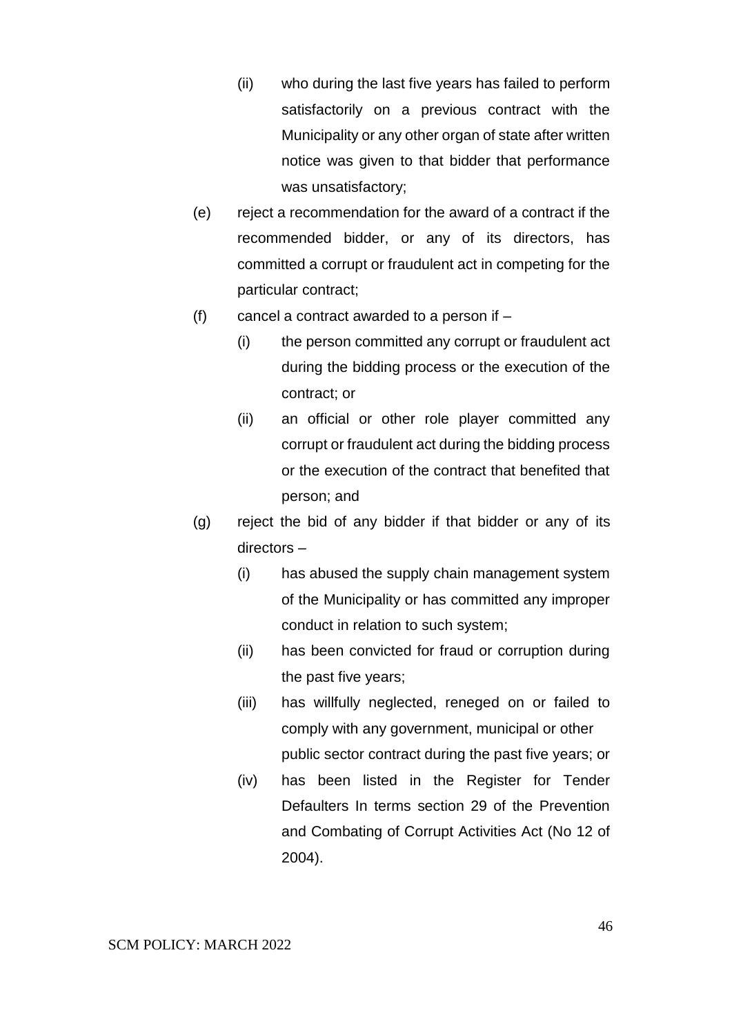- (ii) who during the last five years has failed to perform satisfactorily on a previous contract with the Municipality or any other organ of state after written notice was given to that bidder that performance was unsatisfactory;
- (e) reject a recommendation for the award of a contract if the recommended bidder, or any of its directors, has committed a corrupt or fraudulent act in competing for the particular contract;
- (f) cancel a contract awarded to a person if  $-$ 
	- (i) the person committed any corrupt or fraudulent act during the bidding process or the execution of the contract; or
	- (ii) an official or other role player committed any corrupt or fraudulent act during the bidding process or the execution of the contract that benefited that person; and
- (g) reject the bid of any bidder if that bidder or any of its directors –
	- (i) has abused the supply chain management system of the Municipality or has committed any improper conduct in relation to such system;
	- (ii) has been convicted for fraud or corruption during the past five years;
	- (iii) has willfully neglected, reneged on or failed to comply with any government, municipal or other public sector contract during the past five years; or
	- (iv) has been listed in the Register for Tender Defaulters In terms section 29 of the Prevention and Combating of Corrupt Activities Act (No 12 of 2004).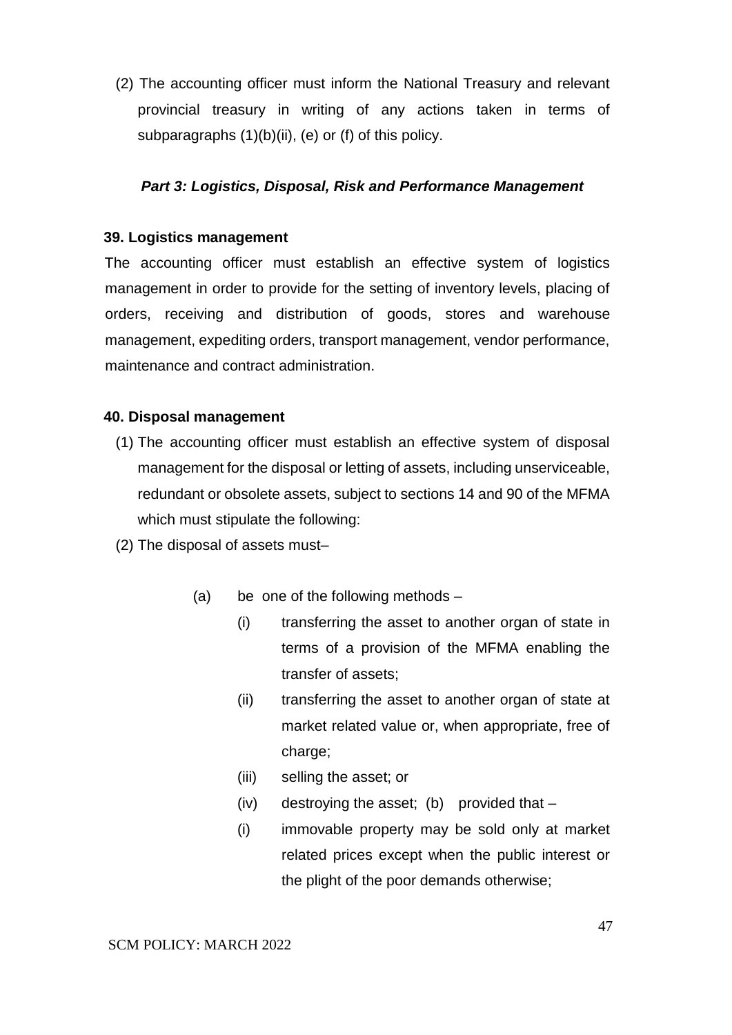(2) The accounting officer must inform the National Treasury and relevant provincial treasury in writing of any actions taken in terms of subparagraphs (1)(b)(ii), (e) or (f) of this policy.

## *Part 3: Logistics, Disposal, Risk and Performance Management*

### **39. Logistics management**

The accounting officer must establish an effective system of logistics management in order to provide for the setting of inventory levels, placing of orders, receiving and distribution of goods, stores and warehouse management, expediting orders, transport management, vendor performance, maintenance and contract administration.

### **40. Disposal management**

- (1) The accounting officer must establish an effective system of disposal management for the disposal or letting of assets, including unserviceable, redundant or obsolete assets, subject to sections 14 and 90 of the MFMA which must stipulate the following:
- (2) The disposal of assets must–
	- (a) be one of the following methods
		- (i) transferring the asset to another organ of state in terms of a provision of the MFMA enabling the transfer of assets;
		- (ii) transferring the asset to another organ of state at market related value or, when appropriate, free of charge;
		- (iii) selling the asset; or
		- (iv) destroying the asset; (b) provided that –
		- (i) immovable property may be sold only at market related prices except when the public interest or the plight of the poor demands otherwise;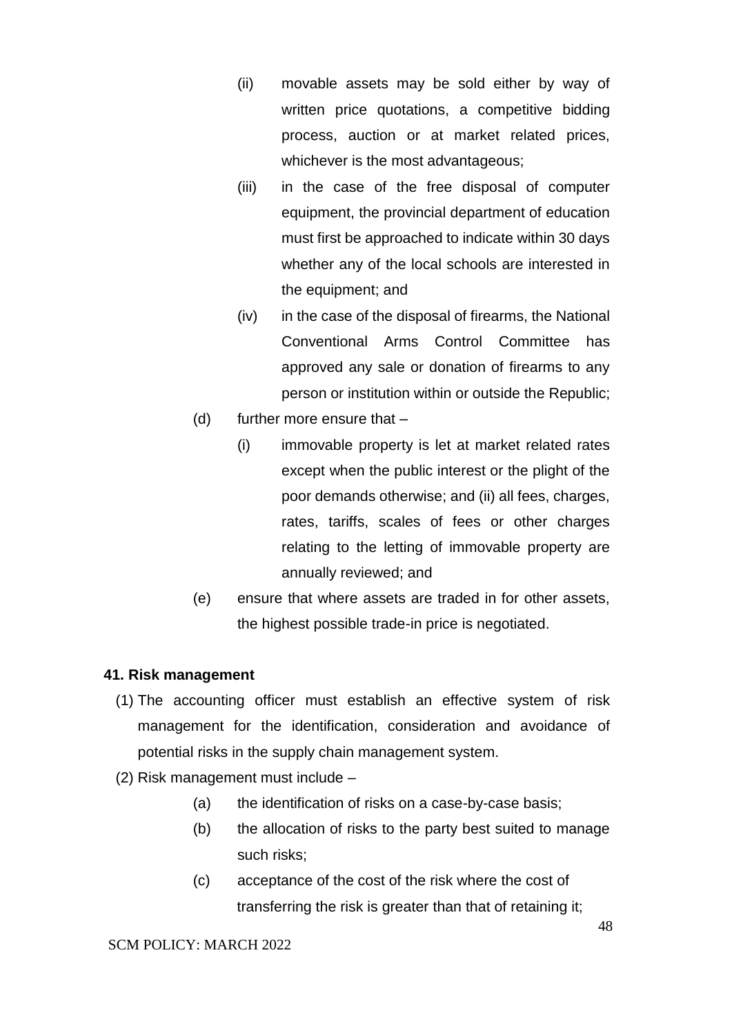- (ii) movable assets may be sold either by way of written price quotations, a competitive bidding process, auction or at market related prices, whichever is the most advantageous;
- (iii) in the case of the free disposal of computer equipment, the provincial department of education must first be approached to indicate within 30 days whether any of the local schools are interested in the equipment; and
- (iv) in the case of the disposal of firearms, the National Conventional Arms Control Committee has approved any sale or donation of firearms to any person or institution within or outside the Republic;
- (d) further more ensure that
	- (i) immovable property is let at market related rates except when the public interest or the plight of the poor demands otherwise; and (ii) all fees, charges, rates, tariffs, scales of fees or other charges relating to the letting of immovable property are annually reviewed; and
- (e) ensure that where assets are traded in for other assets, the highest possible trade-in price is negotiated.

### **41. Risk management**

- (1) The accounting officer must establish an effective system of risk management for the identification, consideration and avoidance of potential risks in the supply chain management system.
- (2) Risk management must include
	- (a) the identification of risks on a case-by-case basis;
	- (b) the allocation of risks to the party best suited to manage such risks;
	- (c) acceptance of the cost of the risk where the cost of transferring the risk is greater than that of retaining it;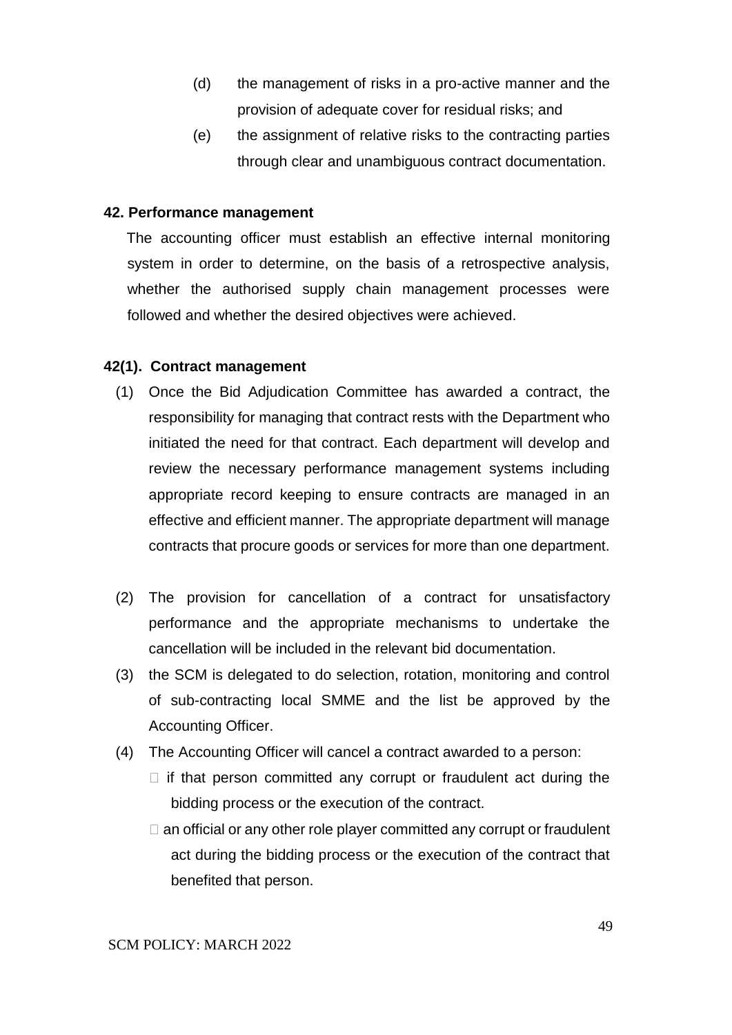- (d) the management of risks in a pro-active manner and the provision of adequate cover for residual risks; and
- (e) the assignment of relative risks to the contracting parties through clear and unambiguous contract documentation.

#### **42. Performance management**

The accounting officer must establish an effective internal monitoring system in order to determine, on the basis of a retrospective analysis, whether the authorised supply chain management processes were followed and whether the desired objectives were achieved.

### **42(1). Contract management**

- (1) Once the Bid Adjudication Committee has awarded a contract, the responsibility for managing that contract rests with the Department who initiated the need for that contract. Each department will develop and review the necessary performance management systems including appropriate record keeping to ensure contracts are managed in an effective and efficient manner. The appropriate department will manage contracts that procure goods or services for more than one department.
- (2) The provision for cancellation of a contract for unsatisfactory performance and the appropriate mechanisms to undertake the cancellation will be included in the relevant bid documentation.
- (3) the SCM is delegated to do selection, rotation, monitoring and control of sub-contracting local SMME and the list be approved by the Accounting Officer.
- (4) The Accounting Officer will cancel a contract awarded to a person:
	- $\Box$  if that person committed any corrupt or fraudulent act during the bidding process or the execution of the contract.
	- $\Box$  an official or any other role player committed any corrupt or fraudulent act during the bidding process or the execution of the contract that benefited that person.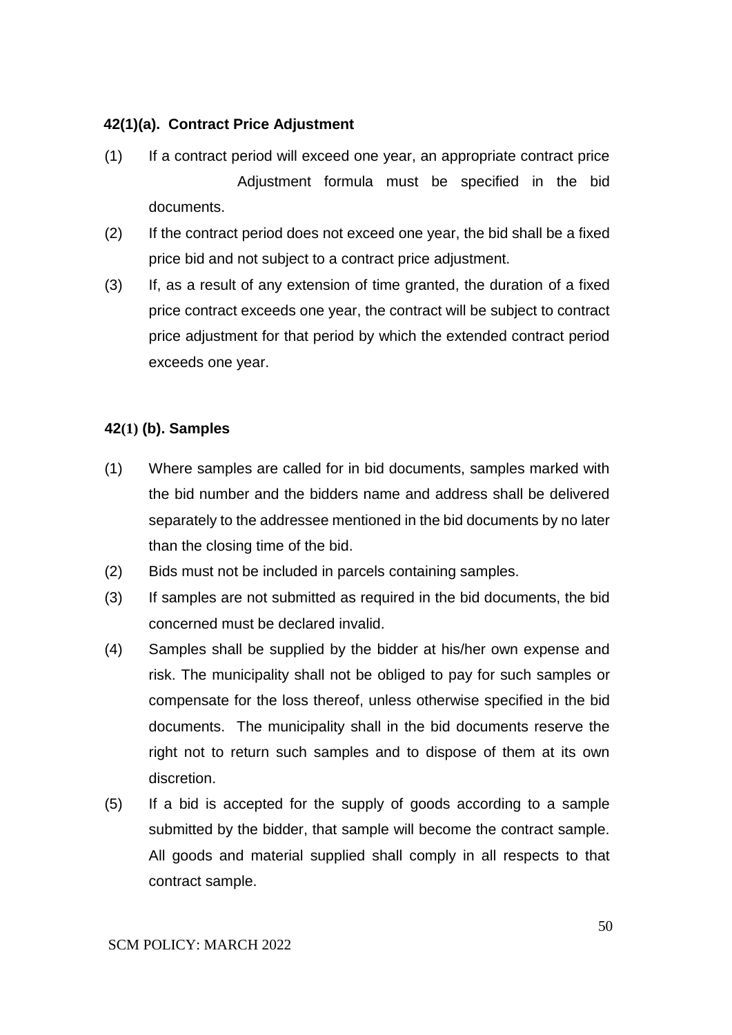## **42(1)(a). Contract Price Adjustment**

- (1) If a contract period will exceed one year, an appropriate contract price Adjustment formula must be specified in the bid documents.
- (2) If the contract period does not exceed one year, the bid shall be a fixed price bid and not subject to a contract price adjustment.
- (3) If, as a result of any extension of time granted, the duration of a fixed price contract exceeds one year, the contract will be subject to contract price adjustment for that period by which the extended contract period exceeds one year.

## **42(1) (b). Samples**

- (1) Where samples are called for in bid documents, samples marked with the bid number and the bidders name and address shall be delivered separately to the addressee mentioned in the bid documents by no later than the closing time of the bid.
- (2) Bids must not be included in parcels containing samples.
- (3) If samples are not submitted as required in the bid documents, the bid concerned must be declared invalid.
- (4) Samples shall be supplied by the bidder at his/her own expense and risk. The municipality shall not be obliged to pay for such samples or compensate for the loss thereof, unless otherwise specified in the bid documents. The municipality shall in the bid documents reserve the right not to return such samples and to dispose of them at its own discretion.
- (5) If a bid is accepted for the supply of goods according to a sample submitted by the bidder, that sample will become the contract sample. All goods and material supplied shall comply in all respects to that contract sample.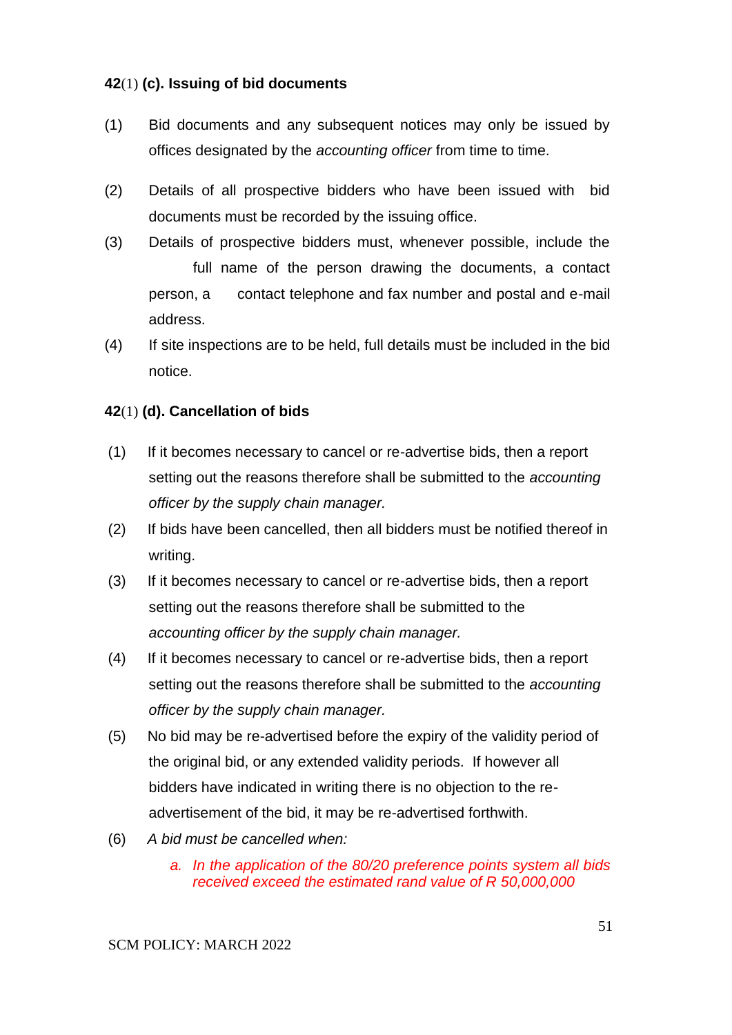## **42**(1) **(c). Issuing of bid documents**

- (1) Bid documents and any subsequent notices may only be issued by offices designated by the *accounting officer* from time to time.
- (2) Details of all prospective bidders who have been issued with bid documents must be recorded by the issuing office.
- (3) Details of prospective bidders must, whenever possible, include the full name of the person drawing the documents, a contact person, a contact telephone and fax number and postal and e-mail address.
- (4) If site inspections are to be held, full details must be included in the bid notice.

## **42**(1) **(d). Cancellation of bids**

- (1) If it becomes necessary to cancel or re-advertise bids, then a report setting out the reasons therefore shall be submitted to the *accounting officer by the supply chain manager.*
- (2) If bids have been cancelled, then all bidders must be notified thereof in writing.
- (3) If it becomes necessary to cancel or re-advertise bids, then a report setting out the reasons therefore shall be submitted to the *accounting officer by the supply chain manager.*
- (4) If it becomes necessary to cancel or re-advertise bids, then a report setting out the reasons therefore shall be submitted to the *accounting officer by the supply chain manager.*
- (5) No bid may be re-advertised before the expiry of the validity period of the original bid, or any extended validity periods. If however all bidders have indicated in writing there is no objection to the readvertisement of the bid, it may be re-advertised forthwith.
- (6) *A bid must be cancelled when:* 
	- *a. In the application of the 80/20 preference points system all bids received exceed the estimated rand value of R 50,000,000*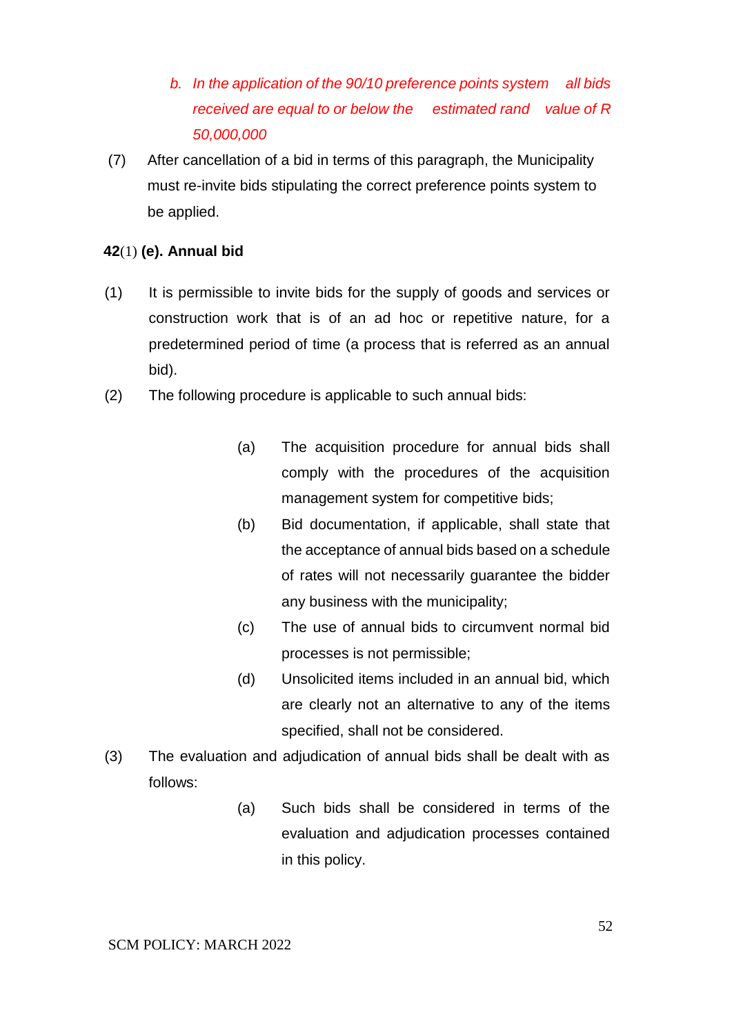- *b. In the application of the 90/10 preference points system all bids received are equal to or below the estimated rand value of R 50,000,000*
- (7) After cancellation of a bid in terms of this paragraph, the Municipality must re-invite bids stipulating the correct preference points system to be applied.

### **42**(1) **(e). Annual bid**

- (1) It is permissible to invite bids for the supply of goods and services or construction work that is of an ad hoc or repetitive nature, for a predetermined period of time (a process that is referred as an annual bid).
- (2) The following procedure is applicable to such annual bids:
	- (a) The acquisition procedure for annual bids shall comply with the procedures of the acquisition management system for competitive bids;
	- (b) Bid documentation, if applicable, shall state that the acceptance of annual bids based on a schedule of rates will not necessarily guarantee the bidder any business with the municipality;
	- (c) The use of annual bids to circumvent normal bid processes is not permissible;
	- (d) Unsolicited items included in an annual bid, which are clearly not an alternative to any of the items specified, shall not be considered.
- (3) The evaluation and adjudication of annual bids shall be dealt with as follows:
	- (a) Such bids shall be considered in terms of the evaluation and adjudication processes contained in this policy.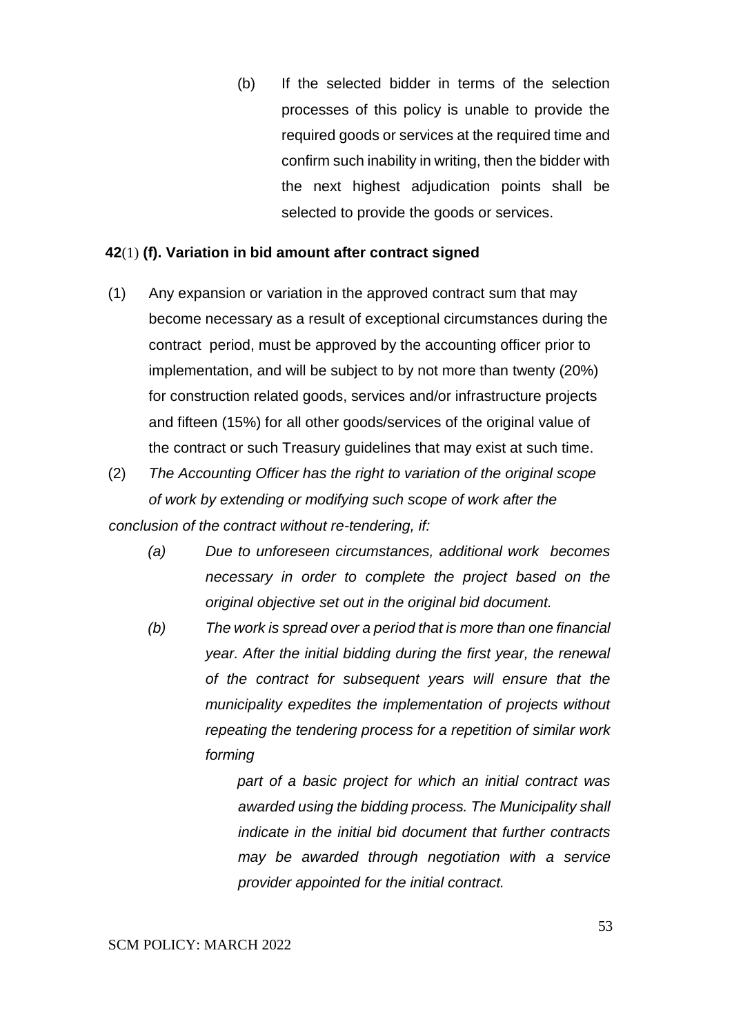(b) If the selected bidder in terms of the selection processes of this policy is unable to provide the required goods or services at the required time and confirm such inability in writing, then the bidder with the next highest adjudication points shall be selected to provide the goods or services.

### **42**(1) **(f). Variation in bid amount after contract signed**

(1) Any expansion or variation in the approved contract sum that may become necessary as a result of exceptional circumstances during the contract period, must be approved by the accounting officer prior to implementation, and will be subject to by not more than twenty (20%) for construction related goods, services and/or infrastructure projects and fifteen (15%) for all other goods/services of the original value of the contract or such Treasury guidelines that may exist at such time.

(2) *The Accounting Officer has the right to variation of the original scope of work by extending or modifying such scope of work after the conclusion of the contract without re-tendering, if:* 

- *(a) Due to unforeseen circumstances, additional work becomes necessary in order to complete the project based on the original objective set out in the original bid document.*
- *(b) The work is spread over a period that is more than one financial year. After the initial bidding during the first year, the renewal of the contract for subsequent years will ensure that the municipality expedites the implementation of projects without repeating the tendering process for a repetition of similar work forming*

*part of a basic project for which an initial contract was awarded using the bidding process. The Municipality shall indicate in the initial bid document that further contracts may be awarded through negotiation with a service provider appointed for the initial contract.*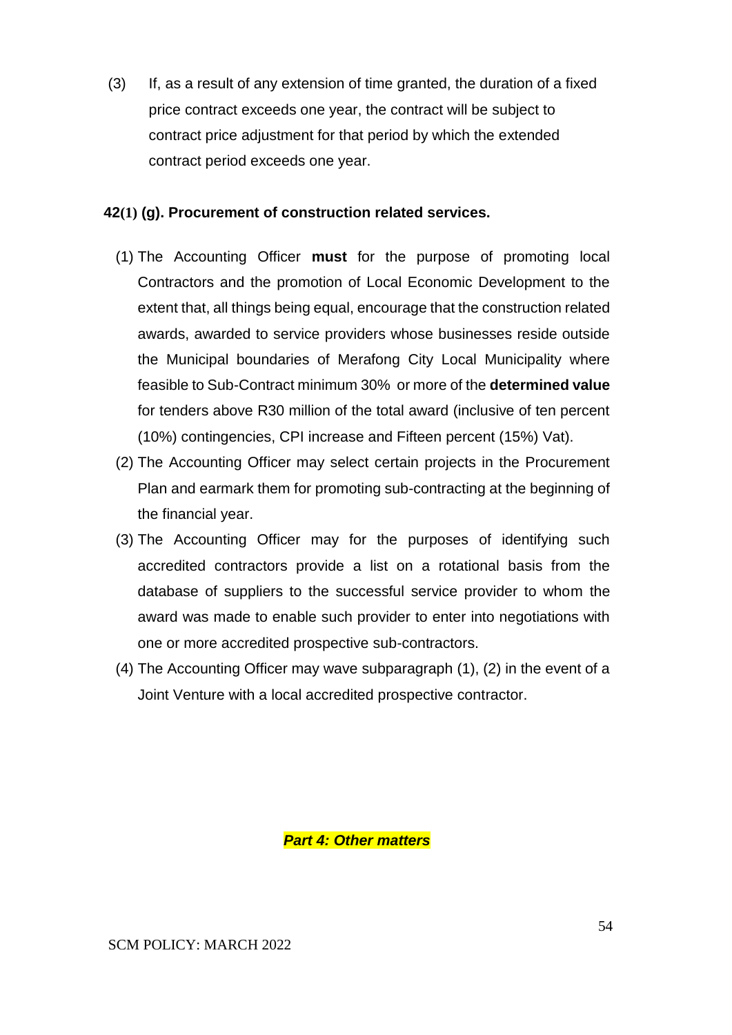(3) If, as a result of any extension of time granted, the duration of a fixed price contract exceeds one year, the contract will be subject to contract price adjustment for that period by which the extended contract period exceeds one year.

## **42(1) (g). Procurement of construction related services.**

- (1) The Accounting Officer **must** for the purpose of promoting local Contractors and the promotion of Local Economic Development to the extent that, all things being equal, encourage that the construction related awards, awarded to service providers whose businesses reside outside the Municipal boundaries of Merafong City Local Municipality where feasible to Sub-Contract minimum 30% or more of the **determined value** for tenders above R30 million of the total award (inclusive of ten percent (10%) contingencies, CPI increase and Fifteen percent (15%) Vat).
- (2) The Accounting Officer may select certain projects in the Procurement Plan and earmark them for promoting sub-contracting at the beginning of the financial year.
- (3) The Accounting Officer may for the purposes of identifying such accredited contractors provide a list on a rotational basis from the database of suppliers to the successful service provider to whom the award was made to enable such provider to enter into negotiations with one or more accredited prospective sub-contractors.
- (4) The Accounting Officer may wave subparagraph (1), (2) in the event of a Joint Venture with a local accredited prospective contractor.

*Part 4: Other matters*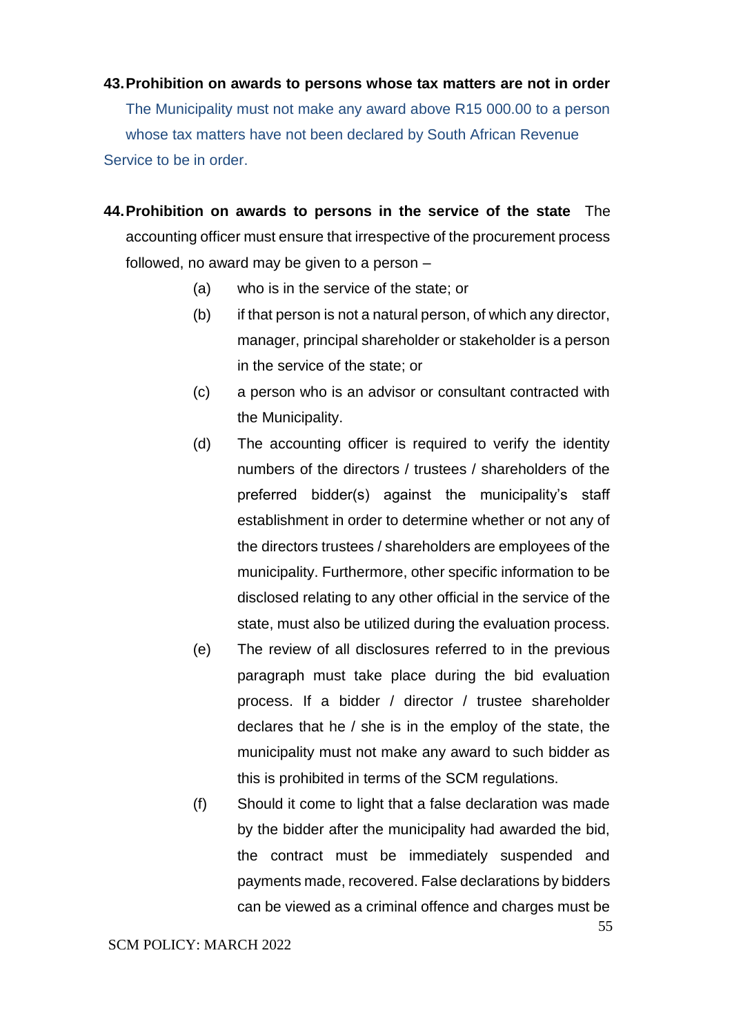- **43.Prohibition on awards to persons whose tax matters are not in order**  The Municipality must not make any award above R15 000.00 to a person whose tax matters have not been declared by South African Revenue Service to be in order.
- **44.Prohibition on awards to persons in the service of the state** The accounting officer must ensure that irrespective of the procurement process followed, no award may be given to a person –
	- (a) who is in the service of the state; or
	- (b) if that person is not a natural person, of which any director, manager, principal shareholder or stakeholder is a person in the service of the state; or
	- (c) a person who is an advisor or consultant contracted with the Municipality.
	- (d) The accounting officer is required to verify the identity numbers of the directors / trustees / shareholders of the preferred bidder(s) against the municipality's staff establishment in order to determine whether or not any of the directors trustees / shareholders are employees of the municipality. Furthermore, other specific information to be disclosed relating to any other official in the service of the state, must also be utilized during the evaluation process.
	- (e) The review of all disclosures referred to in the previous paragraph must take place during the bid evaluation process. If a bidder / director / trustee shareholder declares that he / she is in the employ of the state, the municipality must not make any award to such bidder as this is prohibited in terms of the SCM regulations.
	- (f) Should it come to light that a false declaration was made by the bidder after the municipality had awarded the bid, the contract must be immediately suspended and payments made, recovered. False declarations by bidders can be viewed as a criminal offence and charges must be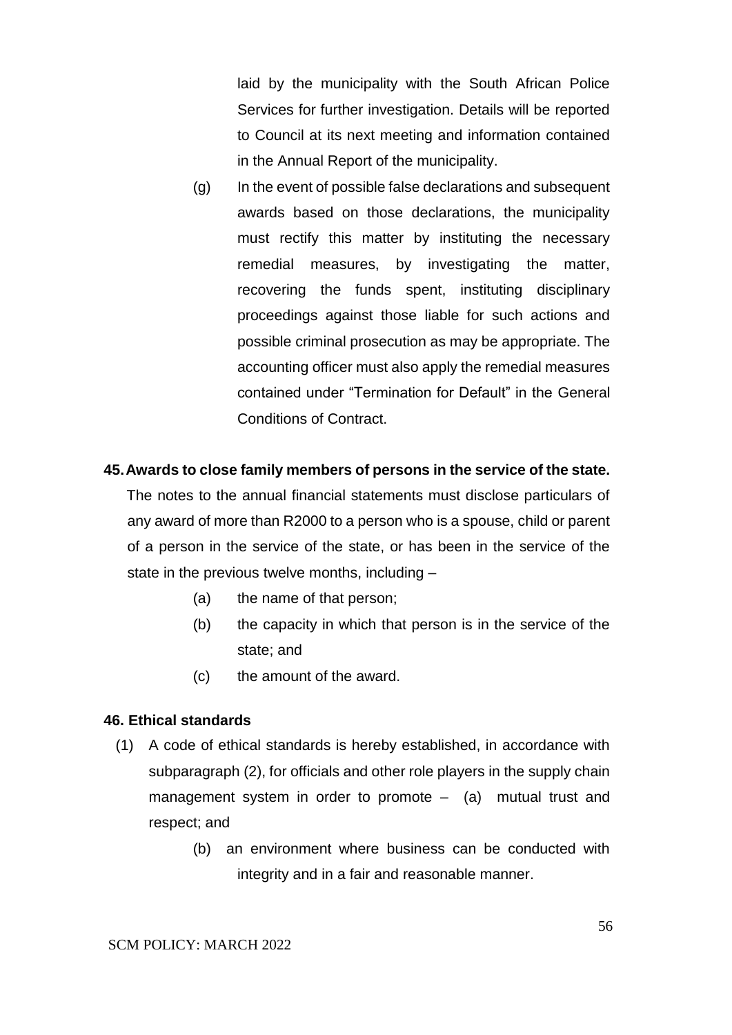laid by the municipality with the South African Police Services for further investigation. Details will be reported to Council at its next meeting and information contained in the Annual Report of the municipality.

(g) In the event of possible false declarations and subsequent awards based on those declarations, the municipality must rectify this matter by instituting the necessary remedial measures, by investigating the matter, recovering the funds spent, instituting disciplinary proceedings against those liable for such actions and possible criminal prosecution as may be appropriate. The accounting officer must also apply the remedial measures contained under "Termination for Default" in the General Conditions of Contract.

### **45.Awards to close family members of persons in the service of the state.**

The notes to the annual financial statements must disclose particulars of any award of more than R2000 to a person who is a spouse, child or parent of a person in the service of the state, or has been in the service of the state in the previous twelve months, including –

- (a) the name of that person;
- (b) the capacity in which that person is in the service of the state; and
- (c) the amount of the award.

### **46. Ethical standards**

- (1) A code of ethical standards is hereby established, in accordance with subparagraph (2), for officials and other role players in the supply chain management system in order to promote  $-$  (a) mutual trust and respect; and
	- (b) an environment where business can be conducted with integrity and in a fair and reasonable manner.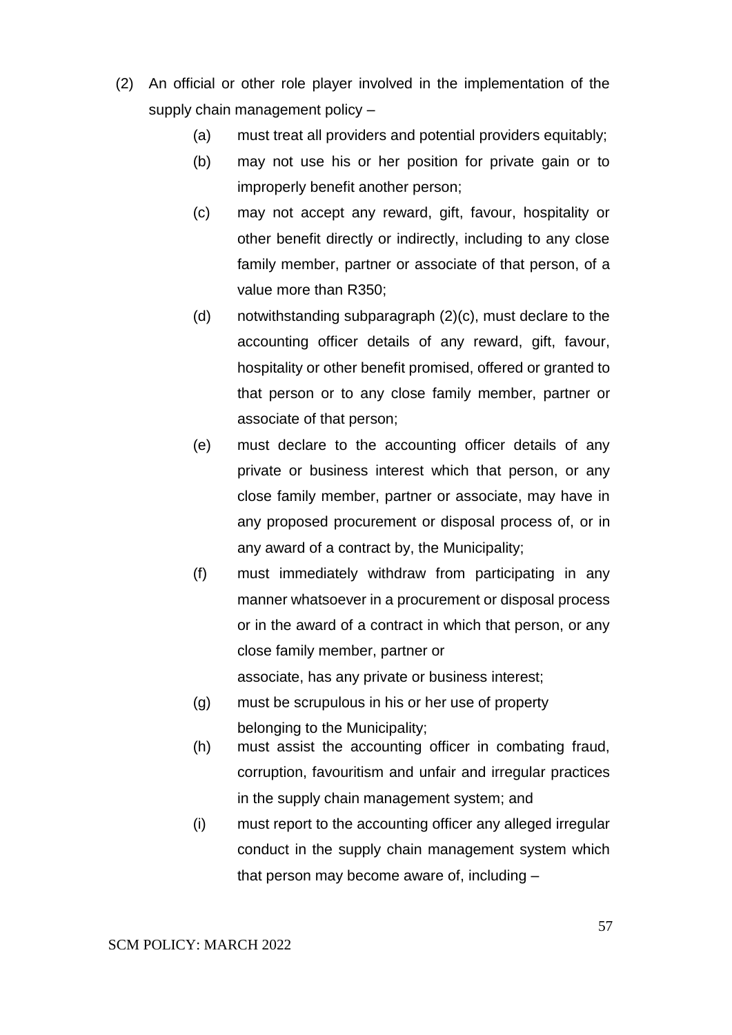- (2) An official or other role player involved in the implementation of the supply chain management policy –
	- (a) must treat all providers and potential providers equitably;
	- (b) may not use his or her position for private gain or to improperly benefit another person;
	- (c) may not accept any reward, gift, favour, hospitality or other benefit directly or indirectly, including to any close family member, partner or associate of that person, of a value more than R350;
	- (d) notwithstanding subparagraph (2)(c), must declare to the accounting officer details of any reward, gift, favour, hospitality or other benefit promised, offered or granted to that person or to any close family member, partner or associate of that person;
	- (e) must declare to the accounting officer details of any private or business interest which that person, or any close family member, partner or associate, may have in any proposed procurement or disposal process of, or in any award of a contract by, the Municipality;
	- (f) must immediately withdraw from participating in any manner whatsoever in a procurement or disposal process or in the award of a contract in which that person, or any close family member, partner or associate, has any private or business interest;
	- (g) must be scrupulous in his or her use of property belonging to the Municipality;
	- (h) must assist the accounting officer in combating fraud, corruption, favouritism and unfair and irregular practices in the supply chain management system; and
	- (i) must report to the accounting officer any alleged irregular conduct in the supply chain management system which that person may become aware of, including –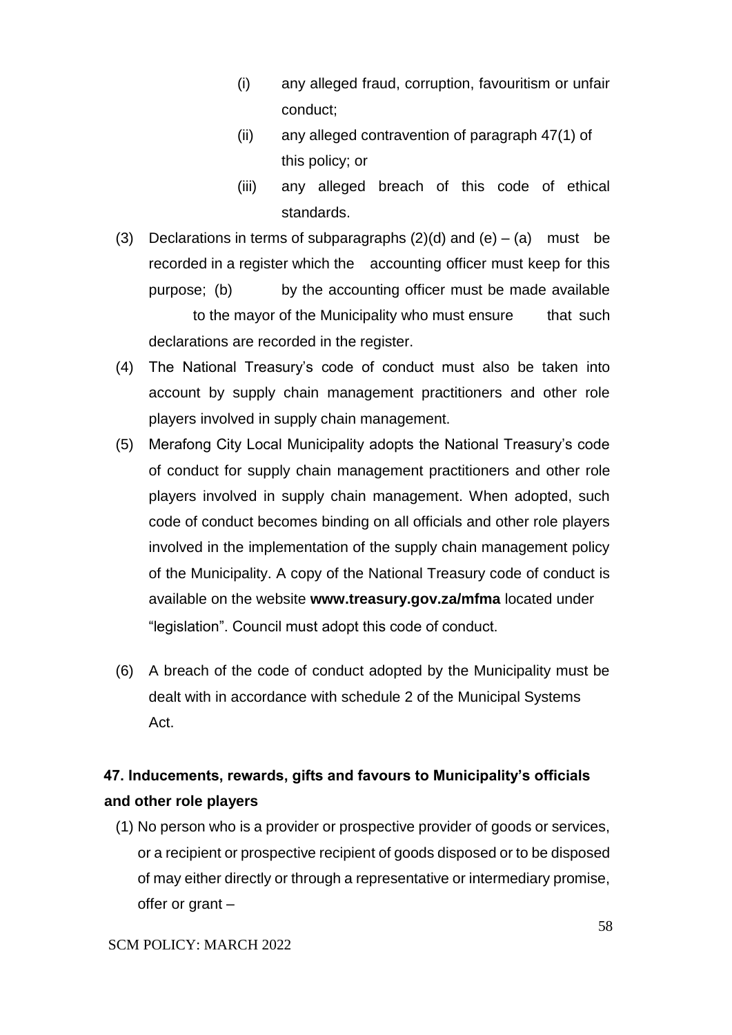- (i) any alleged fraud, corruption, favouritism or unfair conduct;
- (ii) any alleged contravention of paragraph 47(1) of this policy; or
- (iii) any alleged breach of this code of ethical standards.
- (3) Declarations in terms of subparagraphs  $(2)(d)$  and  $(e) (a)$  must be recorded in a register which the accounting officer must keep for this purpose; (b) by the accounting officer must be made available to the mayor of the Municipality who must ensure that such declarations are recorded in the register.
- (4) The National Treasury's code of conduct must also be taken into account by supply chain management practitioners and other role players involved in supply chain management.
- (5) Merafong City Local Municipality adopts the National Treasury's code of conduct for supply chain management practitioners and other role players involved in supply chain management. When adopted, such code of conduct becomes binding on all officials and other role players involved in the implementation of the supply chain management policy of the Municipality. A copy of the National Treasury code of conduct is available on the website **www.treasury.gov.za/mfma** located under "legislation". Council must adopt this code of conduct.
- (6) A breach of the code of conduct adopted by the Municipality must be dealt with in accordance with schedule 2 of the Municipal Systems Act.

# **47. Inducements, rewards, gifts and favours to Municipality's officials and other role players**

(1) No person who is a provider or prospective provider of goods or services, or a recipient or prospective recipient of goods disposed or to be disposed of may either directly or through a representative or intermediary promise, offer or grant –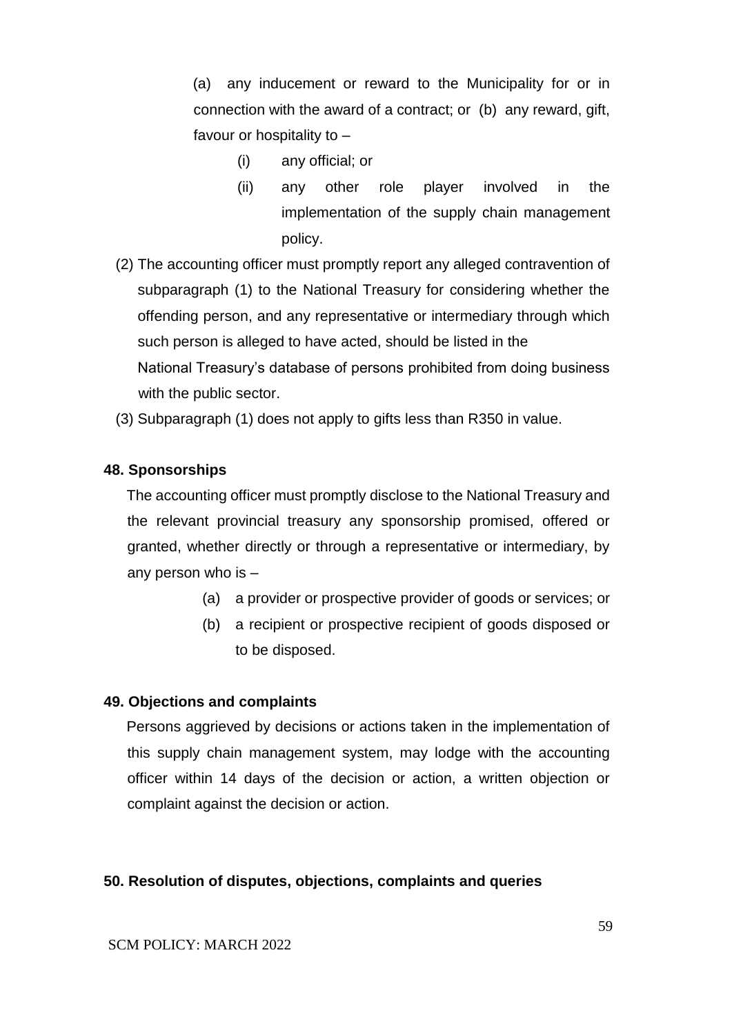(a) any inducement or reward to the Municipality for or in connection with the award of a contract; or (b) any reward, gift, favour or hospitality to –

- (i) any official; or
- (ii) any other role player involved in the implementation of the supply chain management policy.
- (2) The accounting officer must promptly report any alleged contravention of subparagraph (1) to the National Treasury for considering whether the offending person, and any representative or intermediary through which such person is alleged to have acted, should be listed in the National Treasury's database of persons prohibited from doing business with the public sector.
- (3) Subparagraph (1) does not apply to gifts less than R350 in value.

### **48. Sponsorships**

The accounting officer must promptly disclose to the National Treasury and the relevant provincial treasury any sponsorship promised, offered or granted, whether directly or through a representative or intermediary, by any person who is –

- (a) a provider or prospective provider of goods or services; or
- (b) a recipient or prospective recipient of goods disposed or to be disposed.

### **49. Objections and complaints**

Persons aggrieved by decisions or actions taken in the implementation of this supply chain management system, may lodge with the accounting officer within 14 days of the decision or action, a written objection or complaint against the decision or action.

### **50. Resolution of disputes, objections, complaints and queries**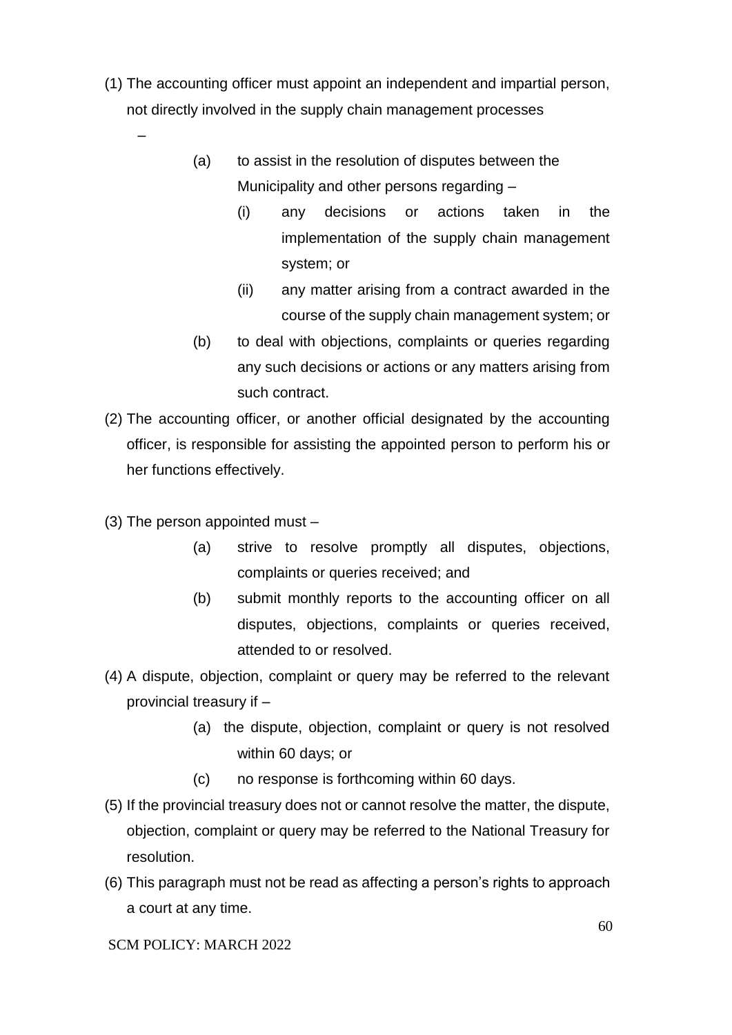- (1) The accounting officer must appoint an independent and impartial person, not directly involved in the supply chain management processes
	- (a) to assist in the resolution of disputes between the Municipality and other persons regarding –
		- (i) any decisions or actions taken in the implementation of the supply chain management system; or
		- (ii) any matter arising from a contract awarded in the course of the supply chain management system; or
	- (b) to deal with objections, complaints or queries regarding any such decisions or actions or any matters arising from such contract.
- (2) The accounting officer, or another official designated by the accounting officer, is responsible for assisting the appointed person to perform his or her functions effectively.
- (3) The person appointed must –

–

- (a) strive to resolve promptly all disputes, objections, complaints or queries received; and
- (b) submit monthly reports to the accounting officer on all disputes, objections, complaints or queries received, attended to or resolved.
- (4) A dispute, objection, complaint or query may be referred to the relevant provincial treasury if –
	- (a) the dispute, objection, complaint or query is not resolved within 60 days; or
	- (c) no response is forthcoming within 60 days.
- (5) If the provincial treasury does not or cannot resolve the matter, the dispute, objection, complaint or query may be referred to the National Treasury for resolution.
- (6) This paragraph must not be read as affecting a person's rights to approach a court at any time.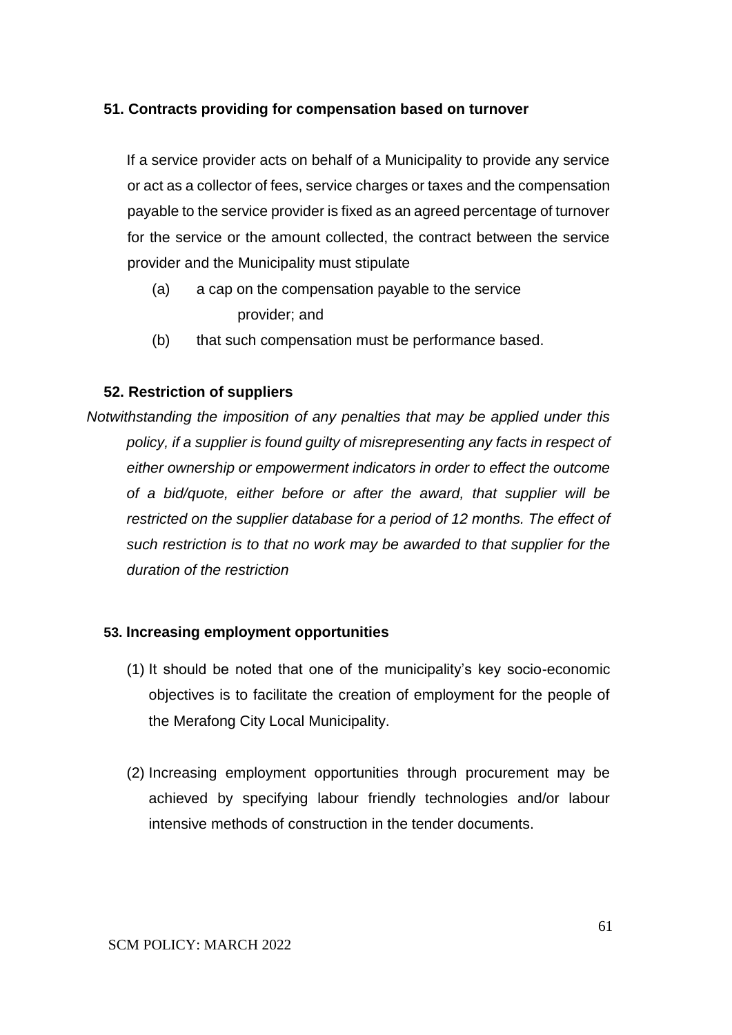## **51. Contracts providing for compensation based on turnover**

If a service provider acts on behalf of a Municipality to provide any service or act as a collector of fees, service charges or taxes and the compensation payable to the service provider is fixed as an agreed percentage of turnover for the service or the amount collected, the contract between the service provider and the Municipality must stipulate

- (a) a cap on the compensation payable to the service provider; and
- (b) that such compensation must be performance based.

## **52. Restriction of suppliers**

*Notwithstanding the imposition of any penalties that may be applied under this policy, if a supplier is found guilty of misrepresenting any facts in respect of either ownership or empowerment indicators in order to effect the outcome of a bid/quote, either before or after the award, that supplier will be restricted on the supplier database for a period of 12 months. The effect of such restriction is to that no work may be awarded to that supplier for the duration of the restriction* 

### **53. Increasing employment opportunities**

- (1) It should be noted that one of the municipality's key socio-economic objectives is to facilitate the creation of employment for the people of the Merafong City Local Municipality.
- (2) Increasing employment opportunities through procurement may be achieved by specifying labour friendly technologies and/or labour intensive methods of construction in the tender documents.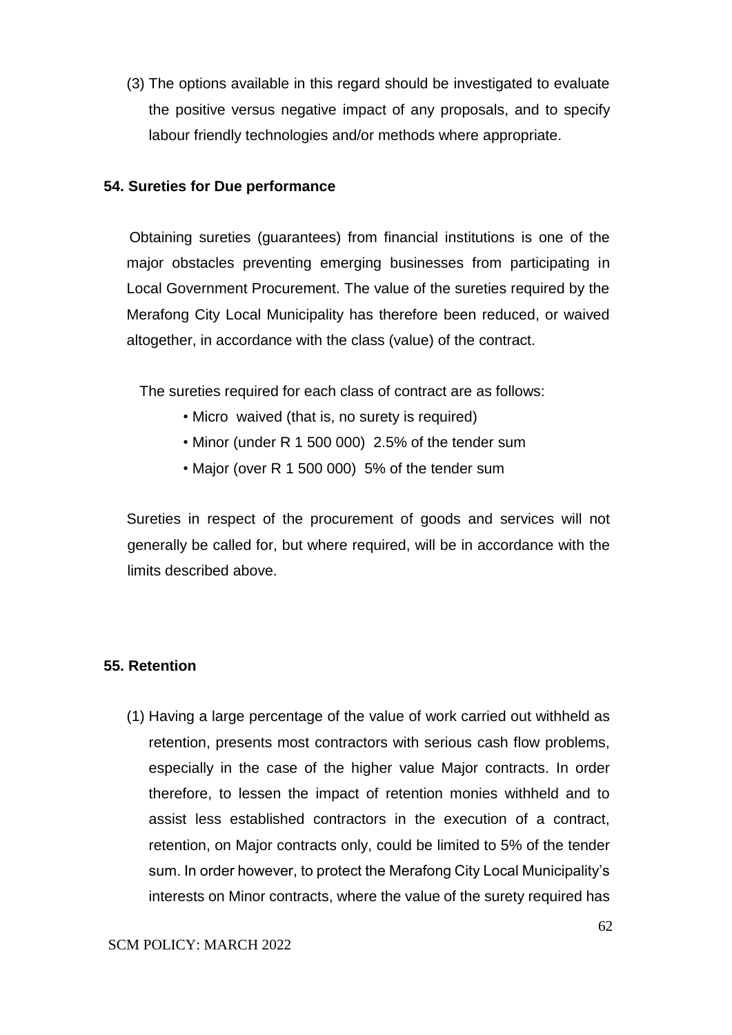(3) The options available in this regard should be investigated to evaluate the positive versus negative impact of any proposals, and to specify labour friendly technologies and/or methods where appropriate.

### **54. Sureties for Due performance**

 Obtaining sureties (guarantees) from financial institutions is one of the major obstacles preventing emerging businesses from participating in Local Government Procurement. The value of the sureties required by the Merafong City Local Municipality has therefore been reduced, or waived altogether, in accordance with the class (value) of the contract.

The sureties required for each class of contract are as follows:

- Micro waived (that is, no surety is required)
- Minor (under R 1 500 000) 2.5% of the tender sum
- Major (over R 1 500 000) 5% of the tender sum

Sureties in respect of the procurement of goods and services will not generally be called for, but where required, will be in accordance with the limits described above.

### **55. Retention**

(1) Having a large percentage of the value of work carried out withheld as retention, presents most contractors with serious cash flow problems, especially in the case of the higher value Major contracts. In order therefore, to lessen the impact of retention monies withheld and to assist less established contractors in the execution of a contract, retention, on Major contracts only, could be limited to 5% of the tender sum. In order however, to protect the Merafong City Local Municipality's interests on Minor contracts, where the value of the surety required has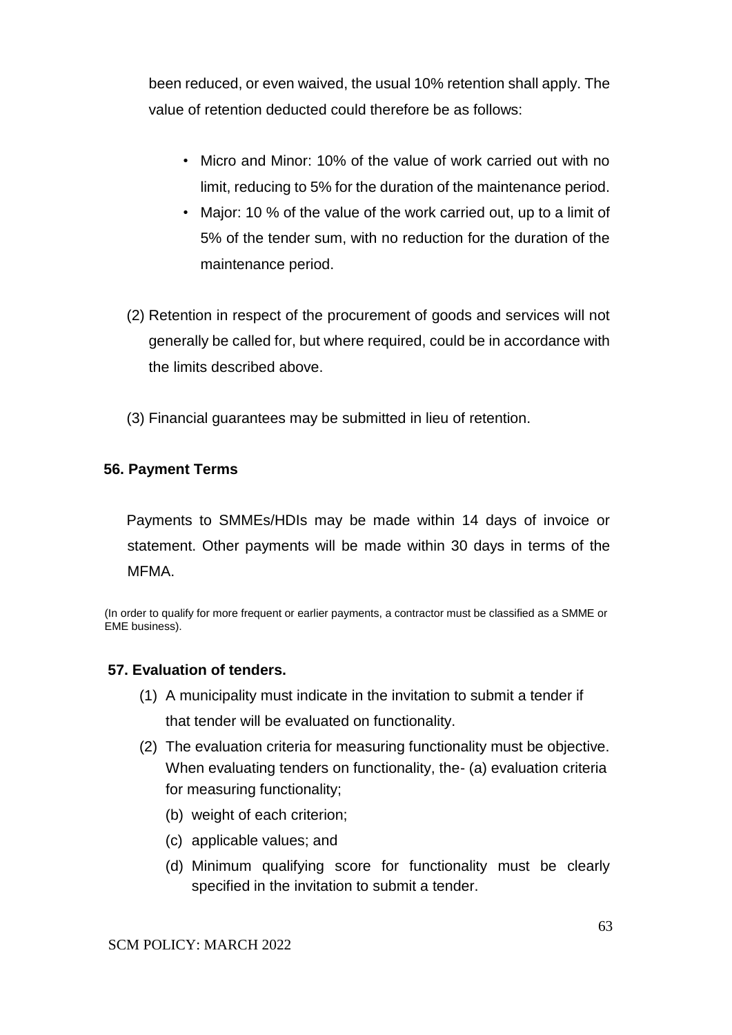been reduced, or even waived, the usual 10% retention shall apply. The value of retention deducted could therefore be as follows:

- Micro and Minor: 10% of the value of work carried out with no limit, reducing to 5% for the duration of the maintenance period.
- Major: 10 % of the value of the work carried out, up to a limit of 5% of the tender sum, with no reduction for the duration of the maintenance period.
- (2) Retention in respect of the procurement of goods and services will not generally be called for, but where required, could be in accordance with the limits described above.
- (3) Financial guarantees may be submitted in lieu of retention.

## **56. Payment Terms**

Payments to SMMEs/HDIs may be made within 14 days of invoice or statement. Other payments will be made within 30 days in terms of the MFMA.

(In order to qualify for more frequent or earlier payments, a contractor must be classified as a SMME or EME business).

### **57. Evaluation of tenders.**

- (1) A municipality must indicate in the invitation to submit a tender if that tender will be evaluated on functionality.
- (2) The evaluation criteria for measuring functionality must be objective. When evaluating tenders on functionality, the- (a) evaluation criteria for measuring functionality;
	- (b) weight of each criterion;
	- (c) applicable values; and
	- (d) Minimum qualifying score for functionality must be clearly specified in the invitation to submit a tender.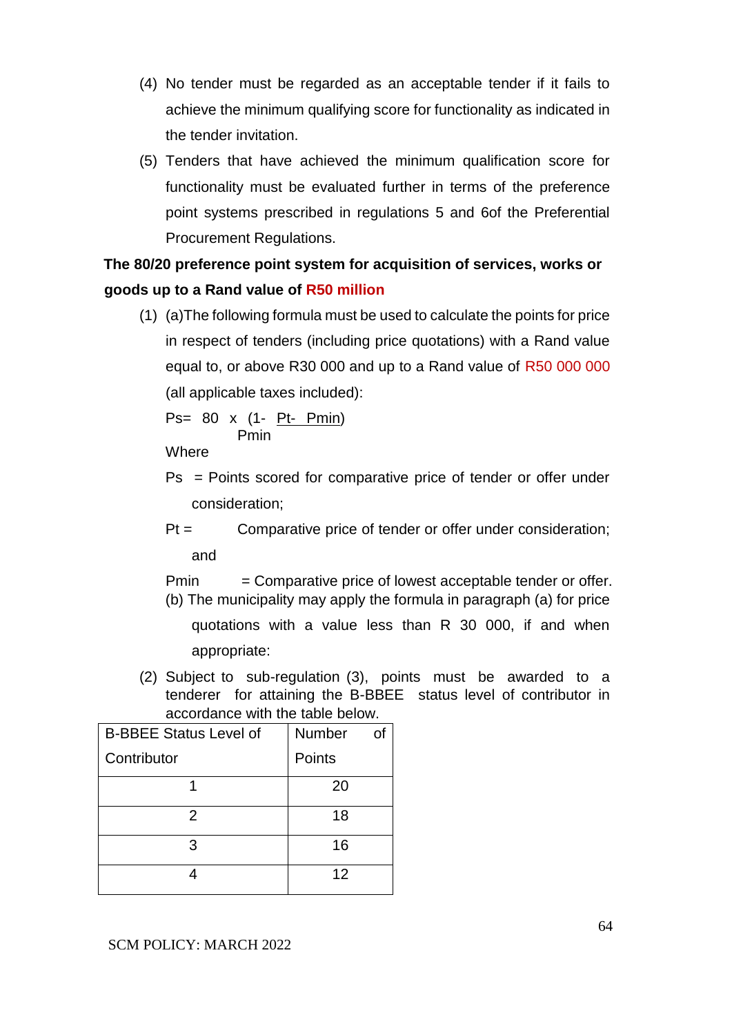- (4) No tender must be regarded as an acceptable tender if it fails to achieve the minimum qualifying score for functionality as indicated in the tender invitation.
- (5) Tenders that have achieved the minimum qualification score for functionality must be evaluated further in terms of the preference point systems prescribed in regulations 5 and 6of the Preferential Procurement Regulations.

# **The 80/20 preference point system for acquisition of services, works or goods up to a Rand value of R50 million**

(1) (a)The following formula must be used to calculate the points for price in respect of tenders (including price quotations) with a Rand value equal to, or above R30 000 and up to a Rand value of R50 000 000 (all applicable taxes included):

$$
Ps = 80 \times (1 - \underbrace{Pt - Pmin}_{Pmin})
$$

**Where** 

- Ps = Points scored for comparative price of tender or offer under consideration;
- Pt = Comparative price of tender or offer under consideration; and

 $Pmin =$  Comparative price of lowest acceptable tender or offer. (b) The municipality may apply the formula in paragraph (a) for price

quotations with a value less than R 30 000, if and when appropriate:

(2) Subject to sub-regulation (3), points must be awarded to a tenderer for attaining the B-BBEE status level of contributor in accordance with the table below.

| <b>B-BBEE Status Level of</b> | Number | Ωf |
|-------------------------------|--------|----|
| Contributor                   | Points |    |
|                               | 20     |    |
| 2                             | 18     |    |
| 3                             | 16     |    |
|                               | 12     |    |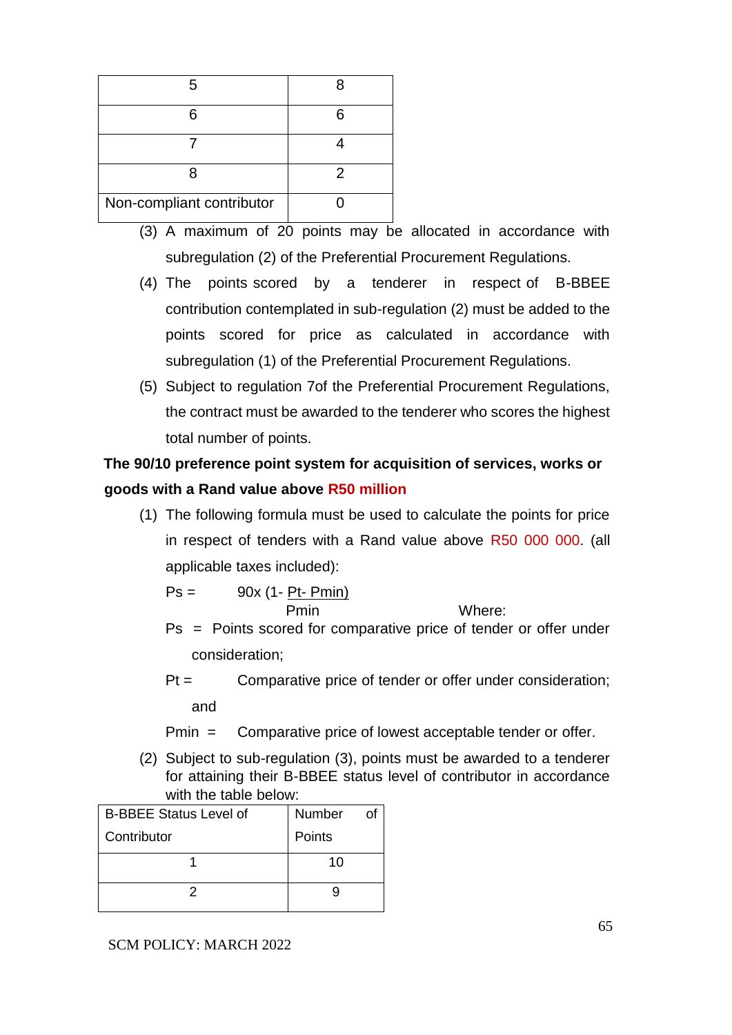| 5                         |   |
|---------------------------|---|
| ิค                        |   |
|                           |   |
| я                         | 2 |
| Non-compliant contributor |   |

- (3) A maximum of 20 points may be allocated in accordance with subregulation (2) of the Preferential Procurement Regulations.
- (4) The points scored by a tenderer in respect of B-BBEE contribution contemplated in sub-regulation (2) must be added to the points scored for price as calculated in accordance with subregulation (1) of the Preferential Procurement Regulations.
- (5) Subject to regulation 7of the Preferential Procurement Regulations, the contract must be awarded to the tenderer who scores the highest total number of points.

**The 90/10 preference point system for acquisition of services, works or goods with a Rand value above R50 million**

(1) The following formula must be used to calculate the points for price in respect of tenders with a Rand value above R50 000 000. (all applicable taxes included):

$$
Ps = \frac{90x (1 - Pt - Pmin)}{Pmin}
$$
 Where:

- Ps = Points scored for comparative price of tender or offer under consideration;
- Pt = Comparative price of tender or offer under consideration; and
- Pmin = Comparative price of lowest acceptable tender or offer.
- (2) Subject to sub-regulation (3), points must be awarded to a tenderer for attaining their B-BBEE status level of contributor in accordance with the table below:

| <b>B-BBEE Status Level of</b> | Number |
|-------------------------------|--------|
| Contributor                   | Points |
|                               | 10     |
|                               |        |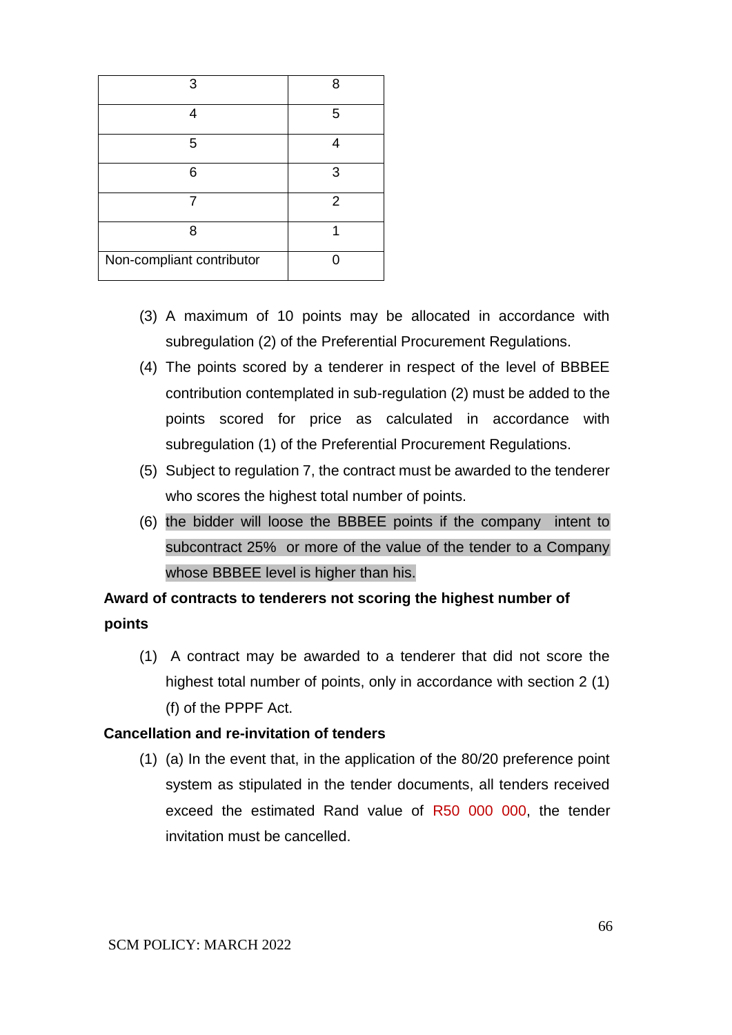| З                         | 8 |
|---------------------------|---|
| Δ                         | 5 |
| 5                         |   |
| հ                         | 3 |
|                           | 2 |
| 8                         |   |
| Non-compliant contributor |   |

- (3) A maximum of 10 points may be allocated in accordance with subregulation (2) of the Preferential Procurement Regulations.
- (4) The points scored by a tenderer in respect of the level of BBBEE contribution contemplated in sub-regulation (2) must be added to the points scored for price as calculated in accordance with subregulation (1) of the Preferential Procurement Regulations.
- (5) Subject to regulation 7, the contract must be awarded to the tenderer who scores the highest total number of points.
- (6) the bidder will loose the BBBEE points if the company intent to subcontract 25% or more of the value of the tender to a Company whose BBBEE level is higher than his.

# **Award of contracts to tenderers not scoring the highest number of points**

(1) A contract may be awarded to a tenderer that did not score the highest total number of points, only in accordance with section 2 (1) (f) of the PPPF Act.

### **Cancellation and re-invitation of tenders**

(1) (a) In the event that, in the application of the 80/20 preference point system as stipulated in the tender documents, all tenders received exceed the estimated Rand value of R50 000 000, the tender invitation must be cancelled.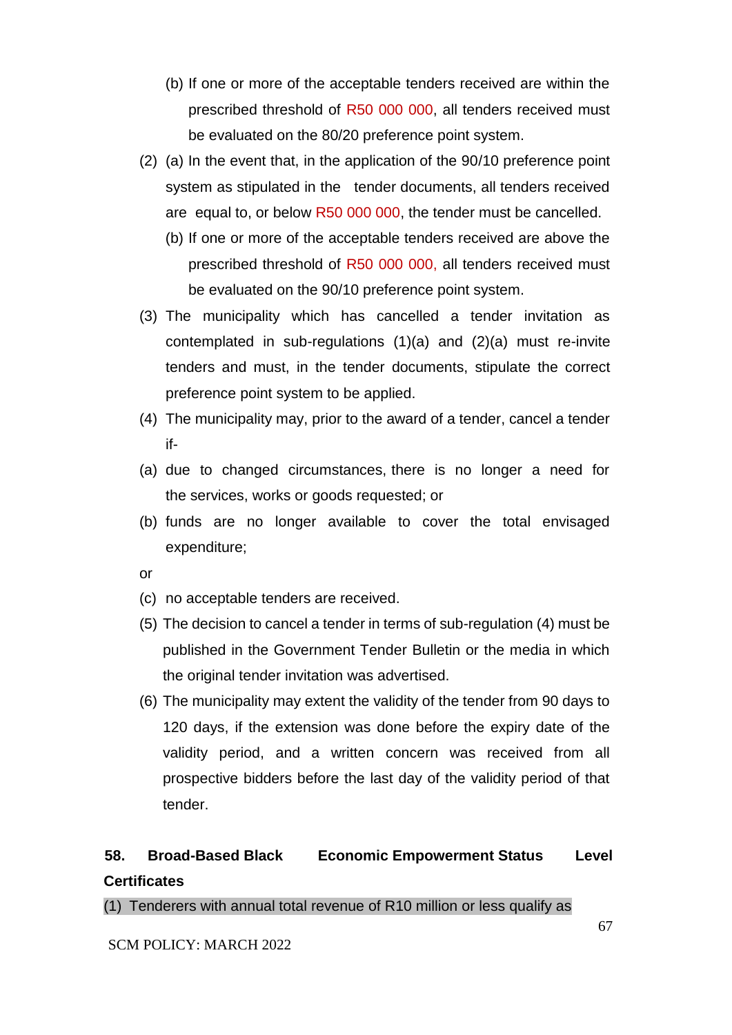- (b) If one or more of the acceptable tenders received are within the prescribed threshold of R50 000 000, all tenders received must be evaluated on the 80/20 preference point system.
- (2) (a) In the event that, in the application of the 90/10 preference point system as stipulated in the tender documents, all tenders received are equal to, or below R50 000 000, the tender must be cancelled.
	- (b) If one or more of the acceptable tenders received are above the prescribed threshold of R50 000 000, all tenders received must be evaluated on the 90/10 preference point system.
- (3) The municipality which has cancelled a tender invitation as contemplated in sub-regulations (1)(a) and (2)(a) must re-invite tenders and must, in the tender documents, stipulate the correct preference point system to be applied.
- (4) The municipality may, prior to the award of a tender, cancel a tender if-
- (a) due to changed circumstances, there is no longer a need for the services, works or goods requested; or
- (b) funds are no longer available to cover the total envisaged expenditure;
- or
- (c) no acceptable tenders are received.
- (5) The decision to cancel a tender in terms of sub-regulation (4) must be published in the Government Tender Bulletin or the media in which the original tender invitation was advertised.
- (6) The municipality may extent the validity of the tender from 90 days to 120 days, if the extension was done before the expiry date of the validity period, and a written concern was received from all prospective bidders before the last day of the validity period of that tender.

# **58. Broad-Based Black Economic Empowerment Status Level Certificates**

(1) Tenderers with annual total revenue of R10 million or less qualify as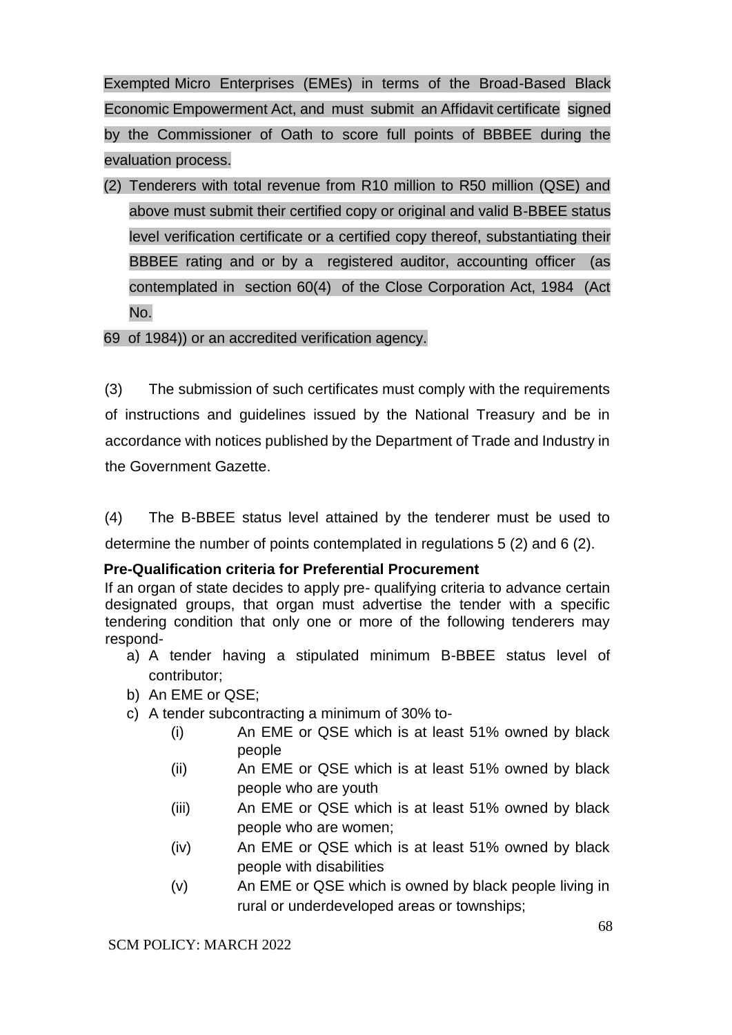Exempted Micro Enterprises (EMEs) in terms of the Broad-Based Black Economic Empowerment Act, and must submit an Affidavit certificate signed by the Commissioner of Oath to score full points of BBBEE during the evaluation process.

(2) Tenderers with total revenue from R10 million to R50 million (QSE) and above must submit their certified copy or original and valid B-BBEE status level verification certificate or a certified copy thereof, substantiating their BBBEE rating and or by a registered auditor, accounting officer (as contemplated in section 60(4) of the Close Corporation Act, 1984 (Act No.

69 of 1984)) or an accredited verification agency.

(3) The submission of such certificates must comply with the requirements of instructions and guidelines issued by the National Treasury and be in accordance with notices published by the Department of Trade and Industry in the Government Gazette.

(4) The B-BBEE status level attained by the tenderer must be used to determine the number of points contemplated in regulations 5 (2) and 6 (2).

### **Pre-Qualification criteria for Preferential Procurement**

If an organ of state decides to apply pre- qualifying criteria to advance certain designated groups, that organ must advertise the tender with a specific tendering condition that only one or more of the following tenderers may respond-

- a) A tender having a stipulated minimum B-BBEE status level of contributor;
- b) An EME or QSE;
- c) A tender subcontracting a minimum of 30% to-
	- (i) An EME or QSE which is at least 51% owned by black people
	- (ii) An EME or QSE which is at least 51% owned by black people who are youth
	- (iii) An EME or QSE which is at least 51% owned by black people who are women;
	- (iv) An EME or QSE which is at least 51% owned by black people with disabilities
	- (v) An EME or QSE which is owned by black people living in rural or underdeveloped areas or townships;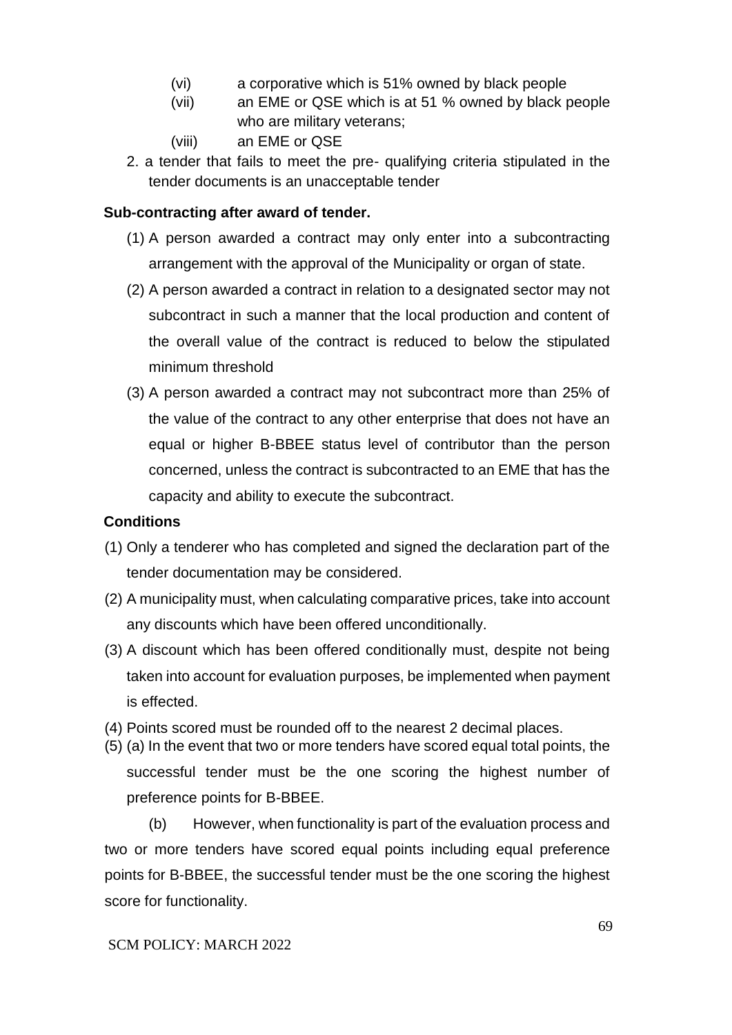- (vi) a corporative which is 51% owned by black people
- (vii) an EME or QSE which is at 51 % owned by black people who are military veterans;
- (viii) an EME or QSE
- 2. a tender that fails to meet the pre- qualifying criteria stipulated in the tender documents is an unacceptable tender

## **Sub-contracting after award of tender.**

- (1) A person awarded a contract may only enter into a subcontracting arrangement with the approval of the Municipality or organ of state.
- (2) A person awarded a contract in relation to a designated sector may not subcontract in such a manner that the local production and content of the overall value of the contract is reduced to below the stipulated minimum threshold
- (3) A person awarded a contract may not subcontract more than 25% of the value of the contract to any other enterprise that does not have an equal or higher B-BBEE status level of contributor than the person concerned, unless the contract is subcontracted to an EME that has the capacity and ability to execute the subcontract.

## **Conditions**

- (1) Only a tenderer who has completed and signed the declaration part of the tender documentation may be considered.
- (2) A municipality must, when calculating comparative prices, take into account any discounts which have been offered unconditionally.
- (3) A discount which has been offered conditionally must, despite not being taken into account for evaluation purposes, be implemented when payment is effected.
- (4) Points scored must be rounded off to the nearest 2 decimal places.
- (5) (a) In the event that two or more tenders have scored equal total points, the successful tender must be the one scoring the highest number of preference points for B-BBEE.

(b) However, when functionality is part of the evaluation process and two or more tenders have scored equal points including equal preference points for B-BBEE, the successful tender must be the one scoring the highest score for functionality.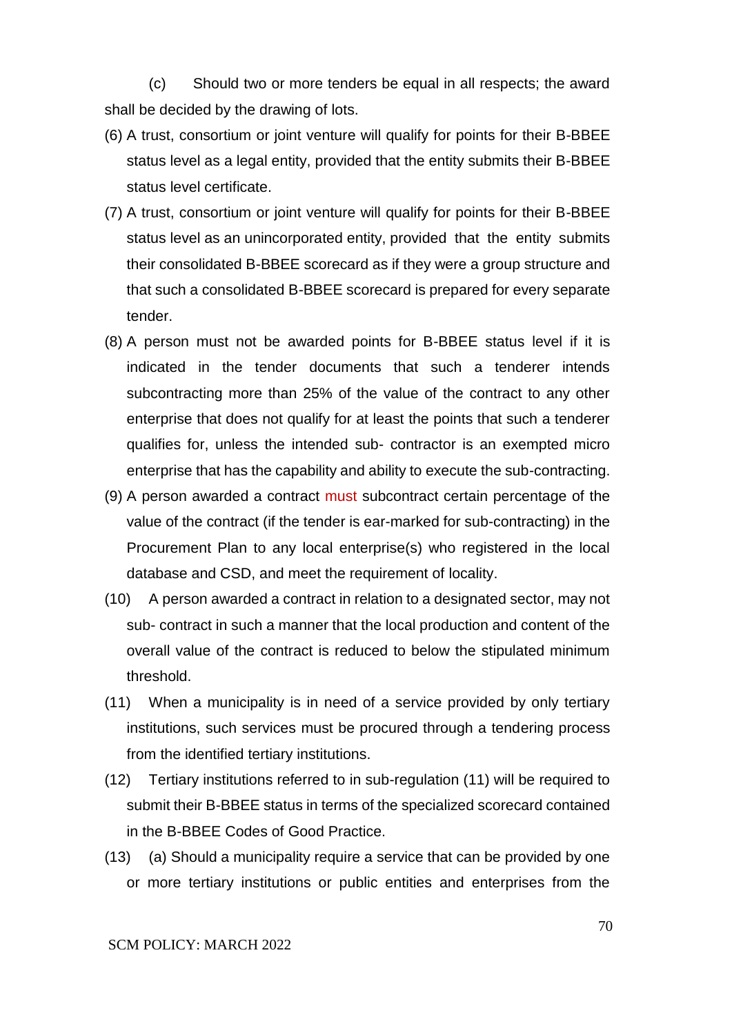(c) Should two or more tenders be equal in all respects; the award shall be decided by the drawing of lots.

- (6) A trust, consortium or joint venture will qualify for points for their B-BBEE status level as a legal entity, provided that the entity submits their B-BBEE status level certificate.
- (7) A trust, consortium or joint venture will qualify for points for their B-BBEE status level as an unincorporated entity, provided that the entity submits their consolidated B-BBEE scorecard as if they were a group structure and that such a consolidated B-BBEE scorecard is prepared for every separate tender.
- (8) A person must not be awarded points for B-BBEE status level if it is indicated in the tender documents that such a tenderer intends subcontracting more than 25% of the value of the contract to any other enterprise that does not qualify for at least the points that such a tenderer qualifies for, unless the intended sub- contractor is an exempted micro enterprise that has the capability and ability to execute the sub-contracting.
- (9) A person awarded a contract must subcontract certain percentage of the value of the contract (if the tender is ear-marked for sub-contracting) in the Procurement Plan to any local enterprise(s) who registered in the local database and CSD, and meet the requirement of locality.
- (10) A person awarded a contract in relation to a designated sector, may not sub- contract in such a manner that the local production and content of the overall value of the contract is reduced to below the stipulated minimum threshold.
- (11) When a municipality is in need of a service provided by only tertiary institutions, such services must be procured through a tendering process from the identified tertiary institutions.
- (12) Tertiary institutions referred to in sub-regulation (11) will be required to submit their B-BBEE status in terms of the specialized scorecard contained in the B-BBEE Codes of Good Practice.
- (13) (a) Should a municipality require a service that can be provided by one or more tertiary institutions or public entities and enterprises from the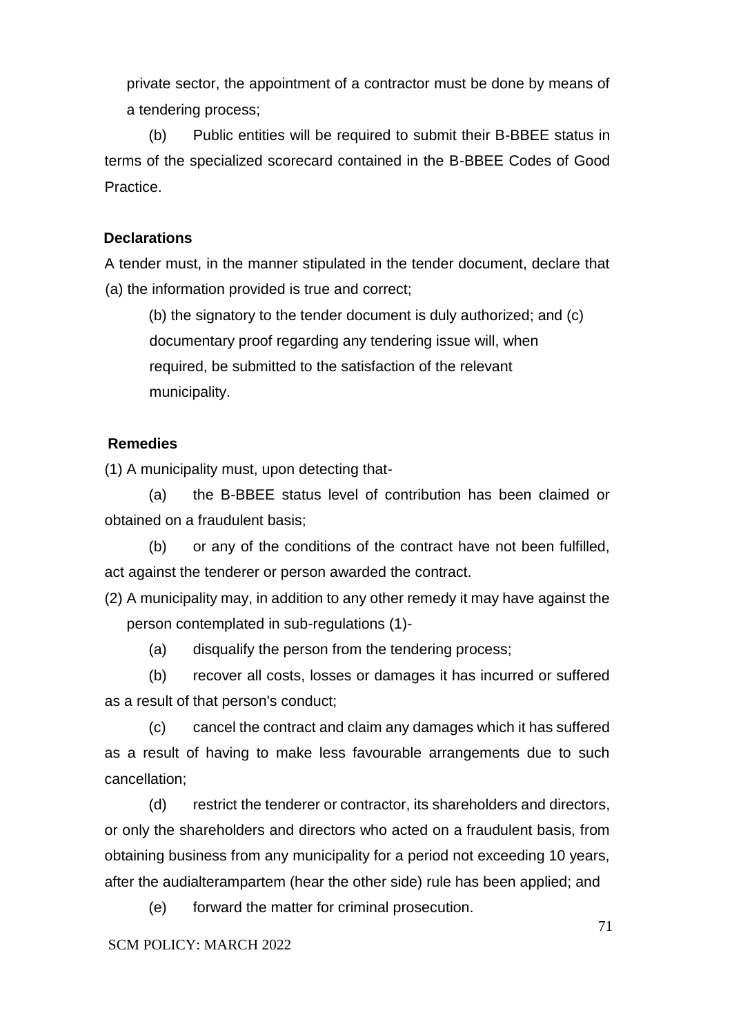private sector, the appointment of a contractor must be done by means of a tendering process;

(b) Public entities will be required to submit their B-BBEE status in terms of the specialized scorecard contained in the B-BBEE Codes of Good Practice.

### **Declarations**

A tender must, in the manner stipulated in the tender document, declare that (a) the information provided is true and correct;

(b) the signatory to the tender document is duly authorized; and (c) documentary proof regarding any tendering issue will, when required, be submitted to the satisfaction of the relevant municipality.

### **Remedies**

(1) A municipality must, upon detecting that-

(a) the B-BBEE status level of contribution has been claimed or obtained on a fraudulent basis;

(b) or any of the conditions of the contract have not been fulfilled, act against the tenderer or person awarded the contract.

(2) A municipality may, in addition to any other remedy it may have against the person contemplated in sub-regulations (1)-

(a) disqualify the person from the tendering process;

(b) recover all costs, losses or damages it has incurred or suffered as a result of that person's conduct;

(c) cancel the contract and claim any damages which it has suffered as a result of having to make less favourable arrangements due to such cancellation;

(d) restrict the tenderer or contractor, its shareholders and directors, or only the shareholders and directors who acted on a fraudulent basis, from obtaining business from any municipality for a period not exceeding 10 years, after the audialterampartem (hear the other side) rule has been applied; and

(e) forward the matter for criminal prosecution.

### SCM POLICY: MARCH 2022